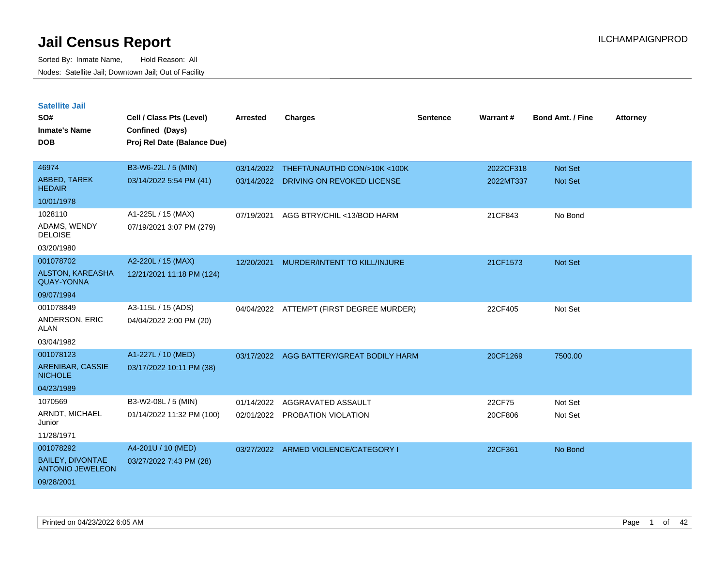| <b>Satellite Jail</b>                              |                             |                 |                               |                 |           |                         |                 |
|----------------------------------------------------|-----------------------------|-----------------|-------------------------------|-----------------|-----------|-------------------------|-----------------|
| SO#                                                | Cell / Class Pts (Level)    | <b>Arrested</b> | <b>Charges</b>                | <b>Sentence</b> | Warrant#  | <b>Bond Amt. / Fine</b> | <b>Attorney</b> |
| Inmate's Name                                      | Confined (Days)             |                 |                               |                 |           |                         |                 |
| <b>DOB</b>                                         | Proj Rel Date (Balance Due) |                 |                               |                 |           |                         |                 |
|                                                    |                             |                 |                               |                 |           |                         |                 |
| 46974                                              | B3-W6-22L / 5 (MIN)         | 03/14/2022      | THEFT/UNAUTHD CON/>10K <100K  |                 | 2022CF318 | <b>Not Set</b>          |                 |
| <b>ABBED, TAREK</b><br><b>HEDAIR</b>               | 03/14/2022 5:54 PM (41)     | 03/14/2022      | DRIVING ON REVOKED LICENSE    |                 | 2022MT337 | <b>Not Set</b>          |                 |
| 10/01/1978                                         |                             |                 |                               |                 |           |                         |                 |
| 1028110                                            | A1-225L / 15 (MAX)          | 07/19/2021      | AGG BTRY/CHIL <13/BOD HARM    |                 | 21CF843   | No Bond                 |                 |
| ADAMS, WENDY<br><b>DELOISE</b>                     | 07/19/2021 3:07 PM (279)    |                 |                               |                 |           |                         |                 |
| 03/20/1980                                         |                             |                 |                               |                 |           |                         |                 |
| 001078702                                          | A2-220L / 15 (MAX)          | 12/20/2021      | MURDER/INTENT TO KILL/INJURE  |                 | 21CF1573  | <b>Not Set</b>          |                 |
| <b>ALSTON, KAREASHA</b><br><b>QUAY-YONNA</b>       | 12/21/2021 11:18 PM (124)   |                 |                               |                 |           |                         |                 |
| 09/07/1994                                         |                             |                 |                               |                 |           |                         |                 |
| 001078849                                          | A3-115L / 15 (ADS)          | 04/04/2022      | ATTEMPT (FIRST DEGREE MURDER) |                 | 22CF405   | Not Set                 |                 |
| ANDERSON, ERIC<br>ALAN                             | 04/04/2022 2:00 PM (20)     |                 |                               |                 |           |                         |                 |
| 03/04/1982                                         |                             |                 |                               |                 |           |                         |                 |
| 001078123                                          | A1-227L / 10 (MED)          | 03/17/2022      | AGG BATTERY/GREAT BODILY HARM |                 | 20CF1269  | 7500.00                 |                 |
| ARENIBAR, CASSIE<br><b>NICHOLE</b>                 | 03/17/2022 10:11 PM (38)    |                 |                               |                 |           |                         |                 |
| 04/23/1989                                         |                             |                 |                               |                 |           |                         |                 |
| 1070569                                            | B3-W2-08L / 5 (MIN)         | 01/14/2022      | AGGRAVATED ASSAULT            |                 | 22CF75    | Not Set                 |                 |
| ARNDT, MICHAEL<br>Junior                           | 01/14/2022 11:32 PM (100)   | 02/01/2022      | PROBATION VIOLATION           |                 | 20CF806   | Not Set                 |                 |
| 11/28/1971                                         |                             |                 |                               |                 |           |                         |                 |
| 001078292                                          | A4-201U / 10 (MED)          | 03/27/2022      | ARMED VIOLENCE/CATEGORY I     |                 | 22CF361   | No Bond                 |                 |
| <b>BAILEY, DIVONTAE</b><br><b>ANTONIO JEWELEON</b> | 03/27/2022 7:43 PM (28)     |                 |                               |                 |           |                         |                 |
| 09/28/2001                                         |                             |                 |                               |                 |           |                         |                 |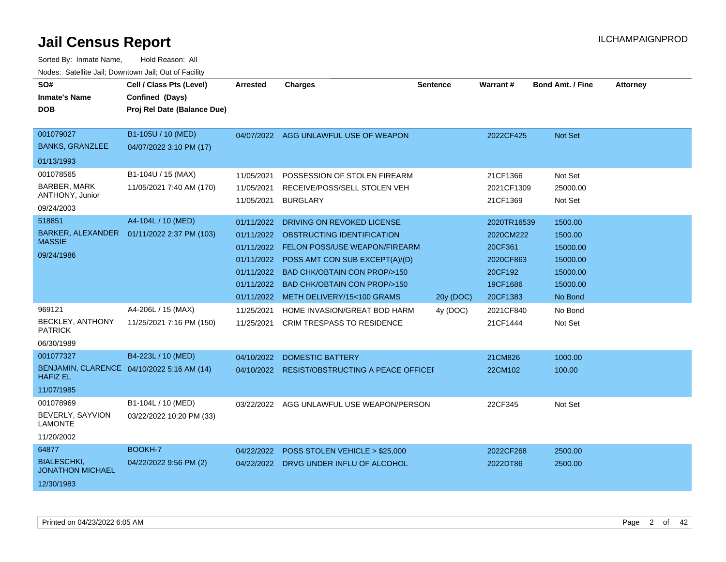| SO#<br><b>Inmate's Name</b>                                          | Cell / Class Pts (Level)<br>Confined (Days)                      | <b>Arrested</b>                                                                  | <b>Charges</b>                                                                                                                                                                                                                                           | <b>Sentence</b> | <b>Warrant#</b>                                                                     | <b>Bond Amt. / Fine</b>                                                       | <b>Attorney</b> |
|----------------------------------------------------------------------|------------------------------------------------------------------|----------------------------------------------------------------------------------|----------------------------------------------------------------------------------------------------------------------------------------------------------------------------------------------------------------------------------------------------------|-----------------|-------------------------------------------------------------------------------------|-------------------------------------------------------------------------------|-----------------|
| <b>DOB</b>                                                           | Proj Rel Date (Balance Due)                                      |                                                                                  |                                                                                                                                                                                                                                                          |                 |                                                                                     |                                                                               |                 |
| 001079027<br><b>BANKS, GRANZLEE</b>                                  | B1-105U / 10 (MED)<br>04/07/2022 3:10 PM (17)                    | 04/07/2022                                                                       | AGG UNLAWFUL USE OF WEAPON                                                                                                                                                                                                                               |                 | 2022CF425                                                                           | <b>Not Set</b>                                                                |                 |
| 01/13/1993                                                           |                                                                  |                                                                                  |                                                                                                                                                                                                                                                          |                 |                                                                                     |                                                                               |                 |
| 001078565<br><b>BARBER, MARK</b><br>ANTHONY, Junior<br>09/24/2003    | B1-104U / 15 (MAX)<br>11/05/2021 7:40 AM (170)                   | 11/05/2021<br>11/05/2021<br>11/05/2021                                           | POSSESSION OF STOLEN FIREARM<br>RECEIVE/POSS/SELL STOLEN VEH<br><b>BURGLARY</b>                                                                                                                                                                          |                 | 21CF1366<br>2021CF1309<br>21CF1369                                                  | Not Set<br>25000.00<br>Not Set                                                |                 |
| 518851<br>BARKER, ALEXANDER<br><b>MASSIE</b><br>09/24/1986           | A4-104L / 10 (MED)<br>01/11/2022 2:37 PM (103)                   | 01/11/2022<br>01/11/2022<br>01/11/2022<br>01/11/2022<br>01/11/2022<br>01/11/2022 | DRIVING ON REVOKED LICENSE<br>OBSTRUCTING IDENTIFICATION<br>FELON POSS/USE WEAPON/FIREARM<br>POSS AMT CON SUB EXCEPT(A)/(D)<br><b>BAD CHK/OBTAIN CON PROP/&gt;150</b><br><b>BAD CHK/OBTAIN CON PROP/&gt;150</b><br>01/11/2022 METH DELIVERY/15<100 GRAMS | 20y (DOC)       | 2020TR16539<br>2020CM222<br>20CF361<br>2020CF863<br>20CF192<br>19CF1686<br>20CF1383 | 1500.00<br>1500.00<br>15000.00<br>15000.00<br>15000.00<br>15000.00<br>No Bond |                 |
| 969121<br><b>BECKLEY, ANTHONY</b><br><b>PATRICK</b><br>06/30/1989    | A4-206L / 15 (MAX)<br>11/25/2021 7:16 PM (150)                   | 11/25/2021<br>11/25/2021                                                         | HOME INVASION/GREAT BOD HARM<br><b>CRIM TRESPASS TO RESIDENCE</b>                                                                                                                                                                                        | 4y (DOC)        | 2021CF840<br>21CF1444                                                               | No Bond<br>Not Set                                                            |                 |
| 001077327<br><b>HAFIZ EL</b><br>11/07/1985                           | B4-223L / 10 (MED)<br>BENJAMIN, CLARENCE 04/10/2022 5:16 AM (14) | 04/10/2022                                                                       | <b>DOMESTIC BATTERY</b><br>04/10/2022 RESIST/OBSTRUCTING A PEACE OFFICE                                                                                                                                                                                  |                 | 21CM826<br>22CM102                                                                  | 1000.00<br>100.00                                                             |                 |
| 001078969<br>BEVERLY, SAYVION<br><b>LAMONTE</b><br>11/20/2002        | B1-104L / 10 (MED)<br>03/22/2022 10:20 PM (33)                   | 03/22/2022                                                                       | AGG UNLAWFUL USE WEAPON/PERSON                                                                                                                                                                                                                           |                 | 22CF345                                                                             | Not Set                                                                       |                 |
| 64877<br><b>BIALESCHKI.</b><br><b>JONATHON MICHAEL</b><br>12/30/1983 | BOOKH-7<br>04/22/2022 9:56 PM (2)                                | 04/22/2022                                                                       | POSS STOLEN VEHICLE > \$25,000<br>04/22/2022 DRVG UNDER INFLU OF ALCOHOL                                                                                                                                                                                 |                 | 2022CF268<br>2022DT86                                                               | 2500.00<br>2500.00                                                            |                 |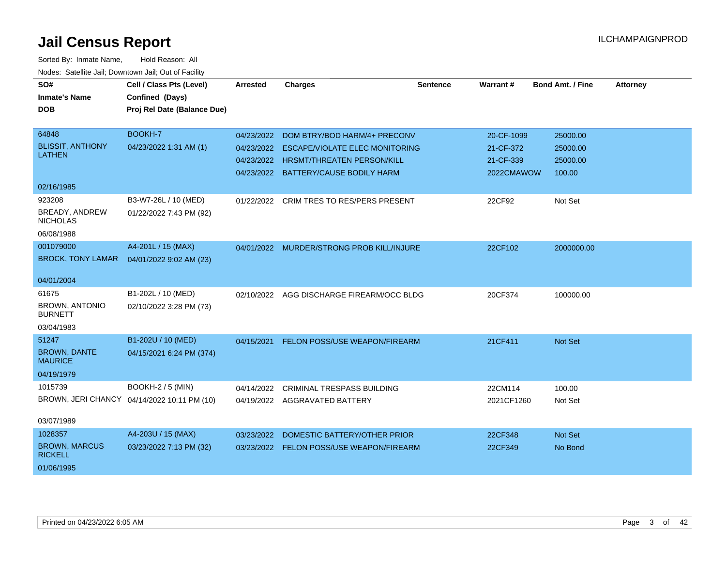| SO#<br><b>Inmate's Name</b><br><b>DOB</b>            | Cell / Class Pts (Level)<br>Confined (Days)<br>Proj Rel Date (Balance Due) | <b>Arrested</b>          | <b>Charges</b>                                                                                                                                         | <b>Sentence</b> | Warrant #                                          | <b>Bond Amt. / Fine</b>                    | <b>Attorney</b> |
|------------------------------------------------------|----------------------------------------------------------------------------|--------------------------|--------------------------------------------------------------------------------------------------------------------------------------------------------|-----------------|----------------------------------------------------|--------------------------------------------|-----------------|
| 64848<br><b>BLISSIT, ANTHONY</b><br><b>LATHEN</b>    | BOOKH-7<br>04/23/2022 1:31 AM (1)                                          | 04/23/2022<br>04/23/2022 | DOM BTRY/BOD HARM/4+ PRECONV<br><b>ESCAPE/VIOLATE ELEC MONITORING</b><br>04/23/2022 HRSMT/THREATEN PERSON/KILL<br>04/23/2022 BATTERY/CAUSE BODILY HARM |                 | 20-CF-1099<br>21-CF-372<br>21-CF-339<br>2022CMAWOW | 25000.00<br>25000.00<br>25000.00<br>100.00 |                 |
| 02/16/1985                                           |                                                                            |                          |                                                                                                                                                        |                 |                                                    |                                            |                 |
| 923208<br>BREADY, ANDREW<br><b>NICHOLAS</b>          | B3-W7-26L / 10 (MED)<br>01/22/2022 7:43 PM (92)                            |                          | 01/22/2022 CRIM TRES TO RES/PERS PRESENT                                                                                                               |                 | 22CF92                                             | Not Set                                    |                 |
| 06/08/1988                                           |                                                                            |                          |                                                                                                                                                        |                 |                                                    |                                            |                 |
| 001079000<br><b>BROCK, TONY LAMAR</b>                | A4-201L / 15 (MAX)<br>04/01/2022 9:02 AM (23)                              | 04/01/2022               | MURDER/STRONG PROB KILL/INJURE                                                                                                                         |                 | 22CF102                                            | 2000000.00                                 |                 |
| 04/01/2004                                           |                                                                            |                          |                                                                                                                                                        |                 |                                                    |                                            |                 |
| 61675<br><b>BROWN, ANTONIO</b><br><b>BURNETT</b>     | B1-202L / 10 (MED)<br>02/10/2022 3:28 PM (73)                              | 02/10/2022               | AGG DISCHARGE FIREARM/OCC BLDG                                                                                                                         |                 | 20CF374                                            | 100000.00                                  |                 |
| 03/04/1983                                           |                                                                            |                          |                                                                                                                                                        |                 |                                                    |                                            |                 |
| 51247<br><b>BROWN, DANTE</b><br><b>MAURICE</b>       | B1-202U / 10 (MED)<br>04/15/2021 6:24 PM (374)                             | 04/15/2021               | FELON POSS/USE WEAPON/FIREARM                                                                                                                          |                 | 21CF411                                            | Not Set                                    |                 |
| 04/19/1979                                           |                                                                            |                          |                                                                                                                                                        |                 |                                                    |                                            |                 |
| 1015739                                              | <b>BOOKH-2 / 5 (MIN)</b><br>BROWN, JERI CHANCY 04/14/2022 10:11 PM (10)    | 04/14/2022               | <b>CRIMINAL TRESPASS BUILDING</b><br>04/19/2022 AGGRAVATED BATTERY                                                                                     |                 | 22CM114<br>2021CF1260                              | 100.00<br>Not Set                          |                 |
| 03/07/1989                                           |                                                                            |                          |                                                                                                                                                        |                 |                                                    |                                            |                 |
| 1028357                                              | A4-203U / 15 (MAX)                                                         | 03/23/2022               | DOMESTIC BATTERY/OTHER PRIOR                                                                                                                           |                 | 22CF348                                            | <b>Not Set</b>                             |                 |
| <b>BROWN, MARCUS</b><br><b>RICKELL</b><br>01/06/1995 | 03/23/2022 7:13 PM (32)                                                    |                          | 03/23/2022 FELON POSS/USE WEAPON/FIREARM                                                                                                               |                 | 22CF349                                            | No Bond                                    |                 |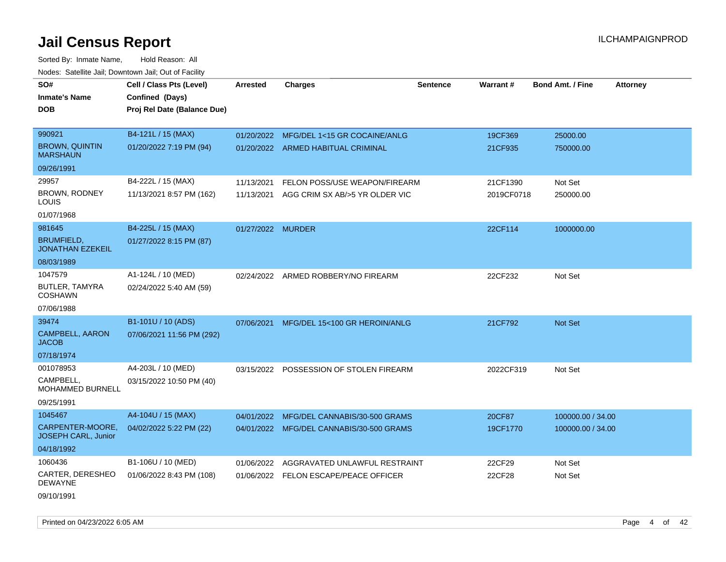| SO#                                            | Cell / Class Pts (Level)    | <b>Arrested</b>   | <b>Charges</b>                            | <b>Sentence</b> | <b>Warrant#</b> | <b>Bond Amt. / Fine</b><br><b>Attorney</b> |  |
|------------------------------------------------|-----------------------------|-------------------|-------------------------------------------|-----------------|-----------------|--------------------------------------------|--|
| <b>Inmate's Name</b>                           | Confined (Days)             |                   |                                           |                 |                 |                                            |  |
| <b>DOB</b>                                     | Proj Rel Date (Balance Due) |                   |                                           |                 |                 |                                            |  |
|                                                |                             |                   |                                           |                 |                 |                                            |  |
| 990921                                         | B4-121L / 15 (MAX)          | 01/20/2022        | MFG/DEL 1<15 GR COCAINE/ANLG              |                 | 19CF369         | 25000.00                                   |  |
| <b>BROWN, QUINTIN</b><br><b>MARSHAUN</b>       | 01/20/2022 7:19 PM (94)     |                   | 01/20/2022 ARMED HABITUAL CRIMINAL        |                 | 21CF935         | 750000.00                                  |  |
| 09/26/1991                                     |                             |                   |                                           |                 |                 |                                            |  |
| 29957                                          | B4-222L / 15 (MAX)          | 11/13/2021        | FELON POSS/USE WEAPON/FIREARM             |                 | 21CF1390        | Not Set                                    |  |
| BROWN, RODNEY<br>LOUIS                         | 11/13/2021 8:57 PM (162)    |                   | 11/13/2021 AGG CRIM SX AB/>5 YR OLDER VIC |                 | 2019CF0718      | 250000.00                                  |  |
| 01/07/1968                                     |                             |                   |                                           |                 |                 |                                            |  |
| 981645                                         | B4-225L / 15 (MAX)          | 01/27/2022 MURDER |                                           |                 | 22CF114         | 1000000.00                                 |  |
| <b>BRUMFIELD,</b><br><b>JONATHAN EZEKEIL</b>   | 01/27/2022 8:15 PM (87)     |                   |                                           |                 |                 |                                            |  |
| 08/03/1989                                     |                             |                   |                                           |                 |                 |                                            |  |
| 1047579                                        | A1-124L / 10 (MED)          |                   | 02/24/2022 ARMED ROBBERY/NO FIREARM       |                 | 22CF232         | Not Set                                    |  |
| BUTLER, TAMYRA<br><b>COSHAWN</b>               | 02/24/2022 5:40 AM (59)     |                   |                                           |                 |                 |                                            |  |
| 07/06/1988                                     |                             |                   |                                           |                 |                 |                                            |  |
| 39474                                          | B1-101U / 10 (ADS)          | 07/06/2021        | MFG/DEL 15<100 GR HEROIN/ANLG             |                 | 21CF792         | Not Set                                    |  |
| CAMPBELL, AARON<br><b>JACOB</b>                | 07/06/2021 11:56 PM (292)   |                   |                                           |                 |                 |                                            |  |
| 07/18/1974                                     |                             |                   |                                           |                 |                 |                                            |  |
| 001078953                                      | A4-203L / 10 (MED)          |                   | 03/15/2022 POSSESSION OF STOLEN FIREARM   |                 | 2022CF319       | Not Set                                    |  |
| CAMPBELL,<br>MOHAMMED BURNELL                  | 03/15/2022 10:50 PM (40)    |                   |                                           |                 |                 |                                            |  |
| 09/25/1991                                     |                             |                   |                                           |                 |                 |                                            |  |
| 1045467                                        | A4-104U / 15 (MAX)          | 04/01/2022        | MFG/DEL CANNABIS/30-500 GRAMS             |                 | 20CF87          | 100000.00 / 34.00                          |  |
| CARPENTER-MOORE,<br><b>JOSEPH CARL, Junior</b> | 04/02/2022 5:22 PM (22)     |                   | 04/01/2022 MFG/DEL CANNABIS/30-500 GRAMS  |                 | 19CF1770        | 100000.00 / 34.00                          |  |
| 04/18/1992                                     |                             |                   |                                           |                 |                 |                                            |  |
| 1060436                                        | B1-106U / 10 (MED)          | 01/06/2022        | AGGRAVATED UNLAWFUL RESTRAINT             |                 | 22CF29          | Not Set                                    |  |
| CARTER, DERESHEO<br><b>DEWAYNE</b>             | 01/06/2022 8:43 PM (108)    |                   | 01/06/2022 FELON ESCAPE/PEACE OFFICER     |                 | 22CF28          | Not Set                                    |  |
| 09/10/1991                                     |                             |                   |                                           |                 |                 |                                            |  |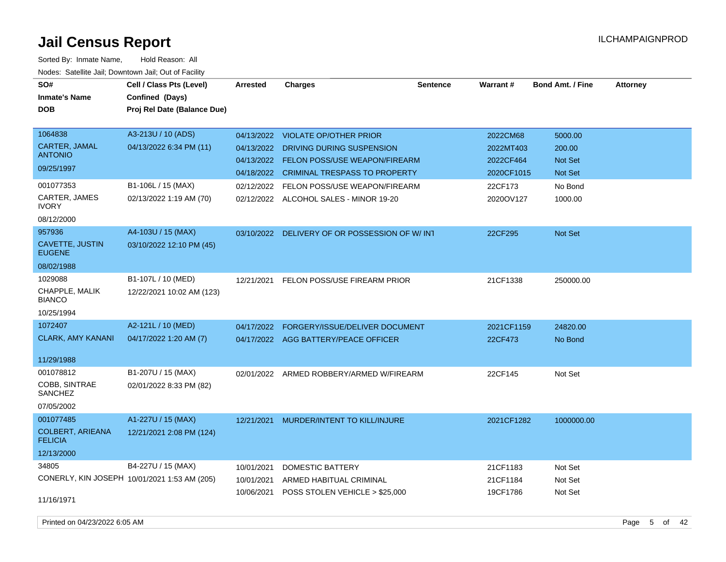Sorted By: Inmate Name, Hold Reason: All Nodes: Satellite Jail; Downtown Jail; Out of Facility

| SO#                                       | Cell / Class Pts (Level)                        | Arrested   | <b>Charges</b>                                | <b>Sentence</b> | Warrant#   | <b>Bond Amt. / Fine</b> | <b>Attorney</b> |
|-------------------------------------------|-------------------------------------------------|------------|-----------------------------------------------|-----------------|------------|-------------------------|-----------------|
| <b>Inmate's Name</b>                      | Confined (Days)                                 |            |                                               |                 |            |                         |                 |
| <b>DOB</b>                                | Proj Rel Date (Balance Due)                     |            |                                               |                 |            |                         |                 |
|                                           |                                                 |            |                                               |                 |            |                         |                 |
| 1064838                                   | A3-213U / 10 (ADS)                              | 04/13/2022 | VIOLATE OP/OTHER PRIOR                        |                 | 2022CM68   | 5000.00                 |                 |
| <b>CARTER, JAMAL</b>                      | 04/13/2022 6:34 PM (11)                         | 04/13/2022 | DRIVING DURING SUSPENSION                     |                 | 2022MT403  | 200.00                  |                 |
| <b>ANTONIO</b>                            |                                                 | 04/13/2022 | <b>FELON POSS/USE WEAPON/FIREARM</b>          |                 | 2022CF464  | <b>Not Set</b>          |                 |
| 09/25/1997                                |                                                 | 04/18/2022 | CRIMINAL TRESPASS TO PROPERTY                 |                 | 2020CF1015 | <b>Not Set</b>          |                 |
| 001077353                                 | B1-106L / 15 (MAX)                              | 02/12/2022 | FELON POSS/USE WEAPON/FIREARM                 |                 | 22CF173    | No Bond                 |                 |
| CARTER, JAMES<br><b>IVORY</b>             | 02/13/2022 1:19 AM (70)                         |            | 02/12/2022 ALCOHOL SALES - MINOR 19-20        |                 | 2020OV127  | 1000.00                 |                 |
| 08/12/2000                                |                                                 |            |                                               |                 |            |                         |                 |
| 957936                                    | A4-103U / 15 (MAX)                              |            | 03/10/2022 DELIVERY OF OR POSSESSION OF W/INT |                 | 22CF295    | Not Set                 |                 |
| CAVETTE, JUSTIN<br><b>EUGENE</b>          | 03/10/2022 12:10 PM (45)                        |            |                                               |                 |            |                         |                 |
| 08/02/1988                                |                                                 |            |                                               |                 |            |                         |                 |
| 1029088<br>CHAPPLE, MALIK                 | B1-107L / 10 (MED)<br>12/22/2021 10:02 AM (123) | 12/21/2021 | FELON POSS/USE FIREARM PRIOR                  |                 | 21CF1338   | 250000.00               |                 |
| <b>BIANCO</b>                             |                                                 |            |                                               |                 |            |                         |                 |
| 10/25/1994                                |                                                 |            |                                               |                 |            |                         |                 |
| 1072407                                   | A2-121L / 10 (MED)                              | 04/17/2022 | FORGERY/ISSUE/DELIVER DOCUMENT                |                 | 2021CF1159 | 24820.00                |                 |
| <b>CLARK, AMY KANANI</b>                  | 04/17/2022 1:20 AM (7)                          |            | 04/17/2022 AGG BATTERY/PEACE OFFICER          |                 | 22CF473    | No Bond                 |                 |
| 11/29/1988                                |                                                 |            |                                               |                 |            |                         |                 |
| 001078812                                 | B1-207U / 15 (MAX)                              | 02/01/2022 | ARMED ROBBERY/ARMED W/FIREARM                 |                 | 22CF145    | Not Set                 |                 |
| COBB, SINTRAE<br>SANCHEZ                  | 02/01/2022 8:33 PM (82)                         |            |                                               |                 |            |                         |                 |
| 07/05/2002                                |                                                 |            |                                               |                 |            |                         |                 |
| 001077485                                 | A1-227U / 15 (MAX)                              | 12/21/2021 | MURDER/INTENT TO KILL/INJURE                  |                 | 2021CF1282 | 1000000.00              |                 |
| <b>COLBERT, ARIEANA</b><br><b>FELICIA</b> | 12/21/2021 2:08 PM (124)                        |            |                                               |                 |            |                         |                 |
| 12/13/2000                                |                                                 |            |                                               |                 |            |                         |                 |
| 34805                                     | B4-227U / 15 (MAX)                              | 10/01/2021 | <b>DOMESTIC BATTERY</b>                       |                 | 21CF1183   | Not Set                 |                 |
|                                           | CONERLY, KIN JOSEPH 10/01/2021 1:53 AM (205)    | 10/01/2021 | ARMED HABITUAL CRIMINAL                       |                 | 21CF1184   | Not Set                 |                 |
|                                           |                                                 | 10/06/2021 | POSS STOLEN VEHICLE > \$25,000                |                 | 19CF1786   | Not Set                 |                 |
| 11/16/1971                                |                                                 |            |                                               |                 |            |                         |                 |
|                                           |                                                 |            |                                               |                 |            |                         |                 |

Printed on 04/23/2022 6:05 AM Page 5 of 42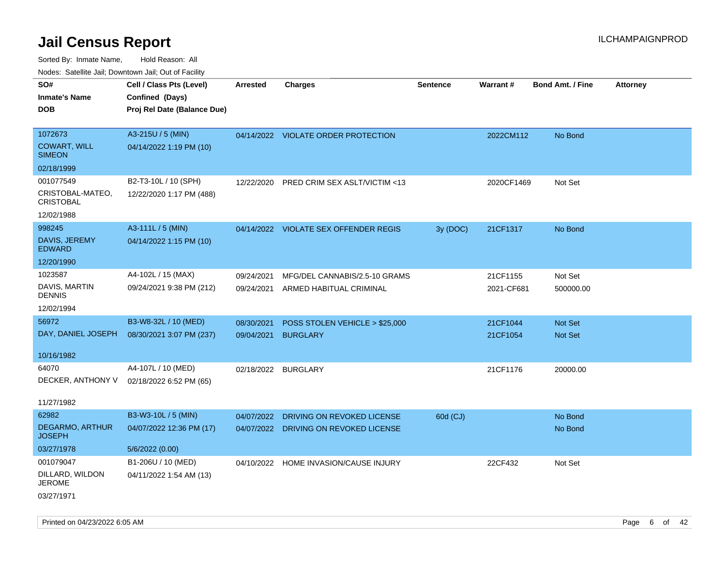| SO#                                     | Cell / Class Pts (Level)    | Arrested   | <b>Charges</b>                        | <b>Sentence</b> | Warrant#   | <b>Bond Amt. / Fine</b> | <b>Attorney</b> |
|-----------------------------------------|-----------------------------|------------|---------------------------------------|-----------------|------------|-------------------------|-----------------|
| <b>Inmate's Name</b>                    | Confined (Days)             |            |                                       |                 |            |                         |                 |
| <b>DOB</b>                              | Proj Rel Date (Balance Due) |            |                                       |                 |            |                         |                 |
|                                         |                             |            |                                       |                 |            |                         |                 |
| 1072673                                 | A3-215U / 5 (MIN)           |            | 04/14/2022 VIOLATE ORDER PROTECTION   |                 | 2022CM112  | No Bond                 |                 |
| <b>COWART, WILL</b><br><b>SIMEON</b>    | 04/14/2022 1:19 PM (10)     |            |                                       |                 |            |                         |                 |
| 02/18/1999                              |                             |            |                                       |                 |            |                         |                 |
| 001077549                               | B2-T3-10L / 10 (SPH)        | 12/22/2020 | PRED CRIM SEX ASLT/VICTIM <13         |                 | 2020CF1469 | Not Set                 |                 |
| CRISTOBAL-MATEO,<br><b>CRISTOBAL</b>    | 12/22/2020 1:17 PM (488)    |            |                                       |                 |            |                         |                 |
| 12/02/1988                              |                             |            |                                       |                 |            |                         |                 |
| 998245                                  | A3-111L / 5 (MIN)           |            | 04/14/2022 VIOLATE SEX OFFENDER REGIS | 3y (DOC)        | 21CF1317   | No Bond                 |                 |
| DAVIS, JEREMY<br><b>EDWARD</b>          | 04/14/2022 1:15 PM (10)     |            |                                       |                 |            |                         |                 |
| 12/20/1990                              |                             |            |                                       |                 |            |                         |                 |
| 1023587                                 | A4-102L / 15 (MAX)          | 09/24/2021 | MFG/DEL CANNABIS/2.5-10 GRAMS         |                 | 21CF1155   | Not Set                 |                 |
| DAVIS, MARTIN<br><b>DENNIS</b>          | 09/24/2021 9:38 PM (212)    | 09/24/2021 | ARMED HABITUAL CRIMINAL               |                 | 2021-CF681 | 500000.00               |                 |
| 12/02/1994                              |                             |            |                                       |                 |            |                         |                 |
| 56972                                   | B3-W8-32L / 10 (MED)        | 08/30/2021 | POSS STOLEN VEHICLE > \$25,000        |                 | 21CF1044   | <b>Not Set</b>          |                 |
| DAY, DANIEL JOSEPH                      | 08/30/2021 3:07 PM (237)    | 09/04/2021 | <b>BURGLARY</b>                       |                 | 21CF1054   | Not Set                 |                 |
|                                         |                             |            |                                       |                 |            |                         |                 |
| 10/16/1982                              |                             |            |                                       |                 |            |                         |                 |
| 64070                                   | A4-107L / 10 (MED)          | 02/18/2022 | <b>BURGLARY</b>                       |                 | 21CF1176   | 20000.00                |                 |
| DECKER, ANTHONY V                       | 02/18/2022 6:52 PM (65)     |            |                                       |                 |            |                         |                 |
|                                         |                             |            |                                       |                 |            |                         |                 |
| 11/27/1982                              |                             |            |                                       |                 |            |                         |                 |
| 62982                                   | B3-W3-10L / 5 (MIN)         | 04/07/2022 | DRIVING ON REVOKED LICENSE            | 60d (CJ)        |            | No Bond                 |                 |
| <b>DEGARMO, ARTHUR</b><br><b>JOSEPH</b> | 04/07/2022 12:36 PM (17)    |            | 04/07/2022 DRIVING ON REVOKED LICENSE |                 |            | No Bond                 |                 |
| 03/27/1978                              | 5/6/2022 (0.00)             |            |                                       |                 |            |                         |                 |
| 001079047                               | B1-206U / 10 (MED)          |            | 04/10/2022 HOME INVASION/CAUSE INJURY |                 | 22CF432    | Not Set                 |                 |
| DILLARD, WILDON<br><b>JEROME</b>        | 04/11/2022 1:54 AM (13)     |            |                                       |                 |            |                         |                 |
| 03/27/1971                              |                             |            |                                       |                 |            |                         |                 |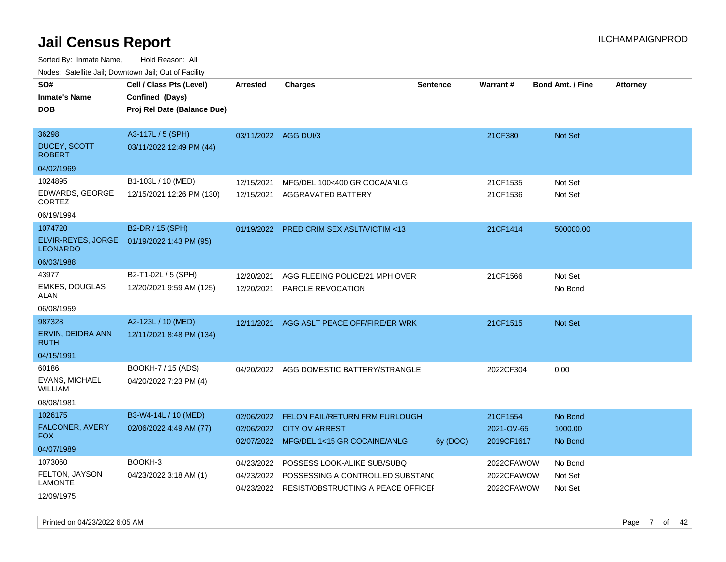Sorted By: Inmate Name, Hold Reason: All Nodes: Satellite Jail; Downtown Jail; Out of Facility

| roacs. Catellite Jall, Downtown Jall, Out of Facility                   |                                                                            |                                        |                                                                                                       |                 |                                        |                               |                 |
|-------------------------------------------------------------------------|----------------------------------------------------------------------------|----------------------------------------|-------------------------------------------------------------------------------------------------------|-----------------|----------------------------------------|-------------------------------|-----------------|
| SO#<br><b>Inmate's Name</b><br><b>DOB</b>                               | Cell / Class Pts (Level)<br>Confined (Days)<br>Proj Rel Date (Balance Due) | <b>Arrested</b>                        | <b>Charges</b>                                                                                        | <b>Sentence</b> | <b>Warrant#</b>                        | <b>Bond Amt. / Fine</b>       | <b>Attorney</b> |
| 36298<br>DUCEY, SCOTT<br><b>ROBERT</b>                                  | A3-117L / 5 (SPH)<br>03/11/2022 12:49 PM (44)                              | 03/11/2022 AGG DUI/3                   |                                                                                                       |                 | 21CF380                                | <b>Not Set</b>                |                 |
| 04/02/1969<br>1024895<br>EDWARDS, GEORGE<br><b>CORTEZ</b><br>06/19/1994 | B1-103L / 10 (MED)<br>12/15/2021 12:26 PM (130)                            | 12/15/2021<br>12/15/2021               | MFG/DEL 100<400 GR COCA/ANLG<br>AGGRAVATED BATTERY                                                    |                 | 21CF1535<br>21CF1536                   | Not Set<br>Not Set            |                 |
| 1074720<br>ELVIR-REYES, JORGE<br><b>LEONARDO</b><br>06/03/1988          | B2-DR / 15 (SPH)<br>01/19/2022 1:43 PM (95)                                |                                        | 01/19/2022 PRED CRIM SEX ASLT/VICTIM <13                                                              |                 | 21CF1414                               | 500000.00                     |                 |
| 43977<br><b>EMKES, DOUGLAS</b><br>ALAN<br>06/08/1959                    | B2-T1-02L / 5 (SPH)<br>12/20/2021 9:59 AM (125)                            | 12/20/2021<br>12/20/2021               | AGG FLEEING POLICE/21 MPH OVER<br>PAROLE REVOCATION                                                   |                 | 21CF1566                               | Not Set<br>No Bond            |                 |
| 987328<br>ERVIN, DEIDRA ANN<br><b>RUTH</b><br>04/15/1991                | A2-123L / 10 (MED)<br>12/11/2021 8:48 PM (134)                             | 12/11/2021                             | AGG ASLT PEACE OFF/FIRE/ER WRK                                                                        |                 | 21CF1515                               | Not Set                       |                 |
| 60186<br><b>EVANS, MICHAEL</b><br><b>WILLIAM</b><br>08/08/1981          | BOOKH-7 / 15 (ADS)<br>04/20/2022 7:23 PM (4)                               |                                        | 04/20/2022 AGG DOMESTIC BATTERY/STRANGLE                                                              |                 | 2022CF304                              | 0.00                          |                 |
| 1026175<br>FALCONER, AVERY<br><b>FOX</b><br>04/07/1989                  | B3-W4-14L / 10 (MED)<br>02/06/2022 4:49 AM (77)                            | 02/06/2022<br>02/06/2022               | FELON FAIL/RETURN FRM FURLOUGH<br><b>CITY OV ARREST</b><br>02/07/2022 MFG/DEL 1<15 GR COCAINE/ANLG    | 6y (DOC)        | 21CF1554<br>2021-OV-65<br>2019CF1617   | No Bond<br>1000.00<br>No Bond |                 |
| 1073060<br>FELTON, JAYSON<br><b>LAMONTE</b><br>12/09/1975               | BOOKH-3<br>04/23/2022 3:18 AM (1)                                          | 04/23/2022<br>04/23/2022<br>04/23/2022 | POSSESS LOOK-ALIKE SUB/SUBQ<br>POSSESSING A CONTROLLED SUBSTANC<br>RESIST/OBSTRUCTING A PEACE OFFICEI |                 | 2022CFAWOW<br>2022CFAWOW<br>2022CFAWOW | No Bond<br>Not Set<br>Not Set |                 |

Printed on 04/23/2022 6:05 AM Page 7 of 42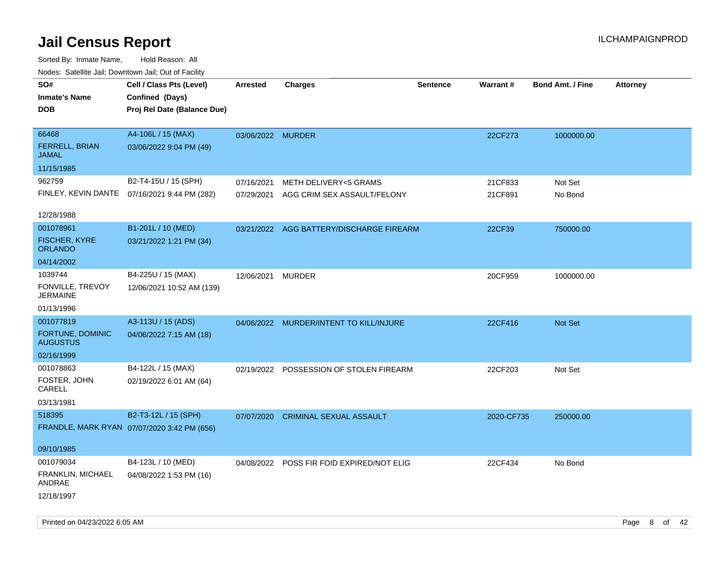| Nodes. Satellite Jali, Downtown Jali, Out of Facility |                                              |                   |                                           |                 |            |                         |                 |
|-------------------------------------------------------|----------------------------------------------|-------------------|-------------------------------------------|-----------------|------------|-------------------------|-----------------|
| SO#                                                   | Cell / Class Pts (Level)                     | <b>Arrested</b>   | <b>Charges</b>                            | <b>Sentence</b> | Warrant#   | <b>Bond Amt. / Fine</b> | <b>Attorney</b> |
| <b>Inmate's Name</b>                                  | Confined (Days)                              |                   |                                           |                 |            |                         |                 |
| <b>DOB</b>                                            | Proj Rel Date (Balance Due)                  |                   |                                           |                 |            |                         |                 |
|                                                       |                                              |                   |                                           |                 |            |                         |                 |
| 66468                                                 | A4-106L / 15 (MAX)                           | 03/06/2022 MURDER |                                           |                 | 22CF273    | 1000000.00              |                 |
| <b>FERRELL, BRIAN</b><br><b>JAMAL</b>                 | 03/06/2022 9:04 PM (49)                      |                   |                                           |                 |            |                         |                 |
| 11/15/1985                                            |                                              |                   |                                           |                 |            |                         |                 |
| 962759                                                | B2-T4-15U / 15 (SPH)                         | 07/16/2021        | <b>METH DELIVERY&lt;5 GRAMS</b>           |                 | 21CF833    | Not Set                 |                 |
|                                                       | FINLEY, KEVIN DANTE 07/16/2021 9:44 PM (282) | 07/29/2021        | AGG CRIM SEX ASSAULT/FELONY               |                 | 21CF891    | No Bond                 |                 |
|                                                       |                                              |                   |                                           |                 |            |                         |                 |
| 12/28/1988                                            |                                              |                   |                                           |                 |            |                         |                 |
| 001078961                                             | B1-201L / 10 (MED)                           |                   | 03/21/2022 AGG BATTERY/DISCHARGE FIREARM  |                 | 22CF39     | 750000.00               |                 |
| <b>FISCHER, KYRE</b><br><b>ORLANDO</b>                | 03/21/2022 1:21 PM (34)                      |                   |                                           |                 |            |                         |                 |
| 04/14/2002                                            |                                              |                   |                                           |                 |            |                         |                 |
| 1039744                                               | B4-225U / 15 (MAX)                           | 12/06/2021        | <b>MURDER</b>                             |                 | 20CF959    | 1000000.00              |                 |
| FONVILLE, TREVOY<br><b>JERMAINE</b>                   | 12/06/2021 10:52 AM (139)                    |                   |                                           |                 |            |                         |                 |
| 01/13/1996                                            |                                              |                   |                                           |                 |            |                         |                 |
| 001077819                                             | A3-113U / 15 (ADS)                           |                   | 04/06/2022 MURDER/INTENT TO KILL/INJURE   |                 | 22CF416    | Not Set                 |                 |
| <b>FORTUNE, DOMINIC</b><br><b>AUGUSTUS</b>            | 04/06/2022 7:15 AM (18)                      |                   |                                           |                 |            |                         |                 |
| 02/16/1999                                            |                                              |                   |                                           |                 |            |                         |                 |
| 001078863                                             | B4-122L / 15 (MAX)                           | 02/19/2022        | POSSESSION OF STOLEN FIREARM              |                 | 22CF203    | Not Set                 |                 |
| FOSTER, JOHN<br>CARELL                                | 02/19/2022 6:01 AM (64)                      |                   |                                           |                 |            |                         |                 |
| 03/13/1981                                            |                                              |                   |                                           |                 |            |                         |                 |
| 518395                                                | B2-T3-12L / 15 (SPH)                         | 07/07/2020        | <b>CRIMINAL SEXUAL ASSAULT</b>            |                 | 2020-CF735 | 250000.00               |                 |
|                                                       | FRANDLE, MARK RYAN 07/07/2020 3:42 PM (656)  |                   |                                           |                 |            |                         |                 |
|                                                       |                                              |                   |                                           |                 |            |                         |                 |
| 09/10/1985                                            |                                              |                   |                                           |                 |            |                         |                 |
| 001079034                                             | B4-123L / 10 (MED)                           |                   | 04/08/2022 POSS FIR FOID EXPIRED/NOT ELIG |                 | 22CF434    | No Bond                 |                 |
| FRANKLIN, MICHAEL<br>ANDRAE                           | 04/08/2022 1:53 PM (16)                      |                   |                                           |                 |            |                         |                 |
| 12/18/1997                                            |                                              |                   |                                           |                 |            |                         |                 |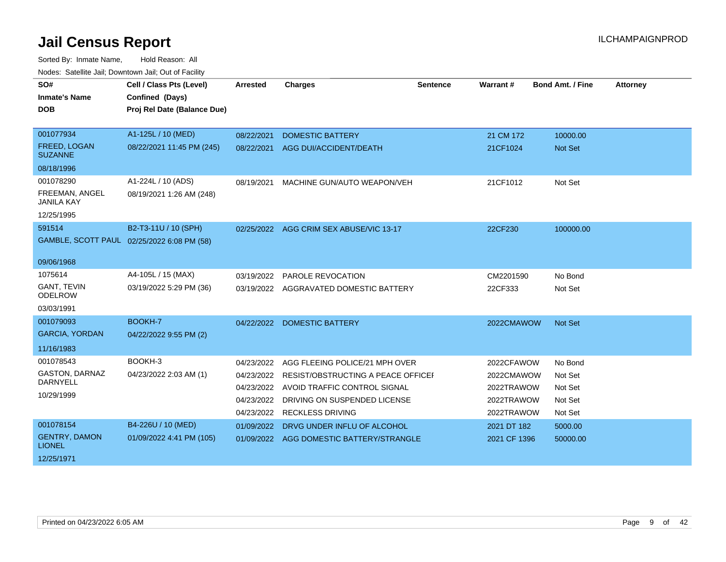| SO#<br><b>Inmate's Name</b><br><b>DOB</b> | Cell / Class Pts (Level)<br>Confined (Days)<br>Proj Rel Date (Balance Due) | <b>Arrested</b> | <b>Charges</b>                          | <b>Sentence</b> | Warrant#     | <b>Bond Amt. / Fine</b> | <b>Attorney</b> |
|-------------------------------------------|----------------------------------------------------------------------------|-----------------|-----------------------------------------|-----------------|--------------|-------------------------|-----------------|
| 001077934                                 | A1-125L / 10 (MED)                                                         | 08/22/2021      | <b>DOMESTIC BATTERY</b>                 |                 | 21 CM 172    | 10000.00                |                 |
| FREED, LOGAN<br><b>SUZANNE</b>            | 08/22/2021 11:45 PM (245)                                                  | 08/22/2021      | AGG DUI/ACCIDENT/DEATH                  |                 | 21CF1024     | <b>Not Set</b>          |                 |
| 08/18/1996                                |                                                                            |                 |                                         |                 |              |                         |                 |
| 001078290                                 | A1-224L / 10 (ADS)                                                         | 08/19/2021      | MACHINE GUN/AUTO WEAPON/VEH             |                 | 21CF1012     | Not Set                 |                 |
| FREEMAN, ANGEL<br><b>JANILA KAY</b>       | 08/19/2021 1:26 AM (248)                                                   |                 |                                         |                 |              |                         |                 |
| 12/25/1995                                |                                                                            |                 |                                         |                 |              |                         |                 |
| 591514                                    | B2-T3-11U / 10 (SPH)                                                       |                 | 02/25/2022 AGG CRIM SEX ABUSE/VIC 13-17 |                 | 22CF230      | 100000.00               |                 |
|                                           | GAMBLE, SCOTT PAUL 02/25/2022 6:08 PM (58)                                 |                 |                                         |                 |              |                         |                 |
| 09/06/1968                                |                                                                            |                 |                                         |                 |              |                         |                 |
| 1075614                                   | A4-105L / 15 (MAX)                                                         | 03/19/2022      | <b>PAROLE REVOCATION</b>                |                 | CM2201590    | No Bond                 |                 |
| <b>GANT, TEVIN</b><br><b>ODELROW</b>      | 03/19/2022 5:29 PM (36)                                                    |                 | 03/19/2022 AGGRAVATED DOMESTIC BATTERY  |                 | 22CF333      | Not Set                 |                 |
| 03/03/1991                                |                                                                            |                 |                                         |                 |              |                         |                 |
| 001079093                                 | BOOKH-7                                                                    |                 | 04/22/2022 DOMESTIC BATTERY             |                 | 2022CMAWOW   | <b>Not Set</b>          |                 |
| <b>GARCIA, YORDAN</b>                     | 04/22/2022 9:55 PM (2)                                                     |                 |                                         |                 |              |                         |                 |
| 11/16/1983                                |                                                                            |                 |                                         |                 |              |                         |                 |
| 001078543                                 | BOOKH-3                                                                    | 04/23/2022      | AGG FLEEING POLICE/21 MPH OVER          |                 | 2022CFAWOW   | No Bond                 |                 |
| <b>GASTON, DARNAZ</b>                     | 04/23/2022 2:03 AM (1)                                                     | 04/23/2022      | RESIST/OBSTRUCTING A PEACE OFFICEF      |                 | 2022CMAWOW   | Not Set                 |                 |
| <b>DARNYELL</b>                           |                                                                            | 04/23/2022      | AVOID TRAFFIC CONTROL SIGNAL            |                 | 2022TRAWOW   | Not Set                 |                 |
| 10/29/1999                                |                                                                            | 04/23/2022      | DRIVING ON SUSPENDED LICENSE            |                 | 2022TRAWOW   | Not Set                 |                 |
|                                           |                                                                            | 04/23/2022      | <b>RECKLESS DRIVING</b>                 |                 | 2022TRAWOW   | Not Set                 |                 |
| 001078154                                 | B4-226U / 10 (MED)                                                         | 01/09/2022      | DRVG UNDER INFLU OF ALCOHOL             |                 | 2021 DT 182  | 5000.00                 |                 |
| <b>GENTRY, DAMON</b><br><b>LIONEL</b>     | 01/09/2022 4:41 PM (105)                                                   | 01/09/2022      | AGG DOMESTIC BATTERY/STRANGLE           |                 | 2021 CF 1396 | 50000.00                |                 |
| 12/25/1971                                |                                                                            |                 |                                         |                 |              |                         |                 |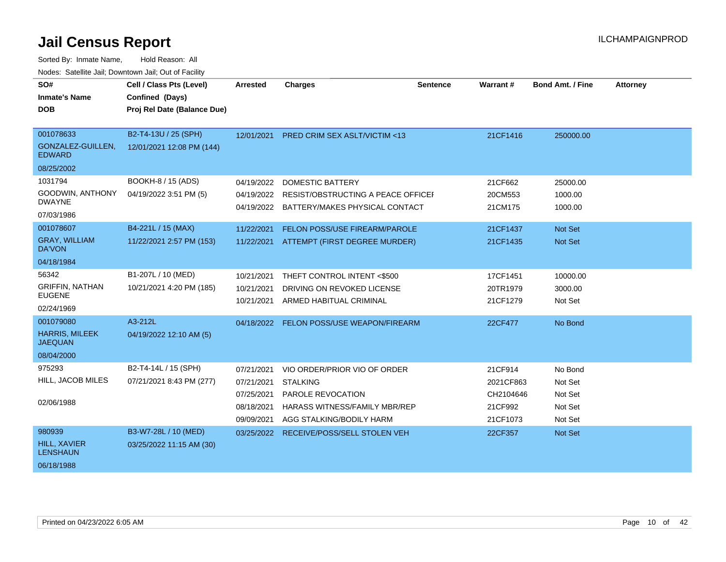| SO#<br><b>Inmate's Name</b><br><b>DOB</b>                          | Cell / Class Pts (Level)<br>Confined (Days)<br>Proj Rel Date (Balance Due) | Arrested                                                           | <b>Charges</b>                                                                                                                           | <b>Sentence</b> | <b>Warrant#</b>                                          | <b>Bond Amt. / Fine</b>                             | <b>Attorney</b> |
|--------------------------------------------------------------------|----------------------------------------------------------------------------|--------------------------------------------------------------------|------------------------------------------------------------------------------------------------------------------------------------------|-----------------|----------------------------------------------------------|-----------------------------------------------------|-----------------|
| 001078633<br>GONZALEZ-GUILLEN,<br><b>EDWARD</b><br>08/25/2002      | B2-T4-13U / 25 (SPH)<br>12/01/2021 12:08 PM (144)                          | 12/01/2021                                                         | <b>PRED CRIM SEX ASLT/VICTIM &lt;13</b>                                                                                                  |                 | 21CF1416                                                 | 250000.00                                           |                 |
| 1031794<br>GOODWIN, ANTHONY<br><b>DWAYNE</b><br>07/03/1986         | BOOKH-8 / 15 (ADS)<br>04/19/2022 3:51 PM (5)                               | 04/19/2022<br>04/19/2022                                           | <b>DOMESTIC BATTERY</b><br>RESIST/OBSTRUCTING A PEACE OFFICEI<br>04/19/2022 BATTERY/MAKES PHYSICAL CONTACT                               |                 | 21CF662<br>20CM553<br>21CM175                            | 25000.00<br>1000.00<br>1000.00                      |                 |
| 001078607<br><b>GRAY, WILLIAM</b><br>DA'VON<br>04/18/1984          | B4-221L / 15 (MAX)<br>11/22/2021 2:57 PM (153)                             | 11/22/2021                                                         | FELON POSS/USE FIREARM/PAROLE<br>11/22/2021 ATTEMPT (FIRST DEGREE MURDER)                                                                |                 | 21CF1437<br>21CF1435                                     | <b>Not Set</b><br>Not Set                           |                 |
| 56342<br><b>GRIFFIN, NATHAN</b><br><b>EUGENE</b><br>02/24/1969     | B1-207L / 10 (MED)<br>10/21/2021 4:20 PM (185)                             | 10/21/2021<br>10/21/2021<br>10/21/2021                             | THEFT CONTROL INTENT <\$500<br>DRIVING ON REVOKED LICENSE<br>ARMED HABITUAL CRIMINAL                                                     |                 | 17CF1451<br>20TR1979<br>21CF1279                         | 10000.00<br>3000.00<br>Not Set                      |                 |
| 001079080<br><b>HARRIS, MILEEK</b><br><b>JAEQUAN</b><br>08/04/2000 | A3-212L<br>04/19/2022 12:10 AM (5)                                         | 04/18/2022                                                         | FELON POSS/USE WEAPON/FIREARM                                                                                                            |                 | 22CF477                                                  | No Bond                                             |                 |
| 975293<br>HILL, JACOB MILES<br>02/06/1988                          | B2-T4-14L / 15 (SPH)<br>07/21/2021 8:43 PM (277)                           | 07/21/2021<br>07/21/2021<br>07/25/2021<br>08/18/2021<br>09/09/2021 | VIO ORDER/PRIOR VIO OF ORDER<br><b>STALKING</b><br>PAROLE REVOCATION<br><b>HARASS WITNESS/FAMILY MBR/REP</b><br>AGG STALKING/BODILY HARM |                 | 21CF914<br>2021CF863<br>CH2104646<br>21CF992<br>21CF1073 | No Bond<br>Not Set<br>Not Set<br>Not Set<br>Not Set |                 |
| 980939<br><b>HILL, XAVIER</b><br><b>LENSHAUN</b><br>06/18/1988     | B3-W7-28L / 10 (MED)<br>03/25/2022 11:15 AM (30)                           | 03/25/2022                                                         | RECEIVE/POSS/SELL STOLEN VEH                                                                                                             |                 | 22CF357                                                  | <b>Not Set</b>                                      |                 |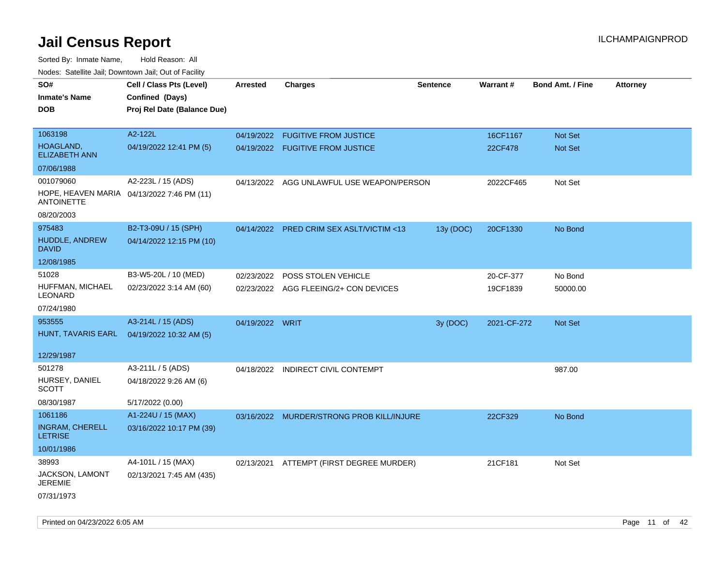| noaco. Catomto can, Domntonn can, Cat or I domt<br>SO#<br><b>Inmate's Name</b><br><b>DOB</b> | Cell / Class Pts (Level)<br>Confined (Days)<br>Proj Rel Date (Balance Due) | Arrested        | <b>Charges</b>                            | <b>Sentence</b> | Warrant#    | <b>Bond Amt. / Fine</b> | <b>Attorney</b> |
|----------------------------------------------------------------------------------------------|----------------------------------------------------------------------------|-----------------|-------------------------------------------|-----------------|-------------|-------------------------|-----------------|
| 1063198                                                                                      | A2-122L                                                                    | 04/19/2022      | <b>FUGITIVE FROM JUSTICE</b>              |                 | 16CF1167    | Not Set                 |                 |
| HOAGLAND,<br><b>ELIZABETH ANN</b>                                                            | 04/19/2022 12:41 PM (5)                                                    |                 | 04/19/2022 FUGITIVE FROM JUSTICE          |                 | 22CF478     | Not Set                 |                 |
| 07/06/1988                                                                                   |                                                                            |                 |                                           |                 |             |                         |                 |
| 001079060                                                                                    | A2-223L / 15 (ADS)                                                         | 04/13/2022      | AGG UNLAWFUL USE WEAPON/PERSON            |                 | 2022CF465   | Not Set                 |                 |
| HOPE, HEAVEN MARIA 04/13/2022 7:46 PM (11)<br><b>ANTOINETTE</b>                              |                                                                            |                 |                                           |                 |             |                         |                 |
| 08/20/2003                                                                                   |                                                                            |                 |                                           |                 |             |                         |                 |
| 975483                                                                                       | B2-T3-09U / 15 (SPH)                                                       | 04/14/2022      | <b>PRED CRIM SEX ASLT/VICTIM &lt;13</b>   | 13y (DOC)       | 20CF1330    | No Bond                 |                 |
| HUDDLE, ANDREW<br><b>DAVID</b>                                                               | 04/14/2022 12:15 PM (10)                                                   |                 |                                           |                 |             |                         |                 |
| 12/08/1985                                                                                   |                                                                            |                 |                                           |                 |             |                         |                 |
| 51028                                                                                        | B3-W5-20L / 10 (MED)                                                       | 02/23/2022      | POSS STOLEN VEHICLE                       |                 | 20-CF-377   | No Bond                 |                 |
| HUFFMAN, MICHAEL<br>LEONARD                                                                  | 02/23/2022 3:14 AM (60)                                                    | 02/23/2022      | AGG FLEEING/2+ CON DEVICES                |                 | 19CF1839    | 50000.00                |                 |
| 07/24/1980                                                                                   |                                                                            |                 |                                           |                 |             |                         |                 |
| 953555                                                                                       | A3-214L / 15 (ADS)                                                         | 04/19/2022 WRIT |                                           | 3y (DOC)        | 2021-CF-272 | <b>Not Set</b>          |                 |
| HUNT, TAVARIS EARL                                                                           | 04/19/2022 10:32 AM (5)                                                    |                 |                                           |                 |             |                         |                 |
| 12/29/1987                                                                                   |                                                                            |                 |                                           |                 |             |                         |                 |
| 501278                                                                                       | A3-211L / 5 (ADS)                                                          |                 | 04/18/2022 INDIRECT CIVIL CONTEMPT        |                 |             | 987.00                  |                 |
| HURSEY, DANIEL<br><b>SCOTT</b>                                                               | 04/18/2022 9:26 AM (6)                                                     |                 |                                           |                 |             |                         |                 |
| 08/30/1987                                                                                   | 5/17/2022 (0.00)                                                           |                 |                                           |                 |             |                         |                 |
| 1061186                                                                                      | A1-224U / 15 (MAX)                                                         |                 | 03/16/2022 MURDER/STRONG PROB KILL/INJURE |                 | 22CF329     | No Bond                 |                 |
| <b>INGRAM, CHERELL</b><br><b>LETRISE</b>                                                     | 03/16/2022 10:17 PM (39)                                                   |                 |                                           |                 |             |                         |                 |
| 10/01/1986                                                                                   |                                                                            |                 |                                           |                 |             |                         |                 |
| 38993                                                                                        | A4-101L / 15 (MAX)                                                         | 02/13/2021      | ATTEMPT (FIRST DEGREE MURDER)             |                 | 21CF181     | Not Set                 |                 |
| <b>JACKSON, LAMONT</b><br>JEREMIE                                                            | 02/13/2021 7:45 AM (435)                                                   |                 |                                           |                 |             |                         |                 |
| 07/31/1973                                                                                   |                                                                            |                 |                                           |                 |             |                         |                 |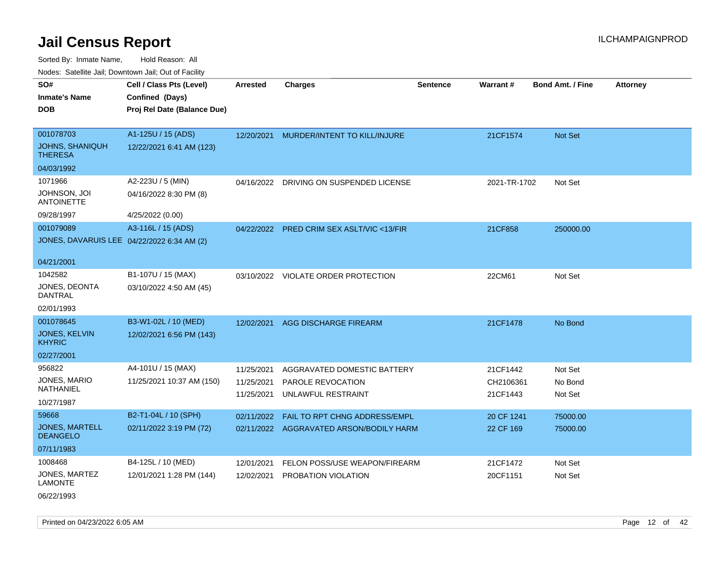Sorted By: Inmate Name, Hold Reason: All Nodes: Satellite Jail; Downtown Jail; Out of Facility

| roaco. Calcinio dan, Domnomi dan, Cal or Fability |                             |                 |                                          |                 |              |                         |                 |
|---------------------------------------------------|-----------------------------|-----------------|------------------------------------------|-----------------|--------------|-------------------------|-----------------|
| SO#                                               | Cell / Class Pts (Level)    | <b>Arrested</b> | <b>Charges</b>                           | <b>Sentence</b> | Warrant#     | <b>Bond Amt. / Fine</b> | <b>Attorney</b> |
| Inmate's Name                                     | Confined (Days)             |                 |                                          |                 |              |                         |                 |
| <b>DOB</b>                                        | Proj Rel Date (Balance Due) |                 |                                          |                 |              |                         |                 |
|                                                   |                             |                 |                                          |                 |              |                         |                 |
| 001078703                                         | A1-125U / 15 (ADS)          | 12/20/2021      | MURDER/INTENT TO KILL/INJURE             |                 | 21CF1574     | <b>Not Set</b>          |                 |
| JOHNS, SHANIQUH<br>THERESA                        | 12/22/2021 6:41 AM (123)    |                 |                                          |                 |              |                         |                 |
| 04/03/1992                                        |                             |                 |                                          |                 |              |                         |                 |
| 1071966                                           | A2-223U / 5 (MIN)           | 04/16/2022      | DRIVING ON SUSPENDED LICENSE             |                 | 2021-TR-1702 | Not Set                 |                 |
| JOHNSON, JOI<br><b>ANTOINETTE</b>                 | 04/16/2022 8:30 PM (8)      |                 |                                          |                 |              |                         |                 |
| 09/28/1997                                        | 4/25/2022 (0.00)            |                 |                                          |                 |              |                         |                 |
| 001079089                                         | A3-116L / 15 (ADS)          | 04/22/2022      | <b>PRED CRIM SEX ASLT/VIC &lt;13/FIR</b> |                 | 21CF858      | 250000.00               |                 |
| JONES, DAVARUIS LEE 04/22/2022 6:34 AM (2)        |                             |                 |                                          |                 |              |                         |                 |
|                                                   |                             |                 |                                          |                 |              |                         |                 |
| 04/21/2001                                        |                             |                 |                                          |                 |              |                         |                 |
| 1042582                                           | B1-107U / 15 (MAX)          |                 | 03/10/2022 VIOLATE ORDER PROTECTION      |                 | 22CM61       | Not Set                 |                 |
| JONES, DEONTA<br>DANTRAL                          | 03/10/2022 4:50 AM (45)     |                 |                                          |                 |              |                         |                 |
| 02/01/1993                                        |                             |                 |                                          |                 |              |                         |                 |
| 001078645                                         | B3-W1-02L / 10 (MED)        | 12/02/2021      | <b>AGG DISCHARGE FIREARM</b>             |                 | 21CF1478     | No Bond                 |                 |
| <b>JONES, KELVIN</b><br><b>KHYRIC</b>             | 12/02/2021 6:56 PM (143)    |                 |                                          |                 |              |                         |                 |
| 02/27/2001                                        |                             |                 |                                          |                 |              |                         |                 |
| 956822                                            | A4-101U / 15 (MAX)          | 11/25/2021      | AGGRAVATED DOMESTIC BATTERY              |                 | 21CF1442     | Not Set                 |                 |
| JONES, MARIO<br>NATHANIEL                         | 11/25/2021 10:37 AM (150)   | 11/25/2021      | PAROLE REVOCATION                        |                 | CH2106361    | No Bond                 |                 |
| 10/27/1987                                        |                             | 11/25/2021      | UNLAWFUL RESTRAINT                       |                 | 21CF1443     | Not Set                 |                 |
|                                                   |                             |                 |                                          |                 |              |                         |                 |
| 59668                                             | B2-T1-04L / 10 (SPH)        | 02/11/2022      | FAIL TO RPT CHNG ADDRESS/EMPL            |                 | 20 CF 1241   | 75000.00                |                 |
| JONES, MARTELL<br><b>DEANGELO</b>                 | 02/11/2022 3:19 PM (72)     |                 | 02/11/2022 AGGRAVATED ARSON/BODILY HARM  |                 | 22 CF 169    | 75000.00                |                 |
| 07/11/1983                                        |                             |                 |                                          |                 |              |                         |                 |
| 1008468                                           | B4-125L / 10 (MED)          | 12/01/2021      | FELON POSS/USE WEAPON/FIREARM            |                 | 21CF1472     | Not Set                 |                 |
| JONES, MARTEZ<br>LAMONTE                          | 12/01/2021 1:28 PM (144)    | 12/02/2021      | PROBATION VIOLATION                      |                 | 20CF1151     | Not Set                 |                 |

06/22/1993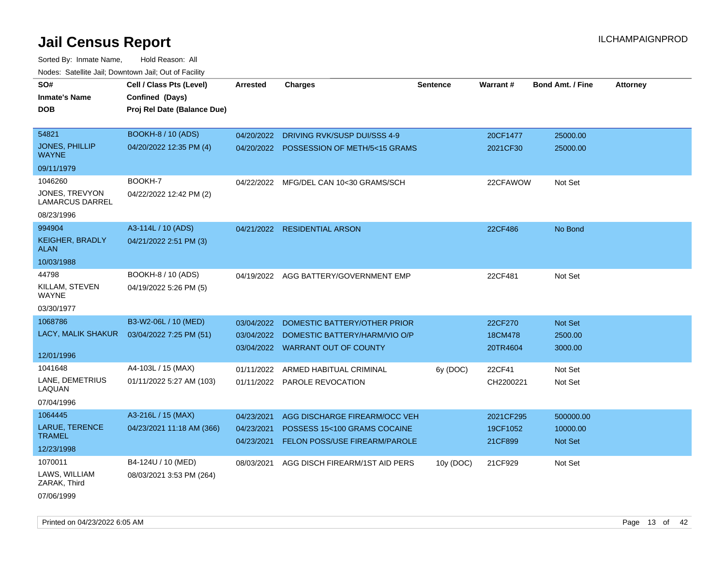| roaco. Catolino dall, Downtown dall, Out of Fability |                             |                          |                                                                      |                 |                     |                            |                 |
|------------------------------------------------------|-----------------------------|--------------------------|----------------------------------------------------------------------|-----------------|---------------------|----------------------------|-----------------|
| SO#                                                  | Cell / Class Pts (Level)    | <b>Arrested</b>          | <b>Charges</b>                                                       | <b>Sentence</b> | Warrant#            | <b>Bond Amt. / Fine</b>    | <b>Attorney</b> |
| <b>Inmate's Name</b>                                 | Confined (Days)             |                          |                                                                      |                 |                     |                            |                 |
| <b>DOB</b>                                           | Proj Rel Date (Balance Due) |                          |                                                                      |                 |                     |                            |                 |
|                                                      |                             |                          |                                                                      |                 |                     |                            |                 |
| 54821                                                | <b>BOOKH-8 / 10 (ADS)</b>   |                          | 04/20/2022 DRIVING RVK/SUSP DUI/SSS 4-9                              |                 | 20CF1477            | 25000.00                   |                 |
| JONES, PHILLIP<br><b>WAYNE</b>                       | 04/20/2022 12:35 PM (4)     |                          | 04/20/2022 POSSESSION OF METH/5<15 GRAMS                             |                 | 2021CF30            | 25000.00                   |                 |
| 09/11/1979                                           |                             |                          |                                                                      |                 |                     |                            |                 |
| 1046260                                              | BOOKH-7                     |                          | 04/22/2022 MFG/DEL CAN 10<30 GRAMS/SCH                               |                 | 22CFAWOW            | Not Set                    |                 |
| JONES, TREVYON<br><b>LAMARCUS DARREL</b>             | 04/22/2022 12:42 PM (2)     |                          |                                                                      |                 |                     |                            |                 |
| 08/23/1996                                           |                             |                          |                                                                      |                 |                     |                            |                 |
| 994904                                               | A3-114L / 10 (ADS)          |                          | 04/21/2022 RESIDENTIAL ARSON                                         |                 | 22CF486             | No Bond                    |                 |
| <b>KEIGHER, BRADLY</b><br><b>ALAN</b>                | 04/21/2022 2:51 PM (3)      |                          |                                                                      |                 |                     |                            |                 |
| 10/03/1988                                           |                             |                          |                                                                      |                 |                     |                            |                 |
| 44798                                                | BOOKH-8 / 10 (ADS)          |                          | 04/19/2022 AGG BATTERY/GOVERNMENT EMP                                |                 | 22CF481             | Not Set                    |                 |
| KILLAM, STEVEN<br><b>WAYNE</b>                       | 04/19/2022 5:26 PM (5)      |                          |                                                                      |                 |                     |                            |                 |
| 03/30/1977                                           |                             |                          |                                                                      |                 |                     |                            |                 |
| 1068786                                              | B3-W2-06L / 10 (MED)        | 03/04/2022               | DOMESTIC BATTERY/OTHER PRIOR                                         |                 | 22CF270             | Not Set                    |                 |
| LACY, MALIK SHAKUR                                   | 03/04/2022 7:25 PM (51)     |                          | 03/04/2022 DOMESTIC BATTERY/HARM/VIO O/P                             |                 | 18CM478             | 2500.00                    |                 |
|                                                      |                             |                          | 03/04/2022 WARRANT OUT OF COUNTY                                     |                 | 20TR4604            | 3000.00                    |                 |
| 12/01/1996                                           |                             |                          |                                                                      |                 |                     |                            |                 |
| 1041648                                              | A4-103L / 15 (MAX)          | 01/11/2022               | ARMED HABITUAL CRIMINAL                                              | 6y (DOC)        | 22CF41              | Not Set                    |                 |
| LANE, DEMETRIUS<br>LAQUAN                            | 01/11/2022 5:27 AM (103)    |                          | 01/11/2022 PAROLE REVOCATION                                         |                 | CH2200221           | Not Set                    |                 |
| 07/04/1996                                           |                             |                          |                                                                      |                 |                     |                            |                 |
| 1064445                                              | A3-216L / 15 (MAX)          | 04/23/2021               | AGG DISCHARGE FIREARM/OCC VEH                                        |                 | 2021CF295           | 500000.00                  |                 |
| LARUE, TERENCE<br><b>TRAMEL</b>                      | 04/23/2021 11:18 AM (366)   | 04/23/2021<br>04/23/2021 | POSSESS 15<100 GRAMS COCAINE<br><b>FELON POSS/USE FIREARM/PAROLE</b> |                 | 19CF1052<br>21CF899 | 10000.00<br><b>Not Set</b> |                 |
| 12/23/1998                                           |                             |                          |                                                                      |                 |                     |                            |                 |
| 1070011                                              | B4-124U / 10 (MED)          | 08/03/2021               | AGG DISCH FIREARM/1ST AID PERS                                       | 10y (DOC)       | 21CF929             | Not Set                    |                 |
| LAWS, WILLIAM<br>ZARAK, Third                        | 08/03/2021 3:53 PM (264)    |                          |                                                                      |                 |                     |                            |                 |
| 07/06/1999                                           |                             |                          |                                                                      |                 |                     |                            |                 |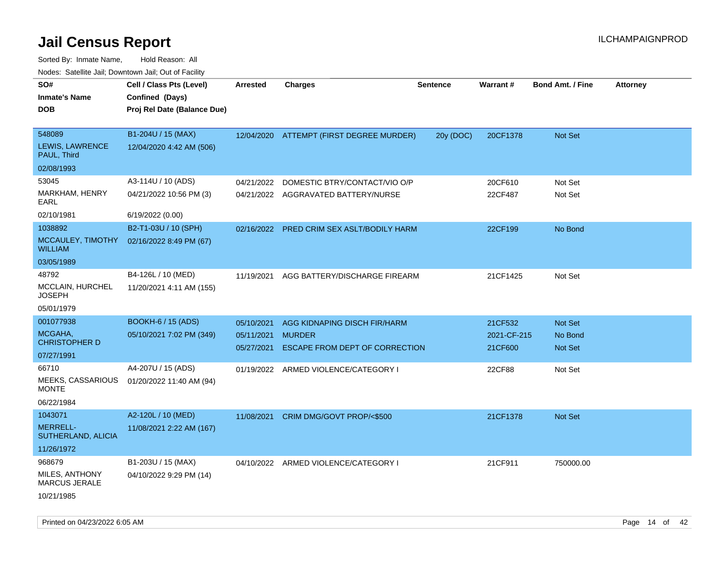| 10000. Catolino can, Domntonn can, Oat or I domt<br>SO# | Cell / Class Pts (Level)                       | Arrested   | <b>Charges</b>                            | <b>Sentence</b> | <b>Warrant#</b> | <b>Bond Amt. / Fine</b> | <b>Attorney</b> |
|---------------------------------------------------------|------------------------------------------------|------------|-------------------------------------------|-----------------|-----------------|-------------------------|-----------------|
| Inmate's Name<br><b>DOB</b>                             | Confined (Days)<br>Proj Rel Date (Balance Due) |            |                                           |                 |                 |                         |                 |
| 548089                                                  | B1-204U / 15 (MAX)                             |            | 12/04/2020 ATTEMPT (FIRST DEGREE MURDER)  | 20y (DOC)       | 20CF1378        | Not Set                 |                 |
| <b>LEWIS, LAWRENCE</b><br>PAUL, Third                   | 12/04/2020 4:42 AM (506)                       |            |                                           |                 |                 |                         |                 |
| 02/08/1993                                              |                                                |            |                                           |                 |                 |                         |                 |
| 53045                                                   | A3-114U / 10 (ADS)                             | 04/21/2022 | DOMESTIC BTRY/CONTACT/VIO O/P             |                 | 20CF610         | Not Set                 |                 |
| MARKHAM, HENRY<br>EARL                                  | 04/21/2022 10:56 PM (3)                        |            | 04/21/2022 AGGRAVATED BATTERY/NURSE       |                 | 22CF487         | Not Set                 |                 |
| 02/10/1981                                              | 6/19/2022 (0.00)                               |            |                                           |                 |                 |                         |                 |
| 1038892                                                 | B2-T1-03U / 10 (SPH)                           |            | 02/16/2022 PRED CRIM SEX ASLT/BODILY HARM |                 | 22CF199         | No Bond                 |                 |
| <b>WILLIAM</b>                                          | MCCAULEY, TIMOTHY 02/16/2022 8:49 PM (67)      |            |                                           |                 |                 |                         |                 |
| 03/05/1989                                              |                                                |            |                                           |                 |                 |                         |                 |
| 48792                                                   | B4-126L / 10 (MED)                             | 11/19/2021 | AGG BATTERY/DISCHARGE FIREARM             |                 | 21CF1425        | Not Set                 |                 |
| MCCLAIN, HURCHEL<br>JOSEPH                              | 11/20/2021 4:11 AM (155)                       |            |                                           |                 |                 |                         |                 |
| 05/01/1979                                              |                                                |            |                                           |                 |                 |                         |                 |
| 001077938                                               | <b>BOOKH-6 / 15 (ADS)</b>                      | 05/10/2021 | AGG KIDNAPING DISCH FIR/HARM              |                 | 21CF532         | Not Set                 |                 |
| MCGAHA,                                                 | 05/10/2021 7:02 PM (349)                       | 05/11/2021 | <b>MURDER</b>                             |                 | 2021-CF-215     | No Bond                 |                 |
| <b>CHRISTOPHER D</b>                                    |                                                | 05/27/2021 | ESCAPE FROM DEPT OF CORRECTION            |                 | 21CF600         | <b>Not Set</b>          |                 |
| 07/27/1991                                              |                                                |            |                                           |                 |                 |                         |                 |
| 66710                                                   | A4-207U / 15 (ADS)                             |            | 01/19/2022 ARMED VIOLENCE/CATEGORY I      |                 | 22CF88          | Not Set                 |                 |
| <b>MEEKS, CASSARIOUS</b><br>MONTE                       | 01/20/2022 11:40 AM (94)                       |            |                                           |                 |                 |                         |                 |
| 06/22/1984                                              |                                                |            |                                           |                 |                 |                         |                 |
| 1043071                                                 | A2-120L / 10 (MED)                             | 11/08/2021 | CRIM DMG/GOVT PROP/<\$500                 |                 | 21CF1378        | <b>Not Set</b>          |                 |
| <b>MERRELL-</b><br>SUTHERLAND, ALICIA                   | 11/08/2021 2:22 AM (167)                       |            |                                           |                 |                 |                         |                 |
| 11/26/1972                                              |                                                |            |                                           |                 |                 |                         |                 |
| 968679                                                  | B1-203U / 15 (MAX)                             |            | 04/10/2022 ARMED VIOLENCE/CATEGORY I      |                 | 21CF911         | 750000.00               |                 |
| MILES, ANTHONY<br>MARCUS JERALE                         | 04/10/2022 9:29 PM (14)                        |            |                                           |                 |                 |                         |                 |
| 10/21/1985                                              |                                                |            |                                           |                 |                 |                         |                 |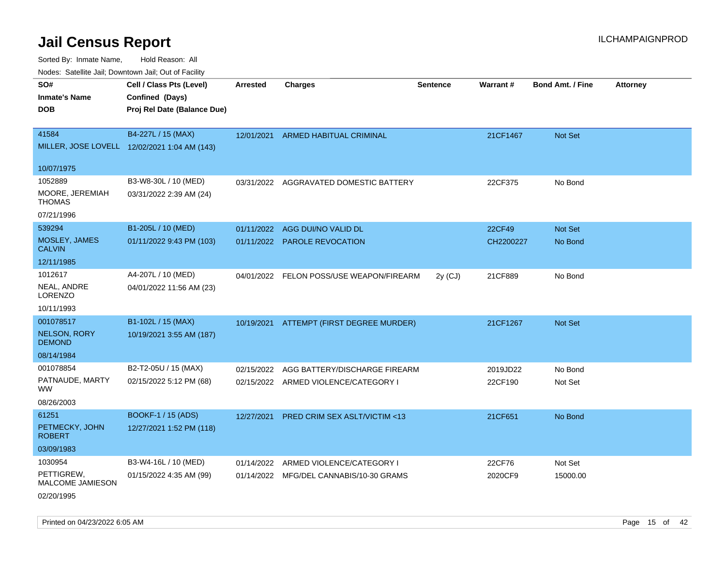Sorted By: Inmate Name, Hold Reason: All

| Nodes: Satellite Jail; Downtown Jail; Out of Facility |                                              |                 |                                          |                 |           |                         |                 |
|-------------------------------------------------------|----------------------------------------------|-----------------|------------------------------------------|-----------------|-----------|-------------------------|-----------------|
| SO#                                                   | Cell / Class Pts (Level)                     | <b>Arrested</b> | <b>Charges</b>                           | <b>Sentence</b> | Warrant#  | <b>Bond Amt. / Fine</b> | <b>Attorney</b> |
| <b>Inmate's Name</b>                                  | Confined (Days)                              |                 |                                          |                 |           |                         |                 |
| <b>DOB</b>                                            | Proj Rel Date (Balance Due)                  |                 |                                          |                 |           |                         |                 |
|                                                       |                                              |                 |                                          |                 |           |                         |                 |
| 41584                                                 | B4-227L / 15 (MAX)                           | 12/01/2021      | ARMED HABITUAL CRIMINAL                  |                 | 21CF1467  | Not Set                 |                 |
|                                                       | MILLER, JOSE LOVELL 12/02/2021 1:04 AM (143) |                 |                                          |                 |           |                         |                 |
| 10/07/1975                                            |                                              |                 |                                          |                 |           |                         |                 |
| 1052889                                               | B3-W8-30L / 10 (MED)                         |                 | 03/31/2022 AGGRAVATED DOMESTIC BATTERY   |                 | 22CF375   | No Bond                 |                 |
| MOORE, JEREMIAH                                       | 03/31/2022 2:39 AM (24)                      |                 |                                          |                 |           |                         |                 |
| <b>THOMAS</b>                                         |                                              |                 |                                          |                 |           |                         |                 |
| 07/21/1996                                            |                                              |                 |                                          |                 |           |                         |                 |
| 539294                                                | B1-205L / 10 (MED)                           | 01/11/2022      | AGG DUI/NO VALID DL                      |                 | 22CF49    | Not Set                 |                 |
| MOSLEY, JAMES<br><b>CALVIN</b>                        | 01/11/2022 9:43 PM (103)                     | 01/11/2022      | <b>PAROLE REVOCATION</b>                 |                 | CH2200227 | No Bond                 |                 |
| 12/11/1985                                            |                                              |                 |                                          |                 |           |                         |                 |
| 1012617                                               | A4-207L / 10 (MED)                           |                 | 04/01/2022 FELON POSS/USE WEAPON/FIREARM |                 | 21CF889   | No Bond                 |                 |
| NEAL, ANDRE                                           | 04/01/2022 11:56 AM (23)                     |                 |                                          | 2y (CJ)         |           |                         |                 |
| LORENZO                                               |                                              |                 |                                          |                 |           |                         |                 |
| 10/11/1993                                            |                                              |                 |                                          |                 |           |                         |                 |
| 001078517                                             | B1-102L / 15 (MAX)                           | 10/19/2021      | ATTEMPT (FIRST DEGREE MURDER)            |                 | 21CF1267  | Not Set                 |                 |
| NELSON, RORY                                          | 10/19/2021 3:55 AM (187)                     |                 |                                          |                 |           |                         |                 |
| <b>DEMOND</b>                                         |                                              |                 |                                          |                 |           |                         |                 |
| 08/14/1984                                            |                                              |                 |                                          |                 |           |                         |                 |
| 001078854                                             | B2-T2-05U / 15 (MAX)                         | 02/15/2022      | AGG BATTERY/DISCHARGE FIREARM            |                 | 2019JD22  | No Bond                 |                 |
| PATNAUDE, MARTY<br><b>WW</b>                          | 02/15/2022 5:12 PM (68)                      |                 | 02/15/2022 ARMED VIOLENCE/CATEGORY I     |                 | 22CF190   | Not Set                 |                 |
| 08/26/2003                                            |                                              |                 |                                          |                 |           |                         |                 |
| 61251                                                 | <b>BOOKF-1 / 15 (ADS)</b>                    | 12/27/2021      | PRED CRIM SEX ASLT/VICTIM <13            |                 | 21CF651   | No Bond                 |                 |
| PETMECKY, JOHN<br><b>ROBERT</b>                       | 12/27/2021 1:52 PM (118)                     |                 |                                          |                 |           |                         |                 |
| 03/09/1983                                            |                                              |                 |                                          |                 |           |                         |                 |
| 1030954                                               | B3-W4-16L / 10 (MED)                         | 01/14/2022      | ARMED VIOLENCE/CATEGORY I                |                 | 22CF76    | Not Set                 |                 |
| PETTIGREW,                                            | 01/15/2022 4:35 AM (99)                      |                 | 01/14/2022 MFG/DEL CANNABIS/10-30 GRAMS  |                 | 2020CF9   | 15000.00                |                 |
| MALCOME JAMIESON                                      |                                              |                 |                                          |                 |           |                         |                 |
| 02/20/1995                                            |                                              |                 |                                          |                 |           |                         |                 |

Printed on 04/23/2022 6:05 AM Page 15 of 42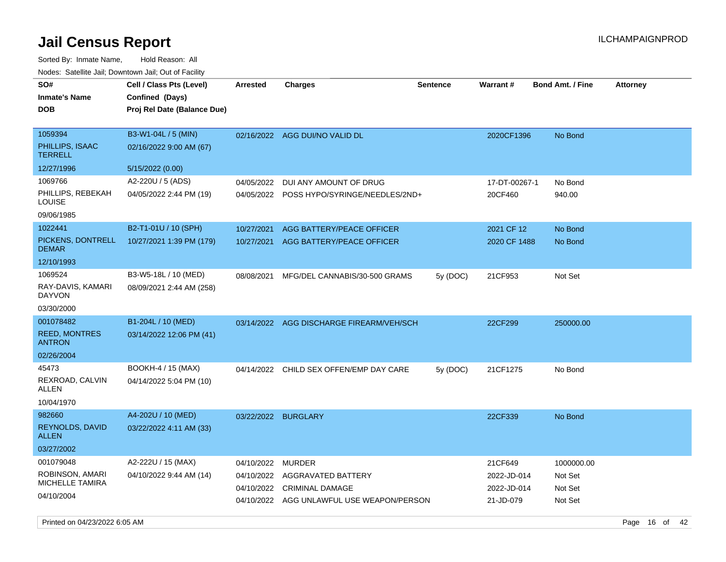Sorted By: Inmate Name, Hold Reason: All Nodes: Satellite Jail; Downtown Jail; Out of Facility

| SO#<br><b>Inmate's Name</b><br><b>DOB</b>                            | Cell / Class Pts (Level)<br>Confined (Days)<br>Proj Rel Date (Balance Due) | <b>Arrested</b>     | <b>Charges</b>                                                                                                     | <b>Sentence</b> | Warrant#                                           | <b>Bond Amt. / Fine</b>                     | <b>Attorney</b> |
|----------------------------------------------------------------------|----------------------------------------------------------------------------|---------------------|--------------------------------------------------------------------------------------------------------------------|-----------------|----------------------------------------------------|---------------------------------------------|-----------------|
| 1059394<br>PHILLIPS, ISAAC<br><b>TERRELL</b>                         | B3-W1-04L / 5 (MIN)<br>02/16/2022 9:00 AM (67)                             |                     | 02/16/2022 AGG DUI/NO VALID DL                                                                                     |                 | 2020CF1396                                         | No Bond                                     |                 |
| 12/27/1996                                                           | 5/15/2022 (0.00)                                                           |                     |                                                                                                                    |                 |                                                    |                                             |                 |
| 1069766<br>PHILLIPS, REBEKAH<br><b>LOUISE</b>                        | A2-220U / 5 (ADS)<br>04/05/2022 2:44 PM (19)                               | 04/05/2022          | DUI ANY AMOUNT OF DRUG<br>04/05/2022 POSS HYPO/SYRINGE/NEEDLES/2ND+                                                |                 | 17-DT-00267-1<br>20CF460                           | No Bond<br>940.00                           |                 |
| 09/06/1985                                                           |                                                                            |                     |                                                                                                                    |                 |                                                    |                                             |                 |
| 1022441<br>PICKENS, DONTRELL<br><b>DEMAR</b>                         | B2-T1-01U / 10 (SPH)<br>10/27/2021 1:39 PM (179)                           | 10/27/2021          | AGG BATTERY/PEACE OFFICER<br>10/27/2021 AGG BATTERY/PEACE OFFICER                                                  |                 | 2021 CF 12<br>2020 CF 1488                         | No Bond<br>No Bond                          |                 |
| 12/10/1993                                                           |                                                                            |                     |                                                                                                                    |                 |                                                    |                                             |                 |
| 1069524<br>RAY-DAVIS, KAMARI<br><b>DAYVON</b><br>03/30/2000          | B3-W5-18L / 10 (MED)<br>08/09/2021 2:44 AM (258)                           | 08/08/2021          | MFG/DEL CANNABIS/30-500 GRAMS                                                                                      | 5y (DOC)        | 21CF953                                            | Not Set                                     |                 |
| 001078482                                                            | B1-204L / 10 (MED)                                                         |                     | 03/14/2022 AGG DISCHARGE FIREARM/VEH/SCH                                                                           |                 | 22CF299                                            | 250000.00                                   |                 |
| <b>REED, MONTRES</b><br><b>ANTRON</b>                                | 03/14/2022 12:06 PM (41)                                                   |                     |                                                                                                                    |                 |                                                    |                                             |                 |
| 02/26/2004                                                           |                                                                            |                     |                                                                                                                    |                 |                                                    |                                             |                 |
| 45473<br>REXROAD, CALVIN<br>ALLEN<br>10/04/1970                      | BOOKH-4 / 15 (MAX)<br>04/14/2022 5:04 PM (10)                              |                     | 04/14/2022 CHILD SEX OFFEN/EMP DAY CARE                                                                            | 5y(DOC)         | 21CF1275                                           | No Bond                                     |                 |
| 982660<br><b>REYNOLDS, DAVID</b><br><b>ALLEN</b><br>03/27/2002       | A4-202U / 10 (MED)<br>03/22/2022 4:11 AM (33)                              | 03/22/2022 BURGLARY |                                                                                                                    |                 | 22CF339                                            | No Bond                                     |                 |
| 001079048<br>ROBINSON, AMARI<br><b>MICHELLE TAMIRA</b><br>04/10/2004 | A2-222U / 15 (MAX)<br>04/10/2022 9:44 AM (14)                              | 04/10/2022          | MURDER<br>04/10/2022 AGGRAVATED BATTERY<br>04/10/2022 CRIMINAL DAMAGE<br>04/10/2022 AGG UNLAWFUL USE WEAPON/PERSON |                 | 21CF649<br>2022-JD-014<br>2022-JD-014<br>21-JD-079 | 1000000.00<br>Not Set<br>Not Set<br>Not Set |                 |

Printed on 04/23/2022 6:05 AM Page 16 of 42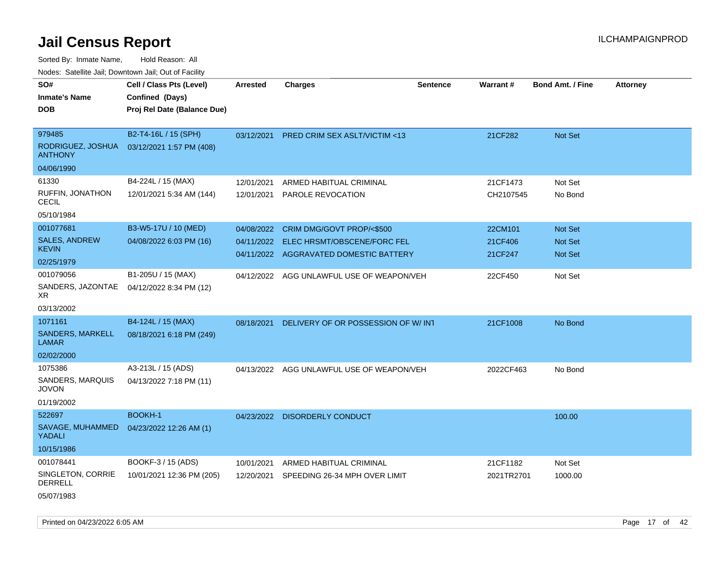Sorted By: Inmate Name, Hold Reason: All Nodes: Satellite Jail; Downtown Jail; Out of Facility

| SO#<br><b>Inmate's Name</b>             | Cell / Class Pts (Level)<br>Confined (Days) | <b>Arrested</b> | <b>Charges</b>                            | <b>Sentence</b> | Warrant#   | <b>Bond Amt. / Fine</b> | <b>Attorney</b> |
|-----------------------------------------|---------------------------------------------|-----------------|-------------------------------------------|-----------------|------------|-------------------------|-----------------|
| <b>DOB</b>                              | Proj Rel Date (Balance Due)                 |                 |                                           |                 |            |                         |                 |
|                                         |                                             |                 |                                           |                 |            |                         |                 |
| 979485                                  | B2-T4-16L / 15 (SPH)                        | 03/12/2021      | PRED CRIM SEX ASLT/VICTIM <13             |                 | 21CF282    | Not Set                 |                 |
| RODRIGUEZ, JOSHUA<br><b>ANTHONY</b>     | 03/12/2021 1:57 PM (408)                    |                 |                                           |                 |            |                         |                 |
| 04/06/1990                              |                                             |                 |                                           |                 |            |                         |                 |
| 61330                                   | B4-224L / 15 (MAX)                          | 12/01/2021      | ARMED HABITUAL CRIMINAL                   |                 | 21CF1473   | Not Set                 |                 |
| RUFFIN, JONATHON<br><b>CECIL</b>        | 12/01/2021 5:34 AM (144)                    | 12/01/2021      | <b>PAROLE REVOCATION</b>                  |                 | CH2107545  | No Bond                 |                 |
| 05/10/1984                              |                                             |                 |                                           |                 |            |                         |                 |
| 001077681                               | B3-W5-17U / 10 (MED)                        | 04/08/2022      | CRIM DMG/GOVT PROP/<\$500                 |                 | 22CM101    | Not Set                 |                 |
| <b>SALES, ANDREW</b>                    | 04/08/2022 6:03 PM (16)                     | 04/11/2022      | ELEC HRSMT/OBSCENE/FORC FEL               |                 | 21CF406    | Not Set                 |                 |
| <b>KEVIN</b>                            |                                             |                 | 04/11/2022 AGGRAVATED DOMESTIC BATTERY    |                 | 21CF247    | <b>Not Set</b>          |                 |
| 02/25/1979                              |                                             |                 |                                           |                 |            |                         |                 |
| 001079056                               | B1-205U / 15 (MAX)                          |                 | 04/12/2022 AGG UNLAWFUL USE OF WEAPON/VEH |                 | 22CF450    | Not Set                 |                 |
| XR.                                     | SANDERS, JAZONTAE 04/12/2022 8:34 PM (12)   |                 |                                           |                 |            |                         |                 |
| 03/13/2002                              |                                             |                 |                                           |                 |            |                         |                 |
| 1071161                                 | B4-124L / 15 (MAX)                          | 08/18/2021      | DELIVERY OF OR POSSESSION OF W/INT        |                 | 21CF1008   | No Bond                 |                 |
| <b>SANDERS, MARKELL</b><br><b>LAMAR</b> | 08/18/2021 6:18 PM (249)                    |                 |                                           |                 |            |                         |                 |
| 02/02/2000                              |                                             |                 |                                           |                 |            |                         |                 |
| 1075386                                 | A3-213L / 15 (ADS)                          |                 | 04/13/2022 AGG UNLAWFUL USE OF WEAPON/VEH |                 | 2022CF463  | No Bond                 |                 |
| SANDERS, MARQUIS<br><b>JOVON</b>        | 04/13/2022 7:18 PM (11)                     |                 |                                           |                 |            |                         |                 |
| 01/19/2002                              |                                             |                 |                                           |                 |            |                         |                 |
| 522697                                  | <b>BOOKH-1</b>                              |                 | 04/23/2022 DISORDERLY CONDUCT             |                 |            | 100.00                  |                 |
| SAVAGE, MUHAMMED<br>YADALI              | 04/23/2022 12:26 AM (1)                     |                 |                                           |                 |            |                         |                 |
| 10/15/1986                              |                                             |                 |                                           |                 |            |                         |                 |
| 001078441                               | BOOKF-3 / 15 (ADS)                          | 10/01/2021      | ARMED HABITUAL CRIMINAL                   |                 | 21CF1182   | Not Set                 |                 |
| SINGLETON, CORRIE<br><b>DERRELL</b>     | 10/01/2021 12:36 PM (205)                   | 12/20/2021      | SPEEDING 26-34 MPH OVER LIMIT             |                 | 2021TR2701 | 1000.00                 |                 |
| 05/07/1983                              |                                             |                 |                                           |                 |            |                         |                 |

Printed on 04/23/2022 6:05 AM Page 17 of 42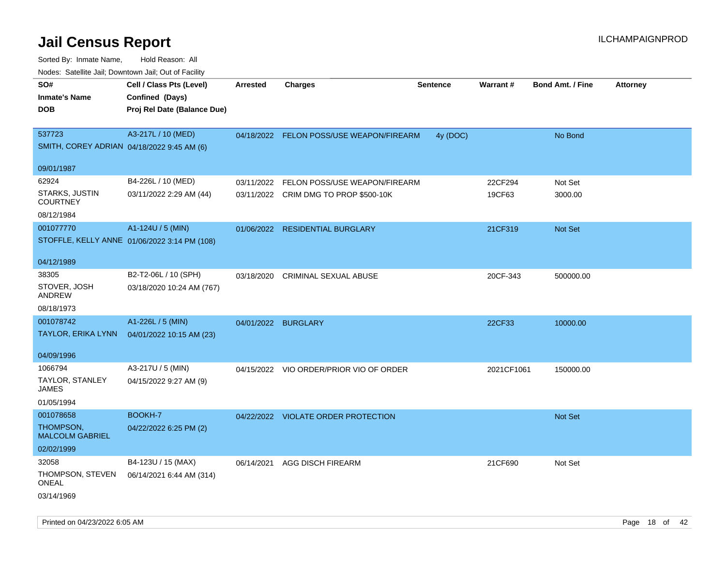| rougs. Calcing Jan, Downtown Jan, Out of Facility |                                              |                 |                                          |                 |            |                         |                 |
|---------------------------------------------------|----------------------------------------------|-----------------|------------------------------------------|-----------------|------------|-------------------------|-----------------|
| SO#                                               | Cell / Class Pts (Level)                     | <b>Arrested</b> | <b>Charges</b>                           | <b>Sentence</b> | Warrant#   | <b>Bond Amt. / Fine</b> | <b>Attorney</b> |
| <b>Inmate's Name</b>                              | Confined (Days)                              |                 |                                          |                 |            |                         |                 |
| <b>DOB</b>                                        | Proj Rel Date (Balance Due)                  |                 |                                          |                 |            |                         |                 |
|                                                   |                                              |                 |                                          |                 |            |                         |                 |
| 537723                                            | A3-217L / 10 (MED)                           |                 | 04/18/2022 FELON POSS/USE WEAPON/FIREARM | 4y (DOC)        |            | No Bond                 |                 |
| SMITH, COREY ADRIAN 04/18/2022 9:45 AM (6)        |                                              |                 |                                          |                 |            |                         |                 |
|                                                   |                                              |                 |                                          |                 |            |                         |                 |
| 09/01/1987                                        |                                              |                 |                                          |                 |            |                         |                 |
| 62924                                             | B4-226L / 10 (MED)                           | 03/11/2022      | FELON POSS/USE WEAPON/FIREARM            |                 | 22CF294    | Not Set                 |                 |
| <b>STARKS, JUSTIN</b><br><b>COURTNEY</b>          | 03/11/2022 2:29 AM (44)                      |                 | 03/11/2022 CRIM DMG TO PROP \$500-10K    |                 | 19CF63     | 3000.00                 |                 |
| 08/12/1984                                        |                                              |                 |                                          |                 |            |                         |                 |
| 001077770                                         | A1-124U / 5 (MIN)                            | 01/06/2022      | <b>RESIDENTIAL BURGLARY</b>              |                 | 21CF319    | <b>Not Set</b>          |                 |
|                                                   | STOFFLE, KELLY ANNE 01/06/2022 3:14 PM (108) |                 |                                          |                 |            |                         |                 |
|                                                   |                                              |                 |                                          |                 |            |                         |                 |
| 04/12/1989                                        |                                              |                 |                                          |                 |            |                         |                 |
| 38305                                             | B2-T2-06L / 10 (SPH)                         | 03/18/2020      | <b>CRIMINAL SEXUAL ABUSE</b>             |                 | 20CF-343   | 500000.00               |                 |
| STOVER, JOSH                                      | 03/18/2020 10:24 AM (767)                    |                 |                                          |                 |            |                         |                 |
| ANDREW                                            |                                              |                 |                                          |                 |            |                         |                 |
| 08/18/1973                                        |                                              |                 |                                          |                 |            |                         |                 |
| 001078742                                         | A1-226L / 5 (MIN)                            |                 | 04/01/2022 BURGLARY                      |                 | 22CF33     | 10000.00                |                 |
| TAYLOR, ERIKA LYNN                                | 04/01/2022 10:15 AM (23)                     |                 |                                          |                 |            |                         |                 |
| 04/09/1996                                        |                                              |                 |                                          |                 |            |                         |                 |
| 1066794                                           | A3-217U / 5 (MIN)                            | 04/15/2022      | VIO ORDER/PRIOR VIO OF ORDER             |                 | 2021CF1061 | 150000.00               |                 |
| TAYLOR, STANLEY<br>JAMES                          | 04/15/2022 9:27 AM (9)                       |                 |                                          |                 |            |                         |                 |
| 01/05/1994                                        |                                              |                 |                                          |                 |            |                         |                 |
| 001078658                                         | BOOKH-7                                      |                 | 04/22/2022 VIOLATE ORDER PROTECTION      |                 |            | Not Set                 |                 |
| THOMPSON,<br><b>MALCOLM GABRIEL</b>               | 04/22/2022 6:25 PM (2)                       |                 |                                          |                 |            |                         |                 |
| 02/02/1999                                        |                                              |                 |                                          |                 |            |                         |                 |
| 32058                                             | B4-123U / 15 (MAX)                           | 06/14/2021      | <b>AGG DISCH FIREARM</b>                 |                 | 21CF690    | Not Set                 |                 |
| THOMPSON, STEVEN<br>ONEAL                         | 06/14/2021 6:44 AM (314)                     |                 |                                          |                 |            |                         |                 |
| 03/14/1969                                        |                                              |                 |                                          |                 |            |                         |                 |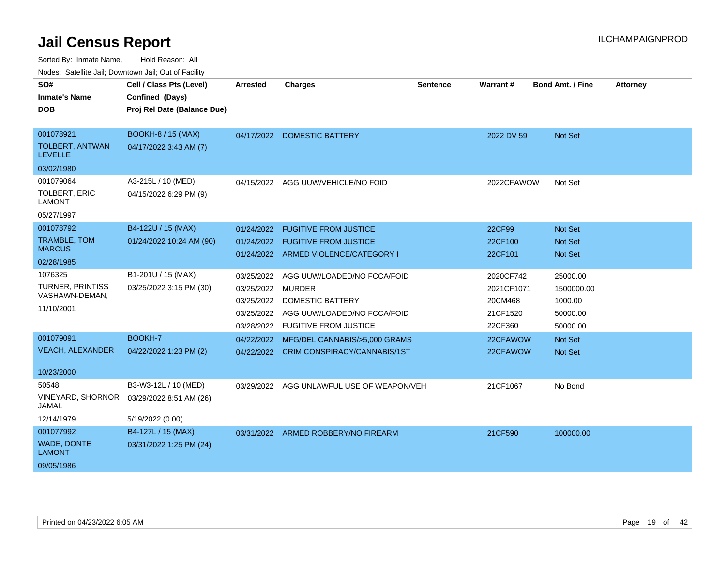| SO#                                      | Cell / Class Pts (Level)    | <b>Arrested</b> | Charges                                   | <b>Sentence</b> | <b>Warrant#</b> | <b>Bond Amt. / Fine</b> | <b>Attorney</b> |
|------------------------------------------|-----------------------------|-----------------|-------------------------------------------|-----------------|-----------------|-------------------------|-----------------|
| <b>Inmate's Name</b>                     | Confined (Days)             |                 |                                           |                 |                 |                         |                 |
| DOB                                      | Proj Rel Date (Balance Due) |                 |                                           |                 |                 |                         |                 |
|                                          |                             |                 |                                           |                 |                 |                         |                 |
| 001078921                                | <b>BOOKH-8 / 15 (MAX)</b>   | 04/17/2022      | <b>DOMESTIC BATTERY</b>                   |                 | 2022 DV 59      | <b>Not Set</b>          |                 |
| <b>TOLBERT, ANTWAN</b><br><b>LEVELLE</b> | 04/17/2022 3:43 AM (7)      |                 |                                           |                 |                 |                         |                 |
| 03/02/1980                               |                             |                 |                                           |                 |                 |                         |                 |
| 001079064                                | A3-215L / 10 (MED)          |                 | 04/15/2022 AGG UUW/VEHICLE/NO FOID        |                 | 2022CFAWOW      | Not Set                 |                 |
| <b>TOLBERT, ERIC</b><br><b>LAMONT</b>    | 04/15/2022 6:29 PM (9)      |                 |                                           |                 |                 |                         |                 |
| 05/27/1997                               |                             |                 |                                           |                 |                 |                         |                 |
| 001078792                                | B4-122U / 15 (MAX)          | 01/24/2022      | <b>FUGITIVE FROM JUSTICE</b>              |                 | 22CF99          | Not Set                 |                 |
| <b>TRAMBLE, TOM</b>                      | 01/24/2022 10:24 AM (90)    | 01/24/2022      | <b>FUGITIVE FROM JUSTICE</b>              |                 | 22CF100         | <b>Not Set</b>          |                 |
| <b>MARCUS</b>                            |                             |                 | 01/24/2022 ARMED VIOLENCE/CATEGORY I      |                 | 22CF101         | <b>Not Set</b>          |                 |
| 02/28/1985                               |                             |                 |                                           |                 |                 |                         |                 |
| 1076325                                  | B1-201U / 15 (MAX)          | 03/25/2022      | AGG UUW/LOADED/NO FCCA/FOID               |                 | 2020CF742       | 25000.00                |                 |
| TURNER, PRINTISS                         | 03/25/2022 3:15 PM (30)     | 03/25/2022      | <b>MURDER</b>                             |                 | 2021CF1071      | 1500000.00              |                 |
| VASHAWN-DEMAN,                           |                             | 03/25/2022      | <b>DOMESTIC BATTERY</b>                   |                 | 20CM468         | 1000.00                 |                 |
| 11/10/2001                               |                             | 03/25/2022      | AGG UUW/LOADED/NO FCCA/FOID               |                 | 21CF1520        | 50000.00                |                 |
|                                          |                             | 03/28/2022      | <b>FUGITIVE FROM JUSTICE</b>              |                 | 22CF360         | 50000.00                |                 |
| 001079091                                | BOOKH-7                     | 04/22/2022      | MFG/DEL CANNABIS/>5,000 GRAMS             |                 | 22CFAWOW        | <b>Not Set</b>          |                 |
| <b>VEACH, ALEXANDER</b>                  | 04/22/2022 1:23 PM (2)      |                 | 04/22/2022 CRIM CONSPIRACY/CANNABIS/1ST   |                 | 22CFAWOW        | Not Set                 |                 |
|                                          |                             |                 |                                           |                 |                 |                         |                 |
| 10/23/2000                               |                             |                 |                                           |                 |                 |                         |                 |
| 50548                                    | B3-W3-12L / 10 (MED)        |                 | 03/29/2022 AGG UNLAWFUL USE OF WEAPON/VEH |                 | 21CF1067        | No Bond                 |                 |
| VINEYARD, SHORNOR<br>JAMAL               | 03/29/2022 8:51 AM (26)     |                 |                                           |                 |                 |                         |                 |
| 12/14/1979                               | 5/19/2022 (0.00)            |                 |                                           |                 |                 |                         |                 |
| 001077992                                | B4-127L / 15 (MAX)          |                 | 03/31/2022 ARMED ROBBERY/NO FIREARM       |                 | 21CF590         | 100000.00               |                 |
| <b>WADE, DONTE</b><br><b>LAMONT</b>      | 03/31/2022 1:25 PM (24)     |                 |                                           |                 |                 |                         |                 |
| 09/05/1986                               |                             |                 |                                           |                 |                 |                         |                 |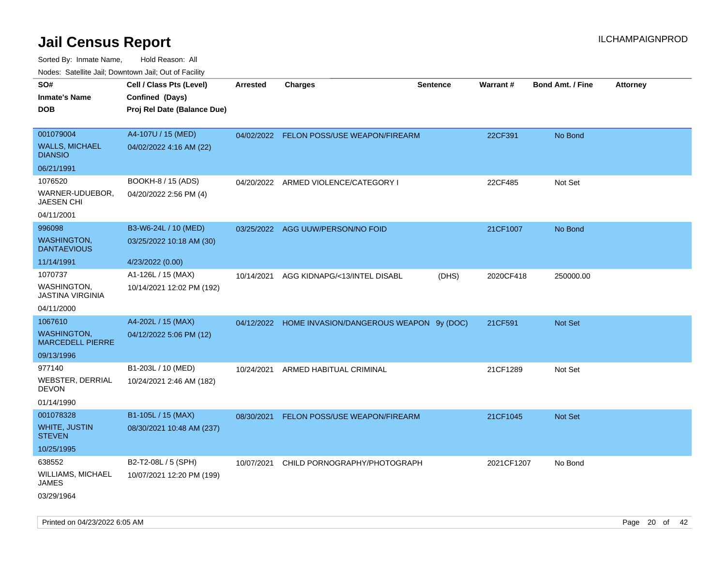Sorted By: Inmate Name, Hold Reason: All Nodes: Satellite Jail; Downtown Jail; Out of Facility

| ivouss. Satellite Jali, Downtown Jali, Out of Facility |                             |                 |                                                    |                 |            |                         |                 |
|--------------------------------------------------------|-----------------------------|-----------------|----------------------------------------------------|-----------------|------------|-------------------------|-----------------|
| SO#                                                    | Cell / Class Pts (Level)    | <b>Arrested</b> | <b>Charges</b>                                     | <b>Sentence</b> | Warrant#   | <b>Bond Amt. / Fine</b> | <b>Attorney</b> |
| <b>Inmate's Name</b>                                   | Confined (Days)             |                 |                                                    |                 |            |                         |                 |
| <b>DOB</b>                                             | Proj Rel Date (Balance Due) |                 |                                                    |                 |            |                         |                 |
|                                                        |                             |                 |                                                    |                 |            |                         |                 |
| 001079004                                              | A4-107U / 15 (MED)          |                 | 04/02/2022 FELON POSS/USE WEAPON/FIREARM           |                 | 22CF391    | No Bond                 |                 |
| WALLS, MICHAEL<br><b>DIANSIO</b>                       | 04/02/2022 4:16 AM (22)     |                 |                                                    |                 |            |                         |                 |
| 06/21/1991                                             |                             |                 |                                                    |                 |            |                         |                 |
| 1076520                                                | BOOKH-8 / 15 (ADS)          | 04/20/2022      | ARMED VIOLENCE/CATEGORY I                          |                 | 22CF485    | Not Set                 |                 |
| WARNER-UDUEBOR,<br>JAESEN CHI                          | 04/20/2022 2:56 PM (4)      |                 |                                                    |                 |            |                         |                 |
| 04/11/2001                                             |                             |                 |                                                    |                 |            |                         |                 |
| 996098                                                 | B3-W6-24L / 10 (MED)        | 03/25/2022      | AGG UUW/PERSON/NO FOID                             |                 | 21CF1007   | No Bond                 |                 |
| <b>WASHINGTON,</b><br><b>DANTAEVIOUS</b>               | 03/25/2022 10:18 AM (30)    |                 |                                                    |                 |            |                         |                 |
| 11/14/1991                                             | 4/23/2022 (0.00)            |                 |                                                    |                 |            |                         |                 |
| 1070737                                                | A1-126L / 15 (MAX)          | 10/14/2021      | AGG KIDNAPG/<13/INTEL DISABL                       | (DHS)           | 2020CF418  | 250000.00               |                 |
| WASHINGTON.<br>JASTINA VIRGINIA                        | 10/14/2021 12:02 PM (192)   |                 |                                                    |                 |            |                         |                 |
| 04/11/2000                                             |                             |                 |                                                    |                 |            |                         |                 |
| 1067610                                                | A4-202L / 15 (MAX)          |                 | 04/12/2022 HOME INVASION/DANGEROUS WEAPON 9y (DOC) |                 | 21CF591    | Not Set                 |                 |
| WASHINGTON,<br><b>MARCEDELL PIERRE</b>                 | 04/12/2022 5:06 PM (12)     |                 |                                                    |                 |            |                         |                 |
| 09/13/1996                                             |                             |                 |                                                    |                 |            |                         |                 |
| 977140                                                 | B1-203L / 10 (MED)          | 10/24/2021      | ARMED HABITUAL CRIMINAL                            |                 | 21CF1289   | Not Set                 |                 |
| WEBSTER, DERRIAL<br>DEVON                              | 10/24/2021 2:46 AM (182)    |                 |                                                    |                 |            |                         |                 |
| 01/14/1990                                             |                             |                 |                                                    |                 |            |                         |                 |
| 001078328                                              | B1-105L / 15 (MAX)          | 08/30/2021      | FELON POSS/USE WEAPON/FIREARM                      |                 | 21CF1045   | <b>Not Set</b>          |                 |
| WHITE, JUSTIN<br>STEVEN                                | 08/30/2021 10:48 AM (237)   |                 |                                                    |                 |            |                         |                 |
| 10/25/1995                                             |                             |                 |                                                    |                 |            |                         |                 |
| 638552                                                 | B2-T2-08L / 5 (SPH)         | 10/07/2021      | CHILD PORNOGRAPHY/PHOTOGRAPH                       |                 | 2021CF1207 | No Bond                 |                 |
| WILLIAMS, MICHAEL<br>JAMES                             | 10/07/2021 12:20 PM (199)   |                 |                                                    |                 |            |                         |                 |
| 03/29/1964                                             |                             |                 |                                                    |                 |            |                         |                 |

Printed on 04/23/2022 6:05 AM Page 20 of 42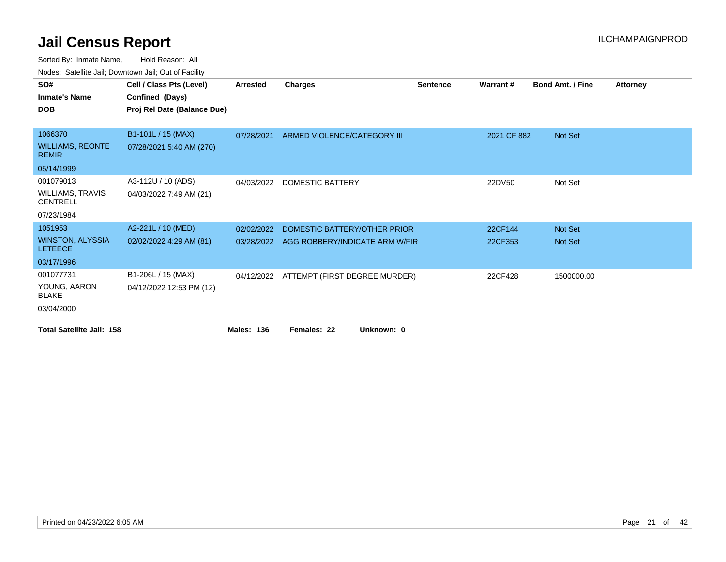| 10000. 001011110 0011, DOMINOMI, 0011, 001 01 1 001111 |                             |                   |                                |                 |             |                         |                 |
|--------------------------------------------------------|-----------------------------|-------------------|--------------------------------|-----------------|-------------|-------------------------|-----------------|
| SO#                                                    | Cell / Class Pts (Level)    | <b>Arrested</b>   | <b>Charges</b>                 | <b>Sentence</b> | Warrant#    | <b>Bond Amt. / Fine</b> | <b>Attorney</b> |
| <b>Inmate's Name</b>                                   | Confined (Days)             |                   |                                |                 |             |                         |                 |
| <b>DOB</b>                                             | Proj Rel Date (Balance Due) |                   |                                |                 |             |                         |                 |
|                                                        |                             |                   |                                |                 |             |                         |                 |
| 1066370                                                | B1-101L / 15 (MAX)          | 07/28/2021        | ARMED VIOLENCE/CATEGORY III    |                 | 2021 CF 882 | Not Set                 |                 |
| <b>WILLIAMS, REONTE</b><br><b>REMIR</b>                | 07/28/2021 5:40 AM (270)    |                   |                                |                 |             |                         |                 |
| 05/14/1999                                             |                             |                   |                                |                 |             |                         |                 |
| 001079013                                              | A3-112U / 10 (ADS)          | 04/03/2022        | <b>DOMESTIC BATTERY</b>        |                 | 22DV50      | Not Set                 |                 |
| <b>WILLIAMS, TRAVIS</b><br><b>CENTRELL</b>             | 04/03/2022 7:49 AM (21)     |                   |                                |                 |             |                         |                 |
| 07/23/1984                                             |                             |                   |                                |                 |             |                         |                 |
| 1051953                                                | A2-221L / 10 (MED)          | 02/02/2022        | DOMESTIC BATTERY/OTHER PRIOR   |                 | 22CF144     | <b>Not Set</b>          |                 |
| <b>WINSTON, ALYSSIA</b><br><b>LETEECE</b>              | 02/02/2022 4:29 AM (81)     | 03/28/2022        | AGG ROBBERY/INDICATE ARM W/FIR |                 | 22CF353     | <b>Not Set</b>          |                 |
| 03/17/1996                                             |                             |                   |                                |                 |             |                         |                 |
| 001077731                                              | B1-206L / 15 (MAX)          | 04/12/2022        | ATTEMPT (FIRST DEGREE MURDER)  |                 | 22CF428     | 1500000.00              |                 |
| YOUNG, AARON<br><b>BLAKE</b>                           | 04/12/2022 12:53 PM (12)    |                   |                                |                 |             |                         |                 |
| 03/04/2000                                             |                             |                   |                                |                 |             |                         |                 |
| <b>Total Satellite Jail: 158</b>                       |                             | <b>Males: 136</b> | Unknown: 0<br>Females: 22      |                 |             |                         |                 |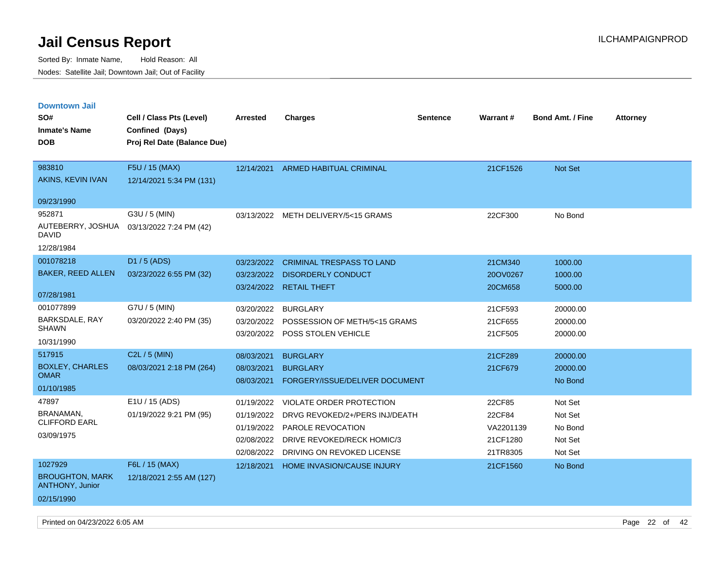| <b>Downtown Jail</b><br>SO#                                               | Cell / Class Pts (Level)                       | Arrested                                                           | <b>Charges</b>                                                                                                                                     | <b>Sentence</b> | <b>Warrant#</b>                                       | <b>Bond Amt. / Fine</b>                             | <b>Attorney</b> |
|---------------------------------------------------------------------------|------------------------------------------------|--------------------------------------------------------------------|----------------------------------------------------------------------------------------------------------------------------------------------------|-----------------|-------------------------------------------------------|-----------------------------------------------------|-----------------|
| <b>Inmate's Name</b><br><b>DOB</b>                                        | Confined (Days)<br>Proj Rel Date (Balance Due) |                                                                    |                                                                                                                                                    |                 |                                                       |                                                     |                 |
| 983810<br>AKINS, KEVIN IVAN                                               | F5U / 15 (MAX)<br>12/14/2021 5:34 PM (131)     | 12/14/2021                                                         | <b>ARMED HABITUAL CRIMINAL</b>                                                                                                                     |                 | 21CF1526                                              | <b>Not Set</b>                                      |                 |
| 09/23/1990<br>952871<br>AUTEBERRY, JOSHUA<br><b>DAVID</b><br>12/28/1984   | G3U / 5 (MIN)<br>03/13/2022 7:24 PM (42)       |                                                                    | 03/13/2022 METH DELIVERY/5<15 GRAMS                                                                                                                |                 | 22CF300                                               | No Bond                                             |                 |
| 001078218<br><b>BAKER, REED ALLEN</b><br>07/28/1981                       | D1 / 5 (ADS)<br>03/23/2022 6:55 PM (32)        | 03/23/2022<br>03/23/2022<br>03/24/2022                             | <b>CRIMINAL TRESPASS TO LAND</b><br><b>DISORDERLY CONDUCT</b><br><b>RETAIL THEFT</b>                                                               |                 | 21CM340<br>20OV0267<br>20CM658                        | 1000.00<br>1000.00<br>5000.00                       |                 |
| 001077899<br>BARKSDALE, RAY<br><b>SHAWN</b><br>10/31/1990                 | G7U / 5 (MIN)<br>03/20/2022 2:40 PM (35)       | 03/20/2022<br>03/20/2022<br>03/20/2022                             | <b>BURGLARY</b><br>POSSESSION OF METH/5<15 GRAMS<br>POSS STOLEN VEHICLE                                                                            |                 | 21CF593<br>21CF655<br>21CF505                         | 20000.00<br>20000.00<br>20000.00                    |                 |
| 517915<br><b>BOXLEY, CHARLES</b><br><b>OMAR</b><br>01/10/1985             | C2L / 5 (MIN)<br>08/03/2021 2:18 PM (264)      | 08/03/2021<br>08/03/2021<br>08/03/2021                             | <b>BURGLARY</b><br><b>BURGLARY</b><br>FORGERY/ISSUE/DELIVER DOCUMENT                                                                               |                 | 21CF289<br>21CF679                                    | 20000.00<br>20000.00<br>No Bond                     |                 |
| 47897<br>BRANAMAN,<br><b>CLIFFORD EARL</b><br>03/09/1975                  | E1U / 15 (ADS)<br>01/19/2022 9:21 PM (95)      | 01/19/2022<br>01/19/2022<br>01/19/2022<br>02/08/2022<br>02/08/2022 | <b>VIOLATE ORDER PROTECTION</b><br>DRVG REVOKED/2+/PERS INJ/DEATH<br>PAROLE REVOCATION<br>DRIVE REVOKED/RECK HOMIC/3<br>DRIVING ON REVOKED LICENSE |                 | 22CF85<br>22CF84<br>VA2201139<br>21CF1280<br>21TR8305 | Not Set<br>Not Set<br>No Bond<br>Not Set<br>Not Set |                 |
| 1027929<br><b>BROUGHTON, MARK</b><br><b>ANTHONY, Junior</b><br>02/15/1990 | F6L / 15 (MAX)<br>12/18/2021 2:55 AM (127)     | 12/18/2021                                                         | HOME INVASION/CAUSE INJURY                                                                                                                         |                 | 21CF1560                                              | No Bond                                             |                 |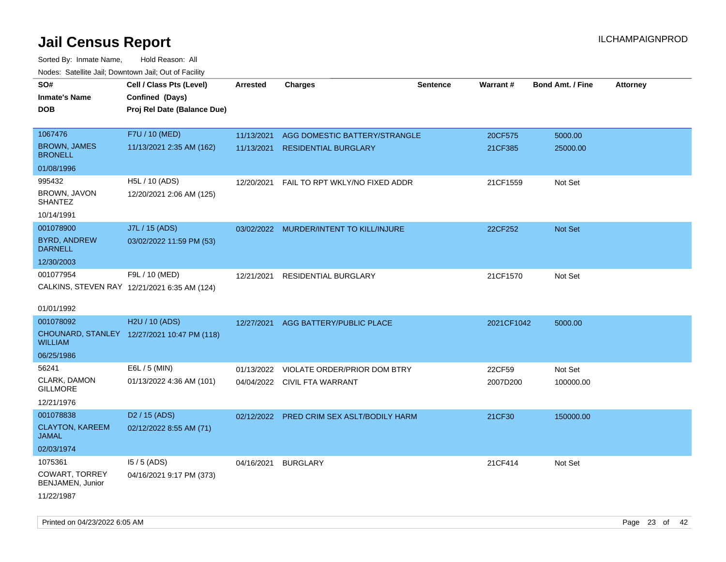| roaco. Oatomto dan, Downtown dan, Oat or Fability |                                              |                 |                                           |                 |            |                         |                 |
|---------------------------------------------------|----------------------------------------------|-----------------|-------------------------------------------|-----------------|------------|-------------------------|-----------------|
| SO#                                               | Cell / Class Pts (Level)                     | <b>Arrested</b> | <b>Charges</b>                            | <b>Sentence</b> | Warrant#   | <b>Bond Amt. / Fine</b> | <b>Attorney</b> |
| <b>Inmate's Name</b>                              | Confined (Days)                              |                 |                                           |                 |            |                         |                 |
| <b>DOB</b>                                        | Proj Rel Date (Balance Due)                  |                 |                                           |                 |            |                         |                 |
|                                                   |                                              |                 |                                           |                 |            |                         |                 |
| 1067476                                           | F7U / 10 (MED)                               | 11/13/2021      | AGG DOMESTIC BATTERY/STRANGLE             |                 | 20CF575    | 5000.00                 |                 |
| <b>BROWN, JAMES</b><br><b>BRONELL</b>             | 11/13/2021 2:35 AM (162)                     | 11/13/2021      | <b>RESIDENTIAL BURGLARY</b>               |                 | 21CF385    | 25000.00                |                 |
| 01/08/1996                                        |                                              |                 |                                           |                 |            |                         |                 |
| 995432                                            | H5L / 10 (ADS)                               | 12/20/2021      | FAIL TO RPT WKLY/NO FIXED ADDR            |                 | 21CF1559   | Not Set                 |                 |
| BROWN, JAVON<br><b>SHANTEZ</b>                    | 12/20/2021 2:06 AM (125)                     |                 |                                           |                 |            |                         |                 |
| 10/14/1991                                        |                                              |                 |                                           |                 |            |                         |                 |
| 001078900                                         | J7L / 15 (ADS)                               |                 | 03/02/2022 MURDER/INTENT TO KILL/INJURE   |                 | 22CF252    | Not Set                 |                 |
| <b>BYRD, ANDREW</b><br><b>DARNELL</b>             | 03/02/2022 11:59 PM (53)                     |                 |                                           |                 |            |                         |                 |
| 12/30/2003                                        |                                              |                 |                                           |                 |            |                         |                 |
| 001077954                                         | F9L / 10 (MED)                               | 12/21/2021      | RESIDENTIAL BURGLARY                      |                 | 21CF1570   | Not Set                 |                 |
|                                                   | CALKINS, STEVEN RAY 12/21/2021 6:35 AM (124) |                 |                                           |                 |            |                         |                 |
|                                                   |                                              |                 |                                           |                 |            |                         |                 |
| 01/01/1992                                        |                                              |                 |                                           |                 |            |                         |                 |
| 001078092                                         | H2U / 10 (ADS)                               | 12/27/2021      | AGG BATTERY/PUBLIC PLACE                  |                 | 2021CF1042 | 5000.00                 |                 |
| <b>WILLIAM</b>                                    | CHOUNARD, STANLEY 12/27/2021 10:47 PM (118)  |                 |                                           |                 |            |                         |                 |
| 06/25/1986                                        |                                              |                 |                                           |                 |            |                         |                 |
| 56241                                             | E6L / 5 (MIN)                                | 01/13/2022      | VIOLATE ORDER/PRIOR DOM BTRY              |                 | 22CF59     | Not Set                 |                 |
| CLARK, DAMON<br><b>GILLMORE</b>                   | 01/13/2022 4:36 AM (101)                     |                 | 04/04/2022 CIVIL FTA WARRANT              |                 | 2007D200   | 100000.00               |                 |
| 12/21/1976                                        |                                              |                 |                                           |                 |            |                         |                 |
| 001078838                                         | D <sub>2</sub> / 15 (ADS)                    |                 | 02/12/2022 PRED CRIM SEX ASLT/BODILY HARM |                 | 21CF30     | 150000.00               |                 |
| <b>CLAYTON, KAREEM</b><br><b>JAMAL</b>            | 02/12/2022 8:55 AM (71)                      |                 |                                           |                 |            |                         |                 |
| 02/03/1974                                        |                                              |                 |                                           |                 |            |                         |                 |
| 1075361                                           | $15/5$ (ADS)                                 | 04/16/2021      | <b>BURGLARY</b>                           |                 | 21CF414    | Not Set                 |                 |
| COWART, TORREY<br>BENJAMEN, Junior                | 04/16/2021 9:17 PM (373)                     |                 |                                           |                 |            |                         |                 |
| 11/22/1987                                        |                                              |                 |                                           |                 |            |                         |                 |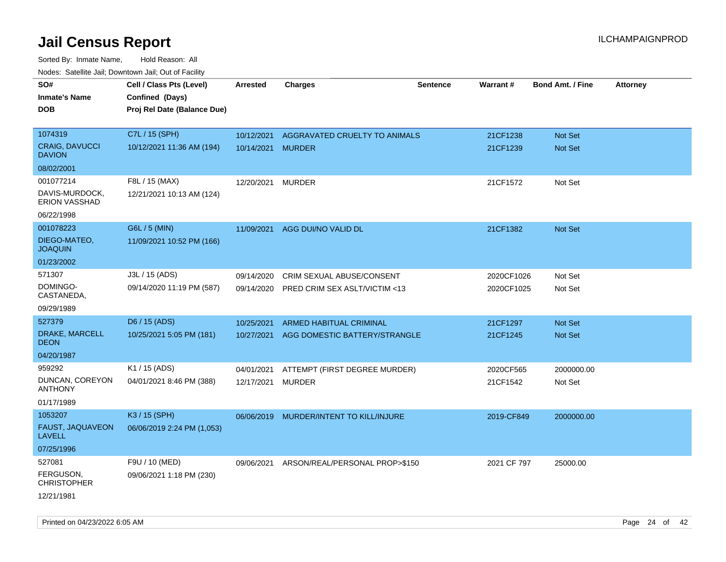| roaco. Calcinio dan, Downtown dan, Cal or Fability |                             |                   |                                |                 |                 |                         |                 |
|----------------------------------------------------|-----------------------------|-------------------|--------------------------------|-----------------|-----------------|-------------------------|-----------------|
| SO#                                                | Cell / Class Pts (Level)    | <b>Arrested</b>   | Charges                        | <b>Sentence</b> | <b>Warrant#</b> | <b>Bond Amt. / Fine</b> | <b>Attorney</b> |
| Inmate's Name                                      | Confined (Days)             |                   |                                |                 |                 |                         |                 |
| <b>DOB</b>                                         | Proj Rel Date (Balance Due) |                   |                                |                 |                 |                         |                 |
|                                                    |                             |                   |                                |                 |                 |                         |                 |
| 1074319                                            | C7L / 15 (SPH)              | 10/12/2021        | AGGRAVATED CRUELTY TO ANIMALS  |                 | 21CF1238        | Not Set                 |                 |
| <b>CRAIG, DAVUCCI</b><br><b>DAVION</b>             | 10/12/2021 11:36 AM (194)   | 10/14/2021 MURDER |                                |                 | 21CF1239        | <b>Not Set</b>          |                 |
| 08/02/2001                                         |                             |                   |                                |                 |                 |                         |                 |
| 001077214                                          | F8L / 15 (MAX)              | 12/20/2021        | <b>MURDER</b>                  |                 | 21CF1572        | Not Set                 |                 |
| DAVIS-MURDOCK,<br>ERION VASSHAD                    | 12/21/2021 10:13 AM (124)   |                   |                                |                 |                 |                         |                 |
| 06/22/1998                                         |                             |                   |                                |                 |                 |                         |                 |
| 001078223                                          | G6L / 5 (MIN)               |                   | 11/09/2021 AGG DUI/NO VALID DL |                 | 21CF1382        | Not Set                 |                 |
| DIEGO-MATEO,<br><b>JOAQUIN</b>                     | 11/09/2021 10:52 PM (166)   |                   |                                |                 |                 |                         |                 |
| 01/23/2002                                         |                             |                   |                                |                 |                 |                         |                 |
| 571307                                             | J3L / 15 (ADS)              | 09/14/2020        | CRIM SEXUAL ABUSE/CONSENT      |                 | 2020CF1026      | Not Set                 |                 |
| DOMINGO-<br>CASTANEDA,                             | 09/14/2020 11:19 PM (587)   | 09/14/2020        | PRED CRIM SEX ASLT/VICTIM <13  |                 | 2020CF1025      | Not Set                 |                 |
| 09/29/1989                                         |                             |                   |                                |                 |                 |                         |                 |
| 527379                                             | D6 / 15 (ADS)               | 10/25/2021        | ARMED HABITUAL CRIMINAL        |                 | 21CF1297        | <b>Not Set</b>          |                 |
| DRAKE, MARCELL<br>DEON                             | 10/25/2021 5:05 PM (181)    | 10/27/2021        | AGG DOMESTIC BATTERY/STRANGLE  |                 | 21CF1245        | Not Set                 |                 |
| 04/20/1987                                         |                             |                   |                                |                 |                 |                         |                 |
| 959292                                             | K1 / 15 (ADS)               | 04/01/2021        | ATTEMPT (FIRST DEGREE MURDER)  |                 | 2020CF565       | 2000000.00              |                 |
| DUNCAN, COREYON<br>ANTHONY                         | 04/01/2021 8:46 PM (388)    | 12/17/2021        | <b>MURDER</b>                  |                 | 21CF1542        | Not Set                 |                 |
| 01/17/1989                                         |                             |                   |                                |                 |                 |                         |                 |
| 1053207                                            | K3 / 15 (SPH)               | 06/06/2019        | MURDER/INTENT TO KILL/INJURE   |                 | 2019-CF849      | 2000000.00              |                 |
| <b>FAUST, JAQUAVEON</b><br>LAVELL                  | 06/06/2019 2:24 PM (1,053)  |                   |                                |                 |                 |                         |                 |
| 07/25/1996                                         |                             |                   |                                |                 |                 |                         |                 |
| 527081                                             | F9U / 10 (MED)              | 09/06/2021        | ARSON/REAL/PERSONAL PROP>\$150 |                 | 2021 CF 797     | 25000.00                |                 |
| FERGUSON,<br>CHRISTOPHER                           | 09/06/2021 1:18 PM (230)    |                   |                                |                 |                 |                         |                 |
| 12/21/1981                                         |                             |                   |                                |                 |                 |                         |                 |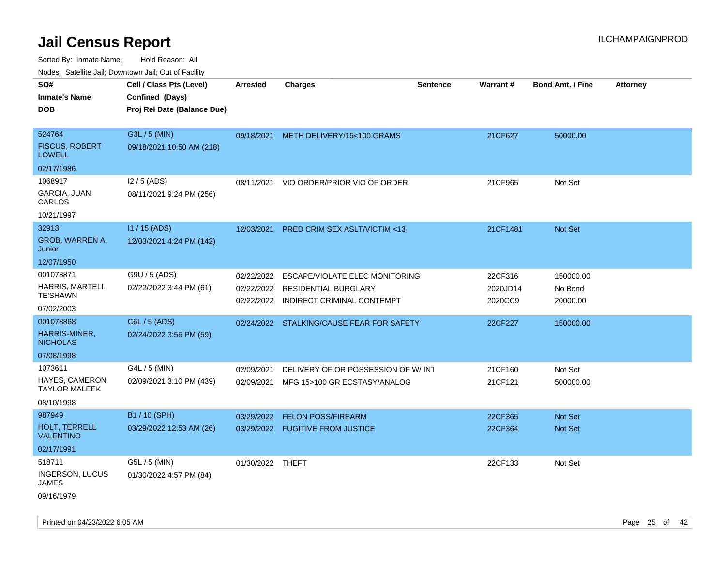| Youes. Sateme Jan, Downtown Jan, Out of Facility |                             |                          |                                                           |                 |                     |                         |                 |
|--------------------------------------------------|-----------------------------|--------------------------|-----------------------------------------------------------|-----------------|---------------------|-------------------------|-----------------|
| SO#                                              | Cell / Class Pts (Level)    | Arrested                 | <b>Charges</b>                                            | <b>Sentence</b> | Warrant#            | <b>Bond Amt. / Fine</b> | <b>Attorney</b> |
| <b>Inmate's Name</b>                             | Confined (Days)             |                          |                                                           |                 |                     |                         |                 |
| <b>DOB</b>                                       | Proj Rel Date (Balance Due) |                          |                                                           |                 |                     |                         |                 |
|                                                  |                             |                          |                                                           |                 |                     |                         |                 |
| 524764                                           | G3L / 5 (MIN)               | 09/18/2021               | METH DELIVERY/15<100 GRAMS                                |                 | 21CF627             | 50000.00                |                 |
| <b>FISCUS, ROBERT</b><br><b>LOWELL</b>           | 09/18/2021 10:50 AM (218)   |                          |                                                           |                 |                     |                         |                 |
| 02/17/1986                                       |                             |                          |                                                           |                 |                     |                         |                 |
| 1068917                                          | $12/5$ (ADS)                | 08/11/2021               | VIO ORDER/PRIOR VIO OF ORDER                              |                 | 21CF965             | Not Set                 |                 |
| GARCIA, JUAN<br>CARLOS                           | 08/11/2021 9:24 PM (256)    |                          |                                                           |                 |                     |                         |                 |
| 10/21/1997                                       |                             |                          |                                                           |                 |                     |                         |                 |
| 32913                                            | I1 / 15 (ADS)               | 12/03/2021               | PRED CRIM SEX ASLT/VICTIM <13                             |                 | 21CF1481            | Not Set                 |                 |
| GROB, WARREN A,<br>Junior                        | 12/03/2021 4:24 PM (142)    |                          |                                                           |                 |                     |                         |                 |
| 12/07/1950                                       |                             |                          |                                                           |                 |                     |                         |                 |
| 001078871                                        | G9U / 5 (ADS)               | 02/22/2022               | ESCAPE/VIOLATE ELEC MONITORING                            |                 | 22CF316             | 150000.00               |                 |
| <b>HARRIS, MARTELL</b><br><b>TE'SHAWN</b>        | 02/22/2022 3:44 PM (61)     | 02/22/2022<br>02/22/2022 | <b>RESIDENTIAL BURGLARY</b><br>INDIRECT CRIMINAL CONTEMPT |                 | 2020JD14<br>2020CC9 | No Bond<br>20000.00     |                 |
| 07/02/2003                                       |                             |                          |                                                           |                 |                     |                         |                 |
| 001078868                                        | C6L / 5 (ADS)               |                          | 02/24/2022 STALKING/CAUSE FEAR FOR SAFETY                 |                 | 22CF227             | 150000.00               |                 |
| HARRIS-MINER,<br><b>NICHOLAS</b>                 | 02/24/2022 3:56 PM (59)     |                          |                                                           |                 |                     |                         |                 |
| 07/08/1998                                       |                             |                          |                                                           |                 |                     |                         |                 |
| 1073611                                          | G4L / 5 (MIN)               | 02/09/2021               | DELIVERY OF OR POSSESSION OF W/INT                        |                 | 21CF160             | Not Set                 |                 |
| <b>HAYES, CAMERON</b><br><b>TAYLOR MALEEK</b>    | 02/09/2021 3:10 PM (439)    | 02/09/2021               | MFG 15>100 GR ECSTASY/ANALOG                              |                 | 21CF121             | 500000.00               |                 |
| 08/10/1998                                       |                             |                          |                                                           |                 |                     |                         |                 |
| 987949                                           | B1 / 10 (SPH)               | 03/29/2022               | <b>FELON POSS/FIREARM</b>                                 |                 | 22CF365             | Not Set                 |                 |
| <b>HOLT, TERRELL</b><br><b>VALENTINO</b>         | 03/29/2022 12:53 AM (26)    |                          | 03/29/2022 FUGITIVE FROM JUSTICE                          |                 | 22CF364             | Not Set                 |                 |
| 02/17/1991                                       |                             |                          |                                                           |                 |                     |                         |                 |
| 518711                                           | G5L / 5 (MIN)               | 01/30/2022 THEFT         |                                                           |                 | 22CF133             | Not Set                 |                 |
| <b>INGERSON, LUCUS</b><br>JAMES                  | 01/30/2022 4:57 PM (84)     |                          |                                                           |                 |                     |                         |                 |
| 09/16/1979                                       |                             |                          |                                                           |                 |                     |                         |                 |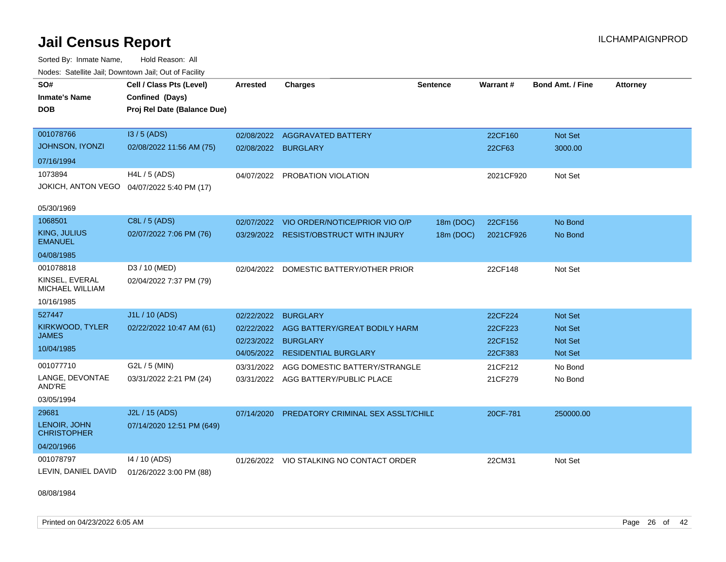Sorted By: Inmate Name, Hold Reason: All Nodes: Satellite Jail; Downtown Jail; Out of Facility

| SO#                                      | Cell / Class Pts (Level)    | <b>Arrested</b> | <b>Charges</b>                           | <b>Sentence</b> | Warrant#  | <b>Bond Amt. / Fine</b> | <b>Attorney</b> |
|------------------------------------------|-----------------------------|-----------------|------------------------------------------|-----------------|-----------|-------------------------|-----------------|
| <b>Inmate's Name</b>                     | Confined (Days)             |                 |                                          |                 |           |                         |                 |
| <b>DOB</b>                               | Proj Rel Date (Balance Due) |                 |                                          |                 |           |                         |                 |
|                                          |                             |                 |                                          |                 |           |                         |                 |
| 001078766                                | I3/5 (ADS)                  | 02/08/2022      | <b>AGGRAVATED BATTERY</b>                |                 | 22CF160   | Not Set                 |                 |
| JOHNSON, IYONZI                          | 02/08/2022 11:56 AM (75)    | 02/08/2022      | <b>BURGLARY</b>                          |                 | 22CF63    | 3000.00                 |                 |
| 07/16/1994                               |                             |                 |                                          |                 |           |                         |                 |
| 1073894                                  | H4L / 5 (ADS)               | 04/07/2022      | PROBATION VIOLATION                      |                 | 2021CF920 | Not Set                 |                 |
| <b>JOKICH, ANTON VEGO</b>                | 04/07/2022 5:40 PM (17)     |                 |                                          |                 |           |                         |                 |
|                                          |                             |                 |                                          |                 |           |                         |                 |
| 05/30/1969                               |                             |                 |                                          |                 |           |                         |                 |
| 1068501                                  | C8L / 5 (ADS)               | 02/07/2022      | VIO ORDER/NOTICE/PRIOR VIO O/P           | 18m (DOC)       | 22CF156   | No Bond                 |                 |
| KING, JULIUS<br><b>EMANUEL</b>           | 02/07/2022 7:06 PM (76)     |                 | 03/29/2022 RESIST/OBSTRUCT WITH INJURY   | 18m (DOC)       | 2021CF926 | No Bond                 |                 |
| 04/08/1985                               |                             |                 |                                          |                 |           |                         |                 |
| 001078818                                | D3 / 10 (MED)               | 02/04/2022      | DOMESTIC BATTERY/OTHER PRIOR             |                 | 22CF148   | Not Set                 |                 |
| KINSEL, EVERAL<br><b>MICHAEL WILLIAM</b> | 02/04/2022 7:37 PM (79)     |                 |                                          |                 |           |                         |                 |
| 10/16/1985                               |                             |                 |                                          |                 |           |                         |                 |
| 527447                                   | J1L / 10 (ADS)              | 02/22/2022      | <b>BURGLARY</b>                          |                 | 22CF224   | Not Set                 |                 |
| KIRKWOOD, TYLER                          | 02/22/2022 10:47 AM (61)    | 02/22/2022      | AGG BATTERY/GREAT BODILY HARM            |                 | 22CF223   | Not Set                 |                 |
| <b>JAMES</b>                             |                             | 02/23/2022      | <b>BURGLARY</b>                          |                 | 22CF152   | <b>Not Set</b>          |                 |
| 10/04/1985                               |                             | 04/05/2022      | <b>RESIDENTIAL BURGLARY</b>              |                 | 22CF383   | <b>Not Set</b>          |                 |
| 001077710                                | G2L / 5 (MIN)               | 03/31/2022      | AGG DOMESTIC BATTERY/STRANGLE            |                 | 21CF212   | No Bond                 |                 |
| LANGE, DEVONTAE<br>AND'RE                | 03/31/2022 2:21 PM (24)     |                 | 03/31/2022 AGG BATTERY/PUBLIC PLACE      |                 | 21CF279   | No Bond                 |                 |
| 03/05/1994                               |                             |                 |                                          |                 |           |                         |                 |
| 29681                                    | J2L / 15 (ADS)              | 07/14/2020      | PREDATORY CRIMINAL SEX ASSLT/CHILE       |                 | 20CF-781  | 250000.00               |                 |
| LENOIR, JOHN<br><b>CHRISTOPHER</b>       | 07/14/2020 12:51 PM (649)   |                 |                                          |                 |           |                         |                 |
| 04/20/1966                               |                             |                 |                                          |                 |           |                         |                 |
| 001078797                                | 14 / 10 (ADS)               |                 | 01/26/2022 VIO STALKING NO CONTACT ORDER |                 | 22CM31    | Not Set                 |                 |
| LEVIN, DANIEL DAVID                      | 01/26/2022 3:00 PM (88)     |                 |                                          |                 |           |                         |                 |

08/08/1984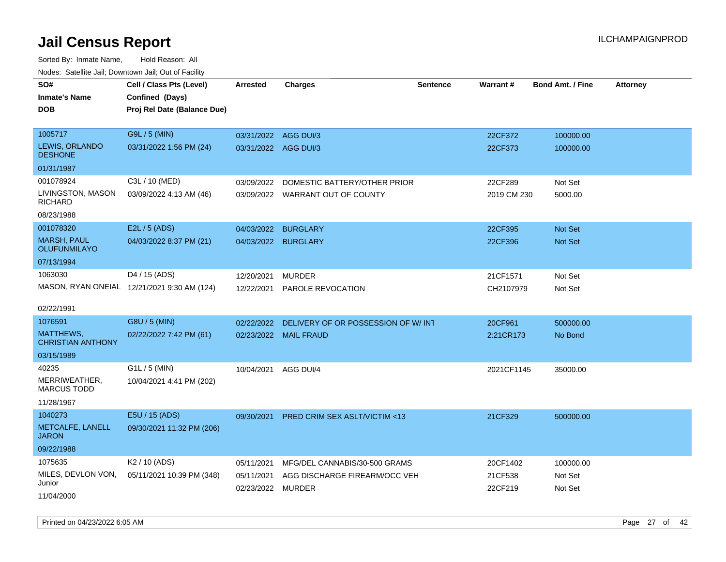| roaco. Calcinio dan, Downtown dan, Cal or Fability |                                             |                      |                                    |                 |                 |                         |                 |
|----------------------------------------------------|---------------------------------------------|----------------------|------------------------------------|-----------------|-----------------|-------------------------|-----------------|
| SO#                                                | Cell / Class Pts (Level)                    | <b>Arrested</b>      | Charges                            | <b>Sentence</b> | <b>Warrant#</b> | <b>Bond Amt. / Fine</b> | <b>Attorney</b> |
| Inmate's Name                                      | Confined (Days)                             |                      |                                    |                 |                 |                         |                 |
| <b>DOB</b>                                         | Proj Rel Date (Balance Due)                 |                      |                                    |                 |                 |                         |                 |
|                                                    |                                             |                      |                                    |                 |                 |                         |                 |
| 1005717                                            | G9L / 5 (MIN)                               | 03/31/2022 AGG DUI/3 |                                    |                 | 22CF372         | 100000.00               |                 |
| <b>LEWIS, ORLANDO</b><br><b>DESHONE</b>            | 03/31/2022 1:56 PM (24)                     | 03/31/2022 AGG DUI/3 |                                    |                 | 22CF373         | 100000.00               |                 |
| 01/31/1987                                         |                                             |                      |                                    |                 |                 |                         |                 |
| 001078924                                          | C3L / 10 (MED)                              | 03/09/2022           | DOMESTIC BATTERY/OTHER PRIOR       |                 | 22CF289         | Not Set                 |                 |
| LIVINGSTON, MASON<br>RICHARD                       | 03/09/2022 4:13 AM (46)                     |                      | 03/09/2022 WARRANT OUT OF COUNTY   |                 | 2019 CM 230     | 5000.00                 |                 |
| 08/23/1988                                         |                                             |                      |                                    |                 |                 |                         |                 |
| 001078320                                          | E2L / 5 (ADS)                               | 04/03/2022           | <b>BURGLARY</b>                    |                 | 22CF395         | Not Set                 |                 |
| MARSH, PAUL<br>OLUFUNMILAYO                        | 04/03/2022 8:37 PM (21)                     |                      | 04/03/2022 BURGLARY                |                 | 22CF396         | <b>Not Set</b>          |                 |
| 07/13/1994                                         |                                             |                      |                                    |                 |                 |                         |                 |
| 1063030                                            | D4 / 15 (ADS)                               | 12/20/2021           | <b>MURDER</b>                      |                 | 21CF1571        | Not Set                 |                 |
|                                                    | MASON, RYAN ONEIAL 12/21/2021 9:30 AM (124) | 12/22/2021           | PAROLE REVOCATION                  |                 | CH2107979       | Not Set                 |                 |
|                                                    |                                             |                      |                                    |                 |                 |                         |                 |
| 02/22/1991                                         |                                             |                      |                                    |                 |                 |                         |                 |
| 1076591                                            | G8U / 5 (MIN)                               | 02/22/2022           | DELIVERY OF OR POSSESSION OF W/INT |                 | 20CF961         | 500000.00               |                 |
| MATTHEWS,<br><b>CHRISTIAN ANTHONY</b>              | 02/22/2022 7:42 PM (61)                     |                      | 02/23/2022 MAIL FRAUD              |                 | 2:21CR173       | No Bond                 |                 |
| 03/15/1989                                         |                                             |                      |                                    |                 |                 |                         |                 |
| 40235                                              | $G1L / 5$ (MIN)                             | 10/04/2021           | AGG DUI/4                          |                 | 2021CF1145      | 35000.00                |                 |
| MERRIWEATHER,<br>MARCUS TODD                       | 10/04/2021 4:41 PM (202)                    |                      |                                    |                 |                 |                         |                 |
| 11/28/1967                                         |                                             |                      |                                    |                 |                 |                         |                 |
| 1040273                                            | E5U / 15 (ADS)                              | 09/30/2021           | PRED CRIM SEX ASLT/VICTIM <13      |                 | 21CF329         | 500000.00               |                 |
| METCALFE, LANELL<br>JARON                          | 09/30/2021 11:32 PM (206)                   |                      |                                    |                 |                 |                         |                 |
| 09/22/1988                                         |                                             |                      |                                    |                 |                 |                         |                 |
| 1075635                                            | K <sub>2</sub> / 10 (ADS)                   | 05/11/2021           | MFG/DEL CANNABIS/30-500 GRAMS      |                 | 20CF1402        | 100000.00               |                 |
| MILES, DEVLON VON,                                 | 05/11/2021 10:39 PM (348)                   | 05/11/2021           | AGG DISCHARGE FIREARM/OCC VEH      |                 | 21CF538         | Not Set                 |                 |
| Junior                                             |                                             | 02/23/2022 MURDER    |                                    |                 | 22CF219         | Not Set                 |                 |
| 11/04/2000                                         |                                             |                      |                                    |                 |                 |                         |                 |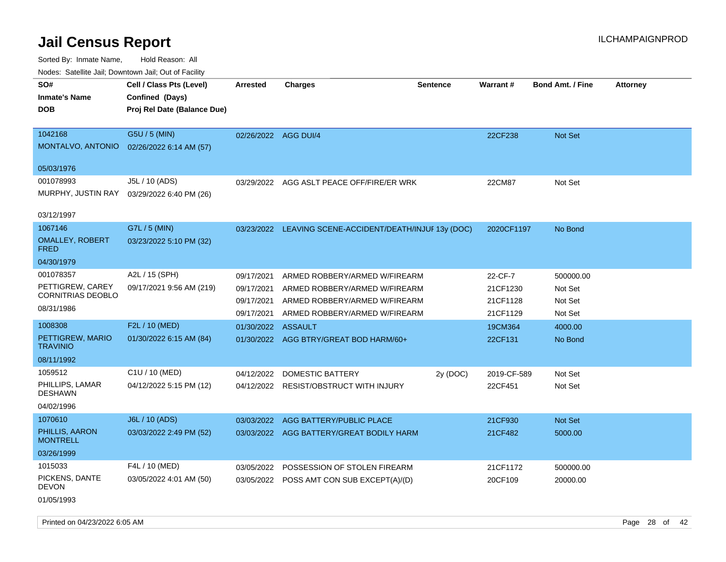| Youes. Sateme Jan, Downtown Jan, Out of Facility |                             |                      |                                                         |                 |                 |                         |                 |
|--------------------------------------------------|-----------------------------|----------------------|---------------------------------------------------------|-----------------|-----------------|-------------------------|-----------------|
| SO#                                              | Cell / Class Pts (Level)    | <b>Arrested</b>      | <b>Charges</b>                                          | <b>Sentence</b> | <b>Warrant#</b> | <b>Bond Amt. / Fine</b> | <b>Attorney</b> |
| <b>Inmate's Name</b>                             | Confined (Days)             |                      |                                                         |                 |                 |                         |                 |
| <b>DOB</b>                                       | Proj Rel Date (Balance Due) |                      |                                                         |                 |                 |                         |                 |
|                                                  |                             |                      |                                                         |                 |                 |                         |                 |
| 1042168                                          | G5U / 5 (MIN)               | 02/26/2022 AGG DUI/4 |                                                         |                 | 22CF238         | Not Set                 |                 |
| MONTALVO, ANTONIO                                | 02/26/2022 6:14 AM (57)     |                      |                                                         |                 |                 |                         |                 |
|                                                  |                             |                      |                                                         |                 |                 |                         |                 |
| 05/03/1976                                       |                             |                      |                                                         |                 |                 |                         |                 |
| 001078993                                        | J5L / 10 (ADS)              | 03/29/2022           | AGG ASLT PEACE OFF/FIRE/ER WRK                          |                 | 22CM87          | Not Set                 |                 |
| MURPHY, JUSTIN RAY                               | 03/29/2022 6:40 PM (26)     |                      |                                                         |                 |                 |                         |                 |
| 03/12/1997                                       |                             |                      |                                                         |                 |                 |                         |                 |
| 1067146                                          | G7L / 5 (MIN)               |                      | 03/23/2022 LEAVING SCENE-ACCIDENT/DEATH/INJUF 13y (DOC) |                 | 2020CF1197      | No Bond                 |                 |
| <b>OMALLEY, ROBERT</b><br><b>FRED</b>            | 03/23/2022 5:10 PM (32)     |                      |                                                         |                 |                 |                         |                 |
| 04/30/1979                                       |                             |                      |                                                         |                 |                 |                         |                 |
| 001078357                                        | A2L / 15 (SPH)              | 09/17/2021           | ARMED ROBBERY/ARMED W/FIREARM                           |                 | 22-CF-7         | 500000.00               |                 |
| PETTIGREW, CAREY                                 | 09/17/2021 9:56 AM (219)    | 09/17/2021           | ARMED ROBBERY/ARMED W/FIREARM                           |                 | 21CF1230        | Not Set                 |                 |
| <b>CORNITRIAS DEOBLO</b>                         |                             | 09/17/2021           | ARMED ROBBERY/ARMED W/FIREARM                           |                 | 21CF1128        | Not Set                 |                 |
| 08/31/1986                                       |                             | 09/17/2021           | ARMED ROBBERY/ARMED W/FIREARM                           |                 | 21CF1129        | Not Set                 |                 |
| 1008308                                          | F2L / 10 (MED)              | 01/30/2022 ASSAULT   |                                                         |                 | 19CM364         | 4000.00                 |                 |
| PETTIGREW, MARIO<br><b>TRAVINIO</b>              | 01/30/2022 6:15 AM (84)     |                      | 01/30/2022 AGG BTRY/GREAT BOD HARM/60+                  |                 | 22CF131         | No Bond                 |                 |
| 08/11/1992                                       |                             |                      |                                                         |                 |                 |                         |                 |
| 1059512                                          | C1U / 10 (MED)              | 04/12/2022           | DOMESTIC BATTERY                                        | 2y (DOC)        | 2019-CF-589     | Not Set                 |                 |
| PHILLIPS, LAMAR<br><b>DESHAWN</b>                | 04/12/2022 5:15 PM (12)     |                      | 04/12/2022 RESIST/OBSTRUCT WITH INJURY                  |                 | 22CF451         | Not Set                 |                 |
| 04/02/1996                                       |                             |                      |                                                         |                 |                 |                         |                 |
| 1070610                                          | J6L / 10 (ADS)              | 03/03/2022           | AGG BATTERY/PUBLIC PLACE                                |                 | 21CF930         | <b>Not Set</b>          |                 |
| PHILLIS, AARON<br><b>MONTRELL</b>                | 03/03/2022 2:49 PM (52)     |                      | 03/03/2022 AGG BATTERY/GREAT BODILY HARM                |                 | 21CF482         | 5000.00                 |                 |
| 03/26/1999                                       |                             |                      |                                                         |                 |                 |                         |                 |
| 1015033                                          | F4L / 10 (MED)              | 03/05/2022           | POSSESSION OF STOLEN FIREARM                            |                 | 21CF1172        | 500000.00               |                 |
| PICKENS, DANTE<br><b>DEVON</b>                   | 03/05/2022 4:01 AM (50)     |                      | 03/05/2022 POSS AMT CON SUB EXCEPT(A)/(D)               |                 | 20CF109         | 20000.00                |                 |
| 01/05/1993                                       |                             |                      |                                                         |                 |                 |                         |                 |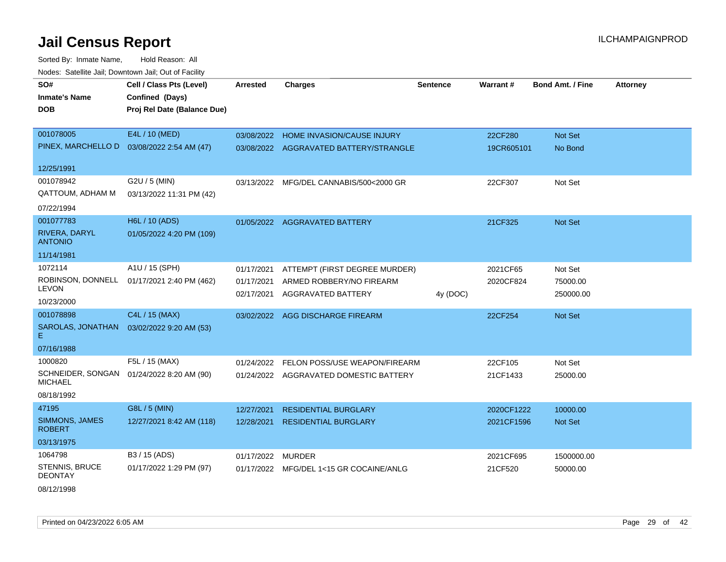Sorted By: Inmate Name, Hold Reason: All Nodes: Satellite Jail; Downtown Jail; Out of Facility

| SO#                                 | Cell / Class Pts (Level)    | <b>Arrested</b> | <b>Charges</b>                         | <b>Sentence</b> | Warrant#   | <b>Bond Amt. / Fine</b> | <b>Attorney</b> |
|-------------------------------------|-----------------------------|-----------------|----------------------------------------|-----------------|------------|-------------------------|-----------------|
| <b>Inmate's Name</b>                | Confined (Days)             |                 |                                        |                 |            |                         |                 |
| <b>DOB</b>                          | Proj Rel Date (Balance Due) |                 |                                        |                 |            |                         |                 |
|                                     |                             |                 |                                        |                 |            |                         |                 |
| 001078005                           | E4L / 10 (MED)              |                 | 03/08/2022 HOME INVASION/CAUSE INJURY  |                 | 22CF280    | Not Set                 |                 |
| PINEX, MARCHELLO D                  | 03/08/2022 2:54 AM (47)     |                 | 03/08/2022 AGGRAVATED BATTERY/STRANGLE |                 | 19CR605101 | No Bond                 |                 |
| 12/25/1991                          |                             |                 |                                        |                 |            |                         |                 |
| 001078942                           | G2U / 5 (MIN)               | 03/13/2022      | MFG/DEL CANNABIS/500<2000 GR           |                 | 22CF307    | Not Set                 |                 |
| <b>QATTOUM, ADHAM M</b>             | 03/13/2022 11:31 PM (42)    |                 |                                        |                 |            |                         |                 |
| 07/22/1994                          |                             |                 |                                        |                 |            |                         |                 |
| 001077783                           | H6L / 10 (ADS)              |                 | 01/05/2022 AGGRAVATED BATTERY          |                 | 21CF325    | Not Set                 |                 |
| RIVERA, DARYL<br><b>ANTONIO</b>     | 01/05/2022 4:20 PM (109)    |                 |                                        |                 |            |                         |                 |
| 11/14/1981                          |                             |                 |                                        |                 |            |                         |                 |
| 1072114                             | A1U / 15 (SPH)              | 01/17/2021      | ATTEMPT (FIRST DEGREE MURDER)          |                 | 2021CF65   | Not Set                 |                 |
| ROBINSON, DONNELL                   | 01/17/2021 2:40 PM (462)    | 01/17/2021      | ARMED ROBBERY/NO FIREARM               |                 | 2020CF824  | 75000.00                |                 |
| <b>LEVON</b>                        |                             | 02/17/2021      | AGGRAVATED BATTERY                     | 4y (DOC)        |            | 250000.00               |                 |
| 10/23/2000                          |                             |                 |                                        |                 |            |                         |                 |
| 001078898                           | C4L / 15 (MAX)              | 03/02/2022      | AGG DISCHARGE FIREARM                  |                 | 22CF254    | Not Set                 |                 |
| SAROLAS, JONATHAN<br>Е.             | 03/02/2022 9:20 AM (53)     |                 |                                        |                 |            |                         |                 |
| 07/16/1988                          |                             |                 |                                        |                 |            |                         |                 |
| 1000820                             | F5L / 15 (MAX)              | 01/24/2022      | FELON POSS/USE WEAPON/FIREARM          |                 | 22CF105    | Not Set                 |                 |
| SCHNEIDER, SONGAN<br><b>MICHAEL</b> | 01/24/2022 8:20 AM (90)     |                 | 01/24/2022 AGGRAVATED DOMESTIC BATTERY |                 | 21CF1433   | 25000.00                |                 |
| 08/18/1992                          |                             |                 |                                        |                 |            |                         |                 |
| 47195                               | G8L / 5 (MIN)               | 12/27/2021      | <b>RESIDENTIAL BURGLARY</b>            |                 | 2020CF1222 | 10000.00                |                 |
| SIMMONS, JAMES<br><b>ROBERT</b>     | 12/27/2021 8:42 AM (118)    | 12/28/2021      | <b>RESIDENTIAL BURGLARY</b>            |                 | 2021CF1596 | Not Set                 |                 |
| 03/13/1975                          |                             |                 |                                        |                 |            |                         |                 |
| 1064798                             | B3 / 15 (ADS)               | 01/17/2022      | <b>MURDER</b>                          |                 | 2021CF695  | 1500000.00              |                 |
| STENNIS, BRUCE<br><b>DEONTAY</b>    | 01/17/2022 1:29 PM (97)     | 01/17/2022      | MFG/DEL 1<15 GR COCAINE/ANLG           |                 | 21CF520    | 50000.00                |                 |

08/12/1998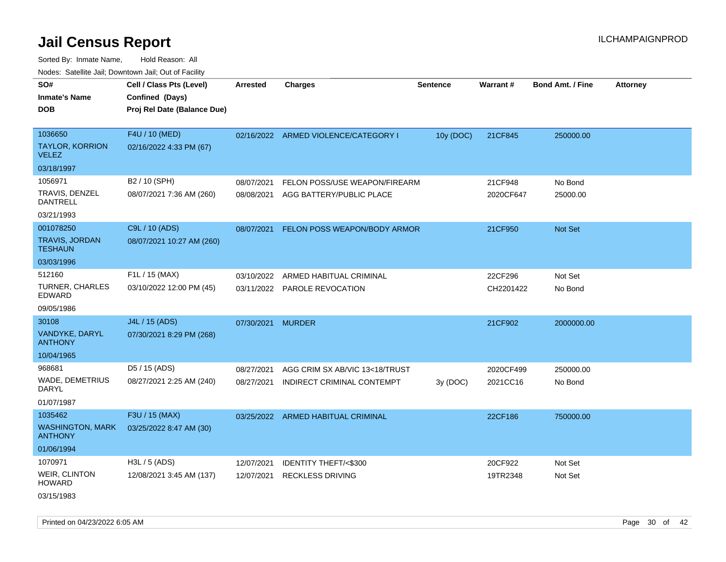Sorted By: Inmate Name, Hold Reason: All Nodes: Satellite Jail; Downtown Jail; Out of Facility

| roaco. Catolino cali, Domntonn cali, Out of Facility |                                                                            |                   |                                      |           |           |                         |                 |
|------------------------------------------------------|----------------------------------------------------------------------------|-------------------|--------------------------------------|-----------|-----------|-------------------------|-----------------|
| SO#<br><b>Inmate's Name</b><br><b>DOB</b>            | Cell / Class Pts (Level)<br>Confined (Days)<br>Proj Rel Date (Balance Due) | Arrested          | <b>Charges</b>                       | Sentence  | Warrant#  | <b>Bond Amt. / Fine</b> | <b>Attorney</b> |
| 1036650                                              | F4U / 10 (MED)                                                             |                   | 02/16/2022 ARMED VIOLENCE/CATEGORY I | 10y (DOC) | 21CF845   | 250000.00               |                 |
| <b>TAYLOR, KORRION</b><br><b>VELEZ</b>               | 02/16/2022 4:33 PM (67)                                                    |                   |                                      |           |           |                         |                 |
| 03/18/1997                                           |                                                                            |                   |                                      |           |           |                         |                 |
| 1056971                                              | B2 / 10 (SPH)                                                              | 08/07/2021        | FELON POSS/USE WEAPON/FIREARM        |           | 21CF948   | No Bond                 |                 |
| TRAVIS, DENZEL<br>DANTRELL                           | 08/07/2021 7:36 AM (260)                                                   | 08/08/2021        | AGG BATTERY/PUBLIC PLACE             |           | 2020CF647 | 25000.00                |                 |
| 03/21/1993                                           |                                                                            |                   |                                      |           |           |                         |                 |
| 001078250                                            | C9L / 10 (ADS)                                                             | 08/07/2021        | FELON POSS WEAPON/BODY ARMOR         |           | 21CF950   | <b>Not Set</b>          |                 |
| <b>TRAVIS, JORDAN</b><br><b>TESHAUN</b>              | 08/07/2021 10:27 AM (260)                                                  |                   |                                      |           |           |                         |                 |
| 03/03/1996                                           |                                                                            |                   |                                      |           |           |                         |                 |
| 512160                                               | F1L / 15 (MAX)                                                             | 03/10/2022        | ARMED HABITUAL CRIMINAL              |           | 22CF296   | Not Set                 |                 |
| TURNER, CHARLES<br>EDWARD                            | 03/10/2022 12:00 PM (45)                                                   |                   | 03/11/2022 PAROLE REVOCATION         |           | CH2201422 | No Bond                 |                 |
| 09/05/1986                                           |                                                                            |                   |                                      |           |           |                         |                 |
| 30108                                                | J4L / 15 (ADS)                                                             | 07/30/2021 MURDER |                                      |           | 21CF902   | 2000000.00              |                 |
| VANDYKE, DARYL<br><b>ANTHONY</b>                     | 07/30/2021 8:29 PM (268)                                                   |                   |                                      |           |           |                         |                 |
| 10/04/1965                                           |                                                                            |                   |                                      |           |           |                         |                 |
| 968681                                               | D5 / 15 (ADS)                                                              | 08/27/2021        | AGG CRIM SX AB/VIC 13<18/TRUST       |           | 2020CF499 | 250000.00               |                 |
| <b>WADE, DEMETRIUS</b><br>DARYL                      | 08/27/2021 2:25 AM (240)                                                   | 08/27/2021        | INDIRECT CRIMINAL CONTEMPT           | 3y(DOC)   | 2021CC16  | No Bond                 |                 |
| 01/07/1987                                           |                                                                            |                   |                                      |           |           |                         |                 |
| 1035462                                              | F3U / 15 (MAX)                                                             |                   | 03/25/2022 ARMED HABITUAL CRIMINAL   |           | 22CF186   | 750000.00               |                 |
| <b>WASHINGTON, MARK</b><br><b>ANTHONY</b>            | 03/25/2022 8:47 AM (30)                                                    |                   |                                      |           |           |                         |                 |
| 01/06/1994                                           |                                                                            |                   |                                      |           |           |                         |                 |
| 1070971                                              | H3L / 5 (ADS)                                                              | 12/07/2021        | <b>IDENTITY THEFT/&lt;\$300</b>      |           | 20CF922   | Not Set                 |                 |
| WEIR, CLINTON<br><b>HOWARD</b>                       | 12/08/2021 3:45 AM (137)                                                   | 12/07/2021        | <b>RECKLESS DRIVING</b>              |           | 19TR2348  | Not Set                 |                 |
| ---------                                            |                                                                            |                   |                                      |           |           |                         |                 |

03/15/1983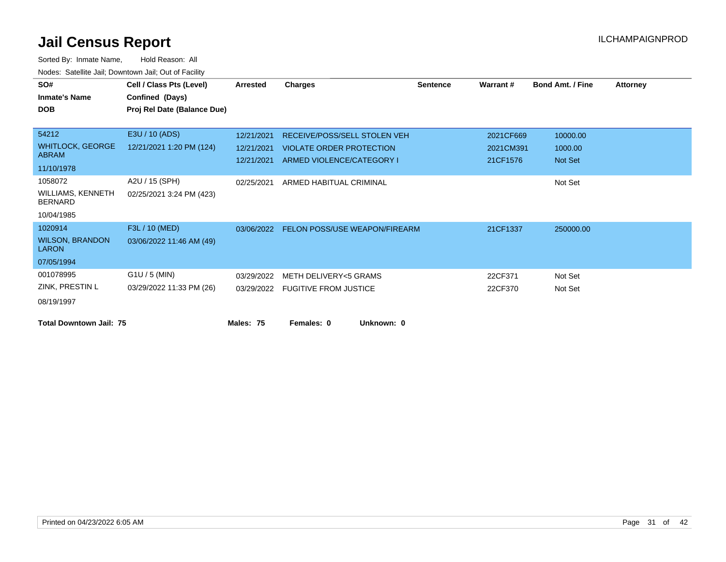| SO#<br><b>Inmate's Name</b><br><b>DOB</b>                           | Cell / Class Pts (Level)<br>Confined (Days)<br>Proj Rel Date (Balance Due) | <b>Arrested</b>                        | <b>Charges</b>                                                                               |            | <b>Sentence</b> | Warrant#                           | <b>Bond Amt. / Fine</b>        | <b>Attorney</b> |
|---------------------------------------------------------------------|----------------------------------------------------------------------------|----------------------------------------|----------------------------------------------------------------------------------------------|------------|-----------------|------------------------------------|--------------------------------|-----------------|
| 54212<br><b>WHITLOCK, GEORGE</b><br><b>ABRAM</b><br>11/10/1978      | E3U / 10 (ADS)<br>12/21/2021 1:20 PM (124)                                 | 12/21/2021<br>12/21/2021<br>12/21/2021 | RECEIVE/POSS/SELL STOLEN VEH<br><b>VIOLATE ORDER PROTECTION</b><br>ARMED VIOLENCE/CATEGORY I |            |                 | 2021CF669<br>2021CM391<br>21CF1576 | 10000.00<br>1000.00<br>Not Set |                 |
| 1058072<br><b>WILLIAMS, KENNETH</b><br><b>BERNARD</b><br>10/04/1985 | A2U / 15 (SPH)<br>02/25/2021 3:24 PM (423)                                 | 02/25/2021                             | ARMED HABITUAL CRIMINAL                                                                      |            |                 |                                    | Not Set                        |                 |
| 1020914<br><b>WILSON, BRANDON</b><br><b>LARON</b><br>07/05/1994     | F3L / 10 (MED)<br>03/06/2022 11:46 AM (49)                                 |                                        | 03/06/2022 FELON POSS/USE WEAPON/FIREARM                                                     |            |                 | 21CF1337                           | 250000.00                      |                 |
| 001078995<br>ZINK, PRESTIN L<br>08/19/1997                          | $G1U / 5$ (MIN)<br>03/29/2022 11:33 PM (26)                                | 03/29/2022                             | <b>METH DELIVERY&lt;5 GRAMS</b><br>03/29/2022 FUGITIVE FROM JUSTICE                          |            |                 | 22CF371<br>22CF370                 | Not Set<br>Not Set             |                 |
| <b>Total Downtown Jail: 75</b>                                      |                                                                            | Males: 75                              | Females: 0                                                                                   | Unknown: 0 |                 |                                    |                                |                 |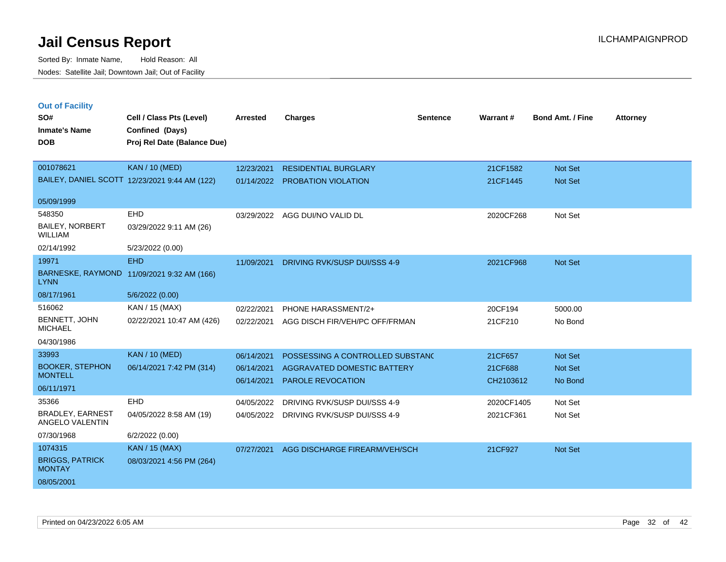| <b>Out of Facility</b>                     |                                               |                 |                                         |                 |            |                         |                 |
|--------------------------------------------|-----------------------------------------------|-----------------|-----------------------------------------|-----------------|------------|-------------------------|-----------------|
| SO#                                        | Cell / Class Pts (Level)                      | <b>Arrested</b> | <b>Charges</b>                          | <b>Sentence</b> | Warrant#   | <b>Bond Amt. / Fine</b> | <b>Attorney</b> |
| <b>Inmate's Name</b>                       | Confined (Days)                               |                 |                                         |                 |            |                         |                 |
| <b>DOB</b>                                 | Proj Rel Date (Balance Due)                   |                 |                                         |                 |            |                         |                 |
| 001078621                                  | <b>KAN / 10 (MED)</b>                         | 12/23/2021      | <b>RESIDENTIAL BURGLARY</b>             |                 | 21CF1582   | Not Set                 |                 |
|                                            | BAILEY, DANIEL SCOTT 12/23/2021 9:44 AM (122) | 01/14/2022      | <b>PROBATION VIOLATION</b>              |                 | 21CF1445   | Not Set                 |                 |
|                                            |                                               |                 |                                         |                 |            |                         |                 |
| 05/09/1999                                 |                                               |                 |                                         |                 |            |                         |                 |
| 548350                                     | EHD                                           | 03/29/2022      | AGG DUI/NO VALID DL                     |                 | 2020CF268  | Not Set                 |                 |
| BAILEY, NORBERT<br><b>WILLIAM</b>          | 03/29/2022 9:11 AM (26)                       |                 |                                         |                 |            |                         |                 |
| 02/14/1992                                 | 5/23/2022 (0.00)                              |                 |                                         |                 |            |                         |                 |
| 19971                                      | <b>EHD</b>                                    | 11/09/2021      | DRIVING RVK/SUSP DUI/SSS 4-9            |                 | 2021CF968  | Not Set                 |                 |
| <b>LYNN</b>                                | BARNESKE, RAYMOND 11/09/2021 9:32 AM (166)    |                 |                                         |                 |            |                         |                 |
| 08/17/1961                                 | 5/6/2022 (0.00)                               |                 |                                         |                 |            |                         |                 |
| 516062                                     | KAN / 15 (MAX)                                | 02/22/2021      | PHONE HARASSMENT/2+                     |                 | 20CF194    | 5000.00                 |                 |
| BENNETT, JOHN<br><b>MICHAEL</b>            | 02/22/2021 10:47 AM (426)                     | 02/22/2021      | AGG DISCH FIR/VEH/PC OFF/FRMAN          |                 | 21CF210    | No Bond                 |                 |
| 04/30/1986                                 |                                               |                 |                                         |                 |            |                         |                 |
| 33993                                      | <b>KAN / 10 (MED)</b>                         | 06/14/2021      | POSSESSING A CONTROLLED SUBSTAND        |                 | 21CF657    | <b>Not Set</b>          |                 |
| <b>BOOKER, STEPHON</b>                     | 06/14/2021 7:42 PM (314)                      | 06/14/2021      | AGGRAVATED DOMESTIC BATTERY             |                 | 21CF688    | Not Set                 |                 |
| <b>MONTELL</b>                             |                                               | 06/14/2021      | PAROLE REVOCATION                       |                 | CH2103612  | No Bond                 |                 |
| 06/11/1971                                 |                                               |                 |                                         |                 |            |                         |                 |
| 35366                                      | EHD                                           | 04/05/2022      | DRIVING RVK/SUSP DUI/SSS 4-9            |                 | 2020CF1405 | Not Set                 |                 |
| <b>BRADLEY, EARNEST</b><br>ANGELO VALENTIN | 04/05/2022 8:58 AM (19)                       |                 | 04/05/2022 DRIVING RVK/SUSP DUI/SSS 4-9 |                 | 2021CF361  | Not Set                 |                 |
| 07/30/1968                                 | 6/2/2022 (0.00)                               |                 |                                         |                 |            |                         |                 |
| 1074315                                    | KAN / 15 (MAX)                                | 07/27/2021      | AGG DISCHARGE FIREARM/VEH/SCH           |                 | 21CF927    | Not Set                 |                 |
| <b>BRIGGS, PATRICK</b><br><b>MONTAY</b>    | 08/03/2021 4:56 PM (264)                      |                 |                                         |                 |            |                         |                 |
| 08/05/2001                                 |                                               |                 |                                         |                 |            |                         |                 |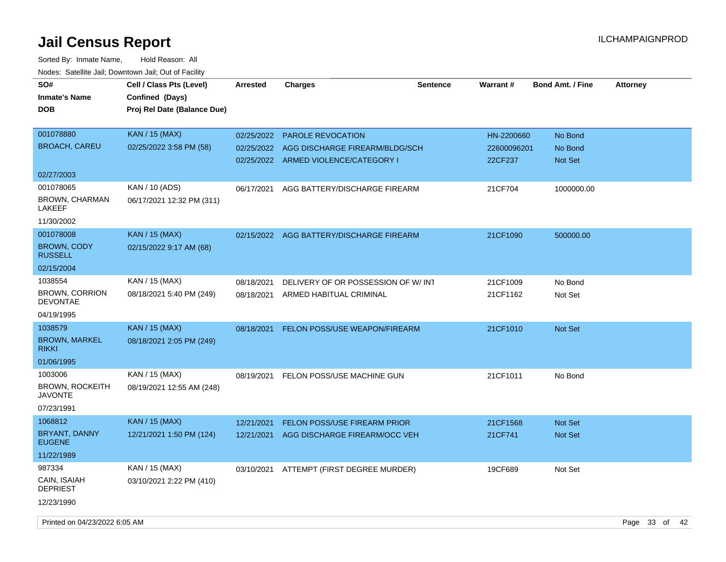| SO#<br><b>Inmate's Name</b><br><b>DOB</b>           | Cell / Class Pts (Level)<br>Confined (Days)<br>Proj Rel Date (Balance Due) | <b>Arrested</b>          | <b>Charges</b>                                                         | <b>Sentence</b> | <b>Warrant#</b>        | <b>Bond Amt. / Fine</b> | <b>Attorney</b> |  |
|-----------------------------------------------------|----------------------------------------------------------------------------|--------------------------|------------------------------------------------------------------------|-----------------|------------------------|-------------------------|-----------------|--|
| 001078880                                           | <b>KAN</b> / 15 (MAX)                                                      | 02/25/2022               | <b>PAROLE REVOCATION</b>                                               |                 | HN-2200660             | No Bond                 |                 |  |
| <b>BROACH, CAREU</b>                                | 02/25/2022 3:58 PM (58)                                                    | 02/25/2022               | AGG DISCHARGE FIREARM/BLDG/SCH<br>02/25/2022 ARMED VIOLENCE/CATEGORY I |                 | 22600096201<br>22CF237 | No Bond<br>Not Set      |                 |  |
| 02/27/2003                                          |                                                                            |                          |                                                                        |                 |                        |                         |                 |  |
| 001078065<br><b>BROWN, CHARMAN</b><br>LAKEEF        | KAN / 10 (ADS)<br>06/17/2021 12:32 PM (311)                                | 06/17/2021               | AGG BATTERY/DISCHARGE FIREARM                                          |                 | 21CF704                | 1000000.00              |                 |  |
| 11/30/2002                                          |                                                                            |                          |                                                                        |                 |                        |                         |                 |  |
| 001078008<br><b>BROWN, CODY</b><br><b>RUSSELL</b>   | <b>KAN / 15 (MAX)</b><br>02/15/2022 9:17 AM (68)                           |                          | 02/15/2022 AGG BATTERY/DISCHARGE FIREARM                               |                 | 21CF1090               | 500000.00               |                 |  |
| 02/15/2004                                          |                                                                            |                          |                                                                        |                 |                        |                         |                 |  |
| 1038554<br><b>BROWN, CORRION</b><br><b>DEVONTAE</b> | KAN / 15 (MAX)<br>08/18/2021 5:40 PM (249)                                 | 08/18/2021<br>08/18/2021 | DELIVERY OF OR POSSESSION OF W/INT<br>ARMED HABITUAL CRIMINAL          |                 | 21CF1009<br>21CF1162   | No Bond<br>Not Set      |                 |  |
| 04/19/1995                                          |                                                                            |                          |                                                                        |                 |                        |                         |                 |  |
| 1038579                                             | <b>KAN</b> / 15 (MAX)                                                      | 08/18/2021               | FELON POSS/USE WEAPON/FIREARM                                          |                 | 21CF1010               | Not Set                 |                 |  |
| <b>BROWN, MARKEL</b><br><b>RIKKI</b>                | 08/18/2021 2:05 PM (249)                                                   |                          |                                                                        |                 |                        |                         |                 |  |
| 01/06/1995                                          |                                                                            |                          |                                                                        |                 |                        |                         |                 |  |
| 1003006                                             | KAN / 15 (MAX)                                                             | 08/19/2021               | FELON POSS/USE MACHINE GUN                                             |                 | 21CF1011               | No Bond                 |                 |  |
| <b>BROWN, ROCKEITH</b><br>JAVONTE                   | 08/19/2021 12:55 AM (248)                                                  |                          |                                                                        |                 |                        |                         |                 |  |
| 07/23/1991                                          |                                                                            |                          |                                                                        |                 |                        |                         |                 |  |
| 1068812                                             | <b>KAN / 15 (MAX)</b>                                                      | 12/21/2021               | FELON POSS/USE FIREARM PRIOR                                           |                 | 21CF1568               | <b>Not Set</b>          |                 |  |
| BRYANT, DANNY<br><b>EUGENE</b>                      | 12/21/2021 1:50 PM (124)                                                   | 12/21/2021               | AGG DISCHARGE FIREARM/OCC VEH                                          |                 | 21CF741                | <b>Not Set</b>          |                 |  |
| 11/22/1989                                          |                                                                            |                          |                                                                        |                 |                        |                         |                 |  |
| 987334                                              | KAN / 15 (MAX)                                                             |                          | 03/10/2021 ATTEMPT (FIRST DEGREE MURDER)                               |                 | 19CF689                | Not Set                 |                 |  |
| CAIN, ISAIAH<br>DEPRIEST                            | 03/10/2021 2:22 PM (410)                                                   |                          |                                                                        |                 |                        |                         |                 |  |
| 12/23/1990                                          |                                                                            |                          |                                                                        |                 |                        |                         |                 |  |
| Printed on 04/23/2022 6:05 AM                       |                                                                            |                          |                                                                        |                 |                        |                         | Page 33 of 42   |  |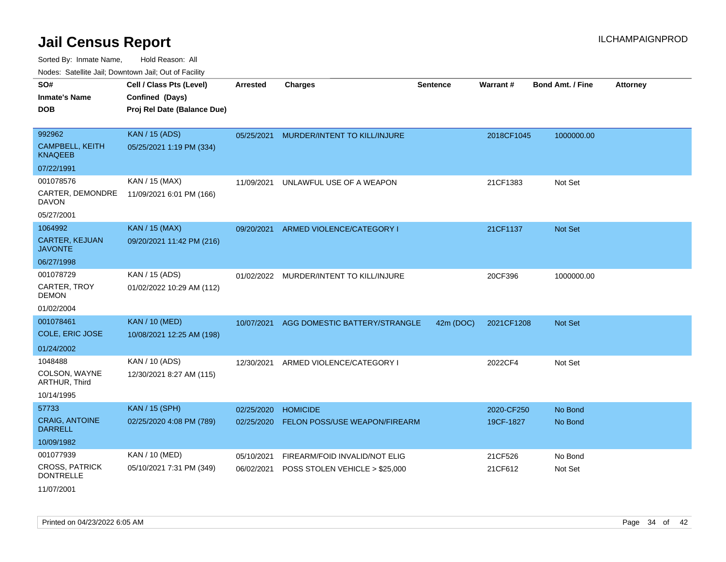| Noues. Sateme Jan, Downtown Jan, Out or Facility |                             |                 |                                |                 |            |                         |                 |
|--------------------------------------------------|-----------------------------|-----------------|--------------------------------|-----------------|------------|-------------------------|-----------------|
| SO#                                              | Cell / Class Pts (Level)    | <b>Arrested</b> | <b>Charges</b>                 | <b>Sentence</b> | Warrant#   | <b>Bond Amt. / Fine</b> | <b>Attorney</b> |
| <b>Inmate's Name</b>                             | Confined (Days)             |                 |                                |                 |            |                         |                 |
| <b>DOB</b>                                       | Proj Rel Date (Balance Due) |                 |                                |                 |            |                         |                 |
|                                                  |                             |                 |                                |                 |            |                         |                 |
| 992962                                           | <b>KAN / 15 (ADS)</b>       | 05/25/2021      | MURDER/INTENT TO KILL/INJURE   |                 | 2018CF1045 | 1000000.00              |                 |
| <b>CAMPBELL, KEITH</b><br><b>KNAQEEB</b>         | 05/25/2021 1:19 PM (334)    |                 |                                |                 |            |                         |                 |
| 07/22/1991                                       |                             |                 |                                |                 |            |                         |                 |
| 001078576                                        | KAN / 15 (MAX)              | 11/09/2021      | UNLAWFUL USE OF A WEAPON       |                 | 21CF1383   | Not Set                 |                 |
| CARTER, DEMONDRE<br><b>DAVON</b>                 | 11/09/2021 6:01 PM (166)    |                 |                                |                 |            |                         |                 |
| 05/27/2001                                       |                             |                 |                                |                 |            |                         |                 |
| 1064992                                          | <b>KAN / 15 (MAX)</b>       | 09/20/2021      | ARMED VIOLENCE/CATEGORY I      |                 | 21CF1137   | Not Set                 |                 |
| <b>CARTER, KEJUAN</b><br><b>JAVONTE</b>          | 09/20/2021 11:42 PM (216)   |                 |                                |                 |            |                         |                 |
| 06/27/1998                                       |                             |                 |                                |                 |            |                         |                 |
| 001078729                                        | KAN / 15 (ADS)              | 01/02/2022      | MURDER/INTENT TO KILL/INJURE   |                 | 20CF396    | 1000000.00              |                 |
| CARTER, TROY<br><b>DEMON</b>                     | 01/02/2022 10:29 AM (112)   |                 |                                |                 |            |                         |                 |
| 01/02/2004                                       |                             |                 |                                |                 |            |                         |                 |
| 001078461                                        | <b>KAN / 10 (MED)</b>       | 10/07/2021      | AGG DOMESTIC BATTERY/STRANGLE  | 42m (DOC)       | 2021CF1208 | <b>Not Set</b>          |                 |
| COLE, ERIC JOSE                                  | 10/08/2021 12:25 AM (198)   |                 |                                |                 |            |                         |                 |
| 01/24/2002                                       |                             |                 |                                |                 |            |                         |                 |
| 1048488                                          | KAN / 10 (ADS)              | 12/30/2021      | ARMED VIOLENCE/CATEGORY I      |                 | 2022CF4    | Not Set                 |                 |
| COLSON, WAYNE<br>ARTHUR, Third                   | 12/30/2021 8:27 AM (115)    |                 |                                |                 |            |                         |                 |
| 10/14/1995                                       |                             |                 |                                |                 |            |                         |                 |
| 57733                                            | <b>KAN / 15 (SPH)</b>       | 02/25/2020      | <b>HOMICIDE</b>                |                 | 2020-CF250 | No Bond                 |                 |
| <b>CRAIG, ANTOINE</b><br><b>DARRELL</b>          | 02/25/2020 4:08 PM (789)    | 02/25/2020      | FELON POSS/USE WEAPON/FIREARM  |                 | 19CF-1827  | No Bond                 |                 |
| 10/09/1982                                       |                             |                 |                                |                 |            |                         |                 |
| 001077939                                        | KAN / 10 (MED)              | 05/10/2021      | FIREARM/FOID INVALID/NOT ELIG  |                 | 21CF526    | No Bond                 |                 |
| <b>CROSS, PATRICK</b><br><b>DONTRELLE</b>        | 05/10/2021 7:31 PM (349)    | 06/02/2021      | POSS STOLEN VEHICLE > \$25,000 |                 | 21CF612    | Not Set                 |                 |
| 11/07/2001                                       |                             |                 |                                |                 |            |                         |                 |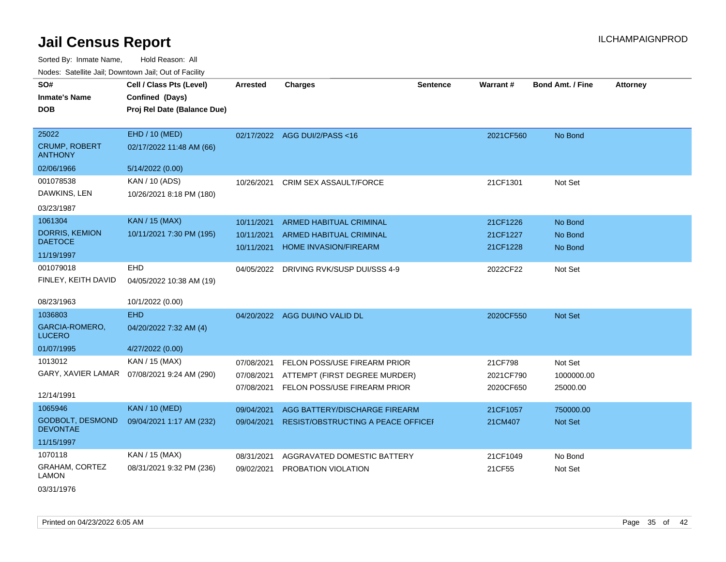Sorted By: Inmate Name, Hold Reason: All Nodes: Satellite Jail; Downtown Jail; Out of Facility

| SO#<br><b>Inmate's Name</b><br><b>DOB</b>              | Cell / Class Pts (Level)<br>Confined (Days)<br>Proj Rel Date (Balance Due) | <b>Arrested</b>                        | <b>Charges</b>                                                                                | <b>Sentence</b> | Warrant#                          | <b>Bond Amt. / Fine</b>           | <b>Attorney</b> |
|--------------------------------------------------------|----------------------------------------------------------------------------|----------------------------------------|-----------------------------------------------------------------------------------------------|-----------------|-----------------------------------|-----------------------------------|-----------------|
| 25022<br><b>CRUMP, ROBERT</b><br><b>ANTHONY</b>        | EHD / 10 (MED)<br>02/17/2022 11:48 AM (66)                                 |                                        | 02/17/2022 AGG DUI/2/PASS<16                                                                  |                 | 2021CF560                         | No Bond                           |                 |
| 02/06/1966                                             | 5/14/2022 (0.00)                                                           |                                        |                                                                                               |                 |                                   |                                   |                 |
| 001078538<br>DAWKINS, LEN<br>03/23/1987                | KAN / 10 (ADS)<br>10/26/2021 8:18 PM (180)                                 | 10/26/2021                             | CRIM SEX ASSAULT/FORCE                                                                        |                 | 21CF1301                          | Not Set                           |                 |
| 1061304                                                | <b>KAN / 15 (MAX)</b>                                                      | 10/11/2021                             | <b>ARMED HABITUAL CRIMINAL</b>                                                                |                 | 21CF1226                          | No Bond                           |                 |
| <b>DORRIS, KEMION</b><br><b>DAETOCE</b>                | 10/11/2021 7:30 PM (195)                                                   | 10/11/2021<br>10/11/2021               | ARMED HABITUAL CRIMINAL<br><b>HOME INVASION/FIREARM</b>                                       |                 | 21CF1227<br>21CF1228              | No Bond<br>No Bond                |                 |
| 11/19/1997                                             |                                                                            |                                        |                                                                                               |                 |                                   |                                   |                 |
| 001079018<br>FINLEY, KEITH DAVID<br>08/23/1963         | EHD<br>04/05/2022 10:38 AM (19)<br>10/1/2022 (0.00)                        |                                        | 04/05/2022 DRIVING RVK/SUSP DUI/SSS 4-9                                                       |                 | 2022CF22                          | Not Set                           |                 |
| 1036803                                                | <b>EHD</b>                                                                 |                                        |                                                                                               |                 |                                   |                                   |                 |
| GARCIA-ROMERO,<br><b>LUCERO</b>                        | 04/20/2022 7:32 AM (4)                                                     |                                        | 04/20/2022 AGG DUI/NO VALID DL                                                                |                 | 2020CF550                         | Not Set                           |                 |
| 01/07/1995                                             | 4/27/2022 (0.00)                                                           |                                        |                                                                                               |                 |                                   |                                   |                 |
| 1013012<br>GARY, XAVIER LAMAR<br>12/14/1991            | KAN / 15 (MAX)<br>07/08/2021 9:24 AM (290)                                 | 07/08/2021<br>07/08/2021<br>07/08/2021 | FELON POSS/USE FIREARM PRIOR<br>ATTEMPT (FIRST DEGREE MURDER)<br>FELON POSS/USE FIREARM PRIOR |                 | 21CF798<br>2021CF790<br>2020CF650 | Not Set<br>1000000.00<br>25000.00 |                 |
| 1065946                                                | <b>KAN / 10 (MED)</b>                                                      | 09/04/2021                             | AGG BATTERY/DISCHARGE FIREARM                                                                 |                 | 21CF1057                          | 750000.00                         |                 |
| GODBOLT, DESMOND<br><b>DEVONTAE</b>                    | 09/04/2021 1:17 AM (232)                                                   | 09/04/2021                             | RESIST/OBSTRUCTING A PEACE OFFICEF                                                            |                 | 21CM407                           | Not Set                           |                 |
| 11/15/1997                                             |                                                                            |                                        |                                                                                               |                 |                                   |                                   |                 |
| 1070118<br><b>GRAHAM, CORTEZ</b><br>LAMON<br>001011000 | KAN / 15 (MAX)<br>08/31/2021 9:32 PM (236)                                 | 08/31/2021<br>09/02/2021               | AGGRAVATED DOMESTIC BATTERY<br>PROBATION VIOLATION                                            |                 | 21CF1049<br>21CF55                | No Bond<br>Not Set                |                 |

03/31/1976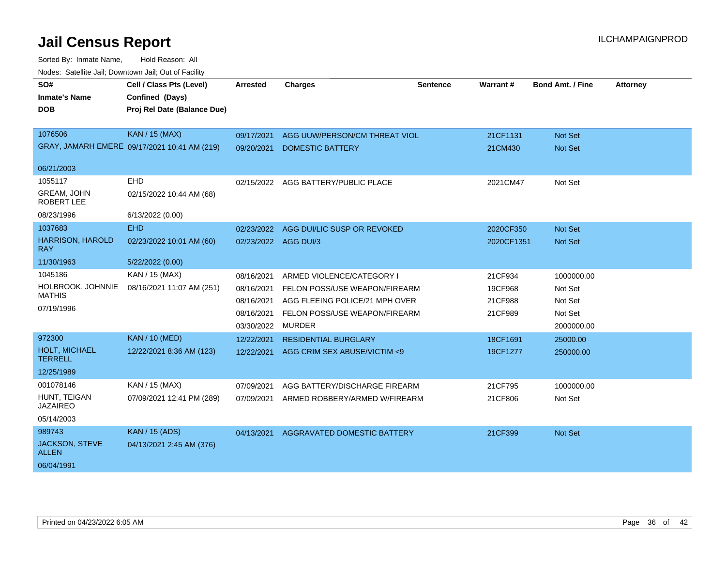| SO#                                   | Cell / Class Pts (Level)                     | <b>Arrested</b>      | <b>Charges</b>                 | <b>Sentence</b> | Warrant#   | <b>Bond Amt. / Fine</b> | <b>Attorney</b> |
|---------------------------------------|----------------------------------------------|----------------------|--------------------------------|-----------------|------------|-------------------------|-----------------|
| <b>Inmate's Name</b>                  | Confined (Days)                              |                      |                                |                 |            |                         |                 |
| <b>DOB</b>                            | Proj Rel Date (Balance Due)                  |                      |                                |                 |            |                         |                 |
|                                       |                                              |                      |                                |                 |            |                         |                 |
| 1076506                               | <b>KAN / 15 (MAX)</b>                        | 09/17/2021           | AGG UUW/PERSON/CM THREAT VIOL  |                 | 21CF1131   | <b>Not Set</b>          |                 |
|                                       | GRAY, JAMARH EMERE 09/17/2021 10:41 AM (219) | 09/20/2021           | <b>DOMESTIC BATTERY</b>        |                 | 21CM430    | Not Set                 |                 |
| 06/21/2003                            |                                              |                      |                                |                 |            |                         |                 |
| 1055117                               | EHD                                          | 02/15/2022           | AGG BATTERY/PUBLIC PLACE       |                 | 2021CM47   | Not Set                 |                 |
| <b>GREAM, JOHN</b><br>ROBERT LEE      | 02/15/2022 10:44 AM (68)                     |                      |                                |                 |            |                         |                 |
| 08/23/1996                            | 6/13/2022 (0.00)                             |                      |                                |                 |            |                         |                 |
| 1037683                               | <b>EHD</b>                                   | 02/23/2022           | AGG DUI/LIC SUSP OR REVOKED    |                 | 2020CF350  | <b>Not Set</b>          |                 |
| <b>HARRISON, HAROLD</b><br><b>RAY</b> | 02/23/2022 10:01 AM (60)                     | 02/23/2022 AGG DUI/3 |                                |                 | 2020CF1351 | <b>Not Set</b>          |                 |
| 11/30/1963                            | 5/22/2022 (0.00)                             |                      |                                |                 |            |                         |                 |
| 1045186                               | <b>KAN / 15 (MAX)</b>                        | 08/16/2021           | ARMED VIOLENCE/CATEGORY I      |                 | 21CF934    | 1000000.00              |                 |
| HOLBROOK, JOHNNIE                     | 08/16/2021 11:07 AM (251)                    | 08/16/2021           | FELON POSS/USE WEAPON/FIREARM  |                 | 19CF968    | Not Set                 |                 |
| <b>MATHIS</b>                         |                                              | 08/16/2021           | AGG FLEEING POLICE/21 MPH OVER |                 | 21CF988    | Not Set                 |                 |
| 07/19/1996                            |                                              | 08/16/2021           | FELON POSS/USE WEAPON/FIREARM  |                 | 21CF989    | Not Set                 |                 |
|                                       |                                              | 03/30/2022           | <b>MURDER</b>                  |                 |            | 2000000.00              |                 |
| 972300                                | <b>KAN / 10 (MED)</b>                        | 12/22/2021           | <b>RESIDENTIAL BURGLARY</b>    |                 | 18CF1691   | 25000.00                |                 |
| HOLT, MICHAEL<br><b>TERRELL</b>       | 12/22/2021 8:36 AM (123)                     | 12/22/2021           | AGG CRIM SEX ABUSE/VICTIM <9   |                 | 19CF1277   | 250000.00               |                 |
| 12/25/1989                            |                                              |                      |                                |                 |            |                         |                 |
| 001078146                             | KAN / 15 (MAX)                               | 07/09/2021           | AGG BATTERY/DISCHARGE FIREARM  |                 | 21CF795    | 1000000.00              |                 |
| HUNT, TEIGAN<br><b>JAZAIREO</b>       | 07/09/2021 12:41 PM (289)                    | 07/09/2021           | ARMED ROBBERY/ARMED W/FIREARM  |                 | 21CF806    | Not Set                 |                 |
| 05/14/2003                            |                                              |                      |                                |                 |            |                         |                 |
| 989743                                | <b>KAN</b> / 15 (ADS)                        | 04/13/2021           | AGGRAVATED DOMESTIC BATTERY    |                 | 21CF399    | Not Set                 |                 |
| <b>JACKSON, STEVE</b><br><b>ALLEN</b> | 04/13/2021 2:45 AM (376)                     |                      |                                |                 |            |                         |                 |
| 06/04/1991                            |                                              |                      |                                |                 |            |                         |                 |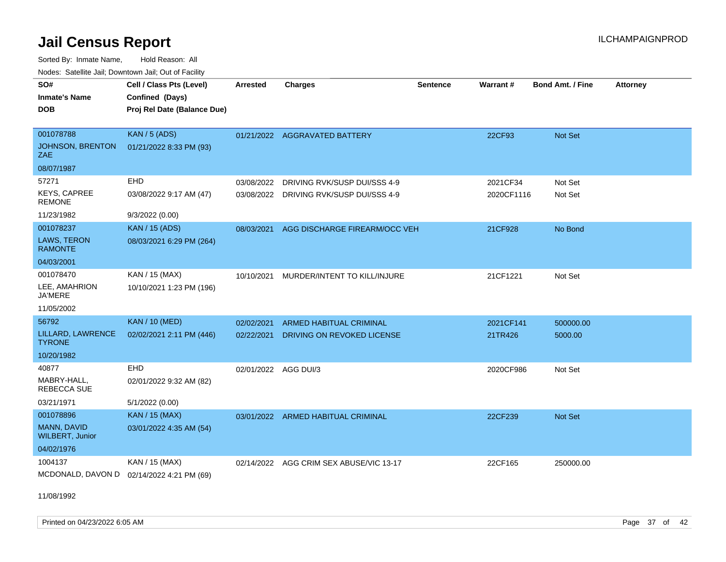Sorted By: Inmate Name, Hold Reason: All Nodes: Satellite Jail; Downtown Jail; Out of Facility

| SO#<br><b>Inmate's Name</b><br><b>DOB</b> | Cell / Class Pts (Level)<br>Confined (Days)<br>Proj Rel Date (Balance Due) | <b>Arrested</b>      | Charges                                 | <b>Sentence</b> | Warrant#   | <b>Bond Amt. / Fine</b> | <b>Attorney</b> |
|-------------------------------------------|----------------------------------------------------------------------------|----------------------|-----------------------------------------|-----------------|------------|-------------------------|-----------------|
| 001078788                                 | KAN / 5 (ADS)                                                              |                      | 01/21/2022 AGGRAVATED BATTERY           |                 | 22CF93     | Not Set                 |                 |
| JOHNSON, BRENTON<br>ZAE                   | 01/21/2022 8:33 PM (93)                                                    |                      |                                         |                 |            |                         |                 |
| 08/07/1987                                |                                                                            |                      |                                         |                 |            |                         |                 |
| 57271                                     | EHD                                                                        | 03/08/2022           | DRIVING RVK/SUSP DUI/SSS 4-9            |                 | 2021CF34   | Not Set                 |                 |
| <b>KEYS, CAPREE</b><br><b>REMONE</b>      | 03/08/2022 9:17 AM (47)                                                    |                      | 03/08/2022 DRIVING RVK/SUSP DUI/SSS 4-9 |                 | 2020CF1116 | Not Set                 |                 |
| 11/23/1982                                | 9/3/2022 (0.00)                                                            |                      |                                         |                 |            |                         |                 |
| 001078237                                 | <b>KAN</b> / 15 (ADS)                                                      | 08/03/2021           | AGG DISCHARGE FIREARM/OCC VEH           |                 | 21CF928    | No Bond                 |                 |
| LAWS, TERON<br><b>RAMONTE</b>             | 08/03/2021 6:29 PM (264)                                                   |                      |                                         |                 |            |                         |                 |
| 04/03/2001                                |                                                                            |                      |                                         |                 |            |                         |                 |
| 001078470                                 | KAN / 15 (MAX)                                                             | 10/10/2021           | MURDER/INTENT TO KILL/INJURE            |                 | 21CF1221   | Not Set                 |                 |
| LEE, AMAHRION<br><b>JA'MERE</b>           | 10/10/2021 1:23 PM (196)                                                   |                      |                                         |                 |            |                         |                 |
| 11/05/2002                                |                                                                            |                      |                                         |                 |            |                         |                 |
| 56792                                     | <b>KAN / 10 (MED)</b>                                                      | 02/02/2021           | <b>ARMED HABITUAL CRIMINAL</b>          |                 | 2021CF141  | 500000.00               |                 |
| LILLARD, LAWRENCE<br><b>TYRONE</b>        | 02/02/2021 2:11 PM (446)                                                   | 02/22/2021           | <b>DRIVING ON REVOKED LICENSE</b>       |                 | 21TR426    | 5000.00                 |                 |
| 10/20/1982                                |                                                                            |                      |                                         |                 |            |                         |                 |
| 40877                                     | EHD                                                                        | 02/01/2022 AGG DUI/3 |                                         |                 | 2020CF986  | Not Set                 |                 |
| MABRY-HALL.<br>REBECCA SUE                | 02/01/2022 9:32 AM (82)                                                    |                      |                                         |                 |            |                         |                 |
| 03/21/1971                                | 5/1/2022 (0.00)                                                            |                      |                                         |                 |            |                         |                 |
| 001078896                                 | <b>KAN / 15 (MAX)</b>                                                      |                      | 03/01/2022 ARMED HABITUAL CRIMINAL      |                 | 22CF239    | Not Set                 |                 |
| MANN, DAVID<br><b>WILBERT, Junior</b>     | 03/01/2022 4:35 AM (54)                                                    |                      |                                         |                 |            |                         |                 |
| 04/02/1976                                |                                                                            |                      |                                         |                 |            |                         |                 |
| 1004137                                   | KAN / 15 (MAX)                                                             | 02/14/2022           | AGG CRIM SEX ABUSE/VIC 13-17            |                 | 22CF165    | 250000.00               |                 |
| MCDONALD, DAVON D                         | 02/14/2022 4:21 PM (69)                                                    |                      |                                         |                 |            |                         |                 |

11/08/1992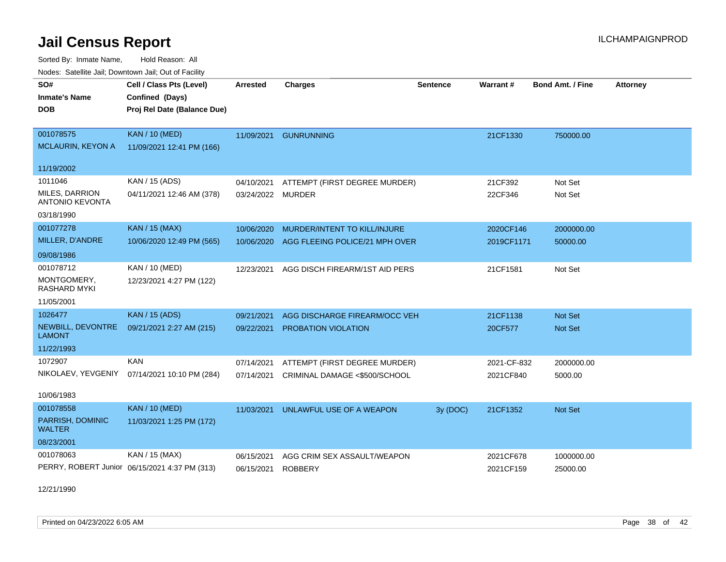Sorted By: Inmate Name, Hold Reason: All Nodes: Satellite Jail; Downtown Jail; Out of Facility

| voues. Salemie Jan, Downlown Jan, Out of Facility |                                               |                 |                                     |                 |             |                         |                 |
|---------------------------------------------------|-----------------------------------------------|-----------------|-------------------------------------|-----------------|-------------|-------------------------|-----------------|
| SO#                                               | Cell / Class Pts (Level)                      | <b>Arrested</b> | <b>Charges</b>                      | <b>Sentence</b> | Warrant#    | <b>Bond Amt. / Fine</b> | <b>Attorney</b> |
| <b>Inmate's Name</b>                              | Confined (Days)                               |                 |                                     |                 |             |                         |                 |
| DOB.                                              | Proj Rel Date (Balance Due)                   |                 |                                     |                 |             |                         |                 |
|                                                   |                                               |                 |                                     |                 |             |                         |                 |
| 001078575                                         | <b>KAN / 10 (MED)</b>                         | 11/09/2021      | <b>GUNRUNNING</b>                   |                 | 21CF1330    | 750000.00               |                 |
| <b>MCLAURIN, KEYON A</b>                          | 11/09/2021 12:41 PM (166)                     |                 |                                     |                 |             |                         |                 |
| 11/19/2002                                        |                                               |                 |                                     |                 |             |                         |                 |
| 1011046                                           | KAN / 15 (ADS)                                | 04/10/2021      | ATTEMPT (FIRST DEGREE MURDER)       |                 | 21CF392     | Not Set                 |                 |
| MILES, DARRION                                    | 04/11/2021 12:46 AM (378)                     | 03/24/2022      | <b>MURDER</b>                       |                 | 22CF346     | Not Set                 |                 |
| <b>ANTONIO KEVONTA</b>                            |                                               |                 |                                     |                 |             |                         |                 |
| 03/18/1990                                        |                                               |                 |                                     |                 |             |                         |                 |
| 001077278                                         | <b>KAN / 15 (MAX)</b>                         | 10/06/2020      | <b>MURDER/INTENT TO KILL/INJURE</b> |                 | 2020CF146   | 2000000.00              |                 |
| MILLER, D'ANDRE                                   | 10/06/2020 12:49 PM (565)                     | 10/06/2020      | AGG FLEEING POLICE/21 MPH OVER      |                 | 2019CF1171  | 50000.00                |                 |
| 09/08/1986                                        |                                               |                 |                                     |                 |             |                         |                 |
| 001078712                                         | <b>KAN / 10 (MED)</b>                         | 12/23/2021      | AGG DISCH FIREARM/1ST AID PERS      |                 | 21CF1581    | Not Set                 |                 |
| MONTGOMERY,<br><b>RASHARD MYKI</b>                | 12/23/2021 4:27 PM (122)                      |                 |                                     |                 |             |                         |                 |
| 11/05/2001                                        |                                               |                 |                                     |                 |             |                         |                 |
| 1026477                                           | <b>KAN / 15 (ADS)</b>                         | 09/21/2021      | AGG DISCHARGE FIREARM/OCC VEH       |                 | 21CF1138    | Not Set                 |                 |
| NEWBILL, DEVONTRE<br><b>LAMONT</b>                | 09/21/2021 2:27 AM (215)                      | 09/22/2021      | PROBATION VIOLATION                 |                 | 20CF577     | Not Set                 |                 |
| 11/22/1993                                        |                                               |                 |                                     |                 |             |                         |                 |
| 1072907                                           | <b>KAN</b>                                    | 07/14/2021      | ATTEMPT (FIRST DEGREE MURDER)       |                 | 2021-CF-832 | 2000000.00              |                 |
| NIKOLAEV, YEVGENIY                                | 07/14/2021 10:10 PM (284)                     | 07/14/2021      | CRIMINAL DAMAGE <\$500/SCHOOL       |                 | 2021CF840   | 5000.00                 |                 |
|                                                   |                                               |                 |                                     |                 |             |                         |                 |
| 10/06/1983                                        |                                               |                 |                                     |                 |             |                         |                 |
| 001078558                                         | <b>KAN / 10 (MED)</b>                         | 11/03/2021      | UNLAWFUL USE OF A WEAPON            | 3y (DOC)        | 21CF1352    | Not Set                 |                 |
| PARRISH, DOMINIC<br><b>WALTER</b>                 | 11/03/2021 1:25 PM (172)                      |                 |                                     |                 |             |                         |                 |
| 08/23/2001                                        |                                               |                 |                                     |                 |             |                         |                 |
| 001078063                                         | KAN / 15 (MAX)                                | 06/15/2021      | AGG CRIM SEX ASSAULT/WEAPON         |                 | 2021CF678   | 1000000.00              |                 |
|                                                   | PERRY, ROBERT Junior 06/15/2021 4:37 PM (313) | 06/15/2021      | <b>ROBBERY</b>                      |                 | 2021CF159   | 25000.00                |                 |

12/21/1990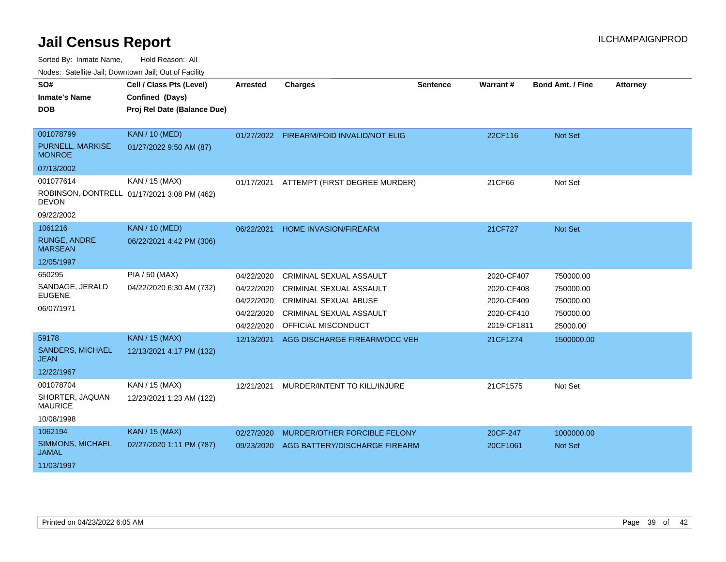Sorted By: Inmate Name, Hold Reason: All

Nodes: Satellite Jail; Downtown Jail; Out of Facility

| SO#                                     | Cell / Class Pts (Level)                    | <b>Arrested</b> | <b>Charges</b>                           | <b>Sentence</b> | <b>Warrant#</b> | <b>Bond Amt. / Fine</b> | <b>Attorney</b> |
|-----------------------------------------|---------------------------------------------|-----------------|------------------------------------------|-----------------|-----------------|-------------------------|-----------------|
| <b>Inmate's Name</b>                    | Confined (Days)                             |                 |                                          |                 |                 |                         |                 |
| <b>DOB</b>                              | Proj Rel Date (Balance Due)                 |                 |                                          |                 |                 |                         |                 |
|                                         |                                             |                 |                                          |                 |                 |                         |                 |
| 001078799                               | <b>KAN / 10 (MED)</b>                       |                 | 01/27/2022 FIREARM/FOID INVALID/NOT ELIG |                 | 22CF116         | Not Set                 |                 |
| PURNELL, MARKISE<br><b>MONROE</b>       | 01/27/2022 9:50 AM (87)                     |                 |                                          |                 |                 |                         |                 |
| 07/13/2002                              |                                             |                 |                                          |                 |                 |                         |                 |
| 001077614                               | KAN / 15 (MAX)                              | 01/17/2021      | ATTEMPT (FIRST DEGREE MURDER)            |                 | 21CF66          | Not Set                 |                 |
| <b>DEVON</b>                            | ROBINSON, DONTRELL 01/17/2021 3:08 PM (462) |                 |                                          |                 |                 |                         |                 |
| 09/22/2002                              |                                             |                 |                                          |                 |                 |                         |                 |
| 1061216                                 | <b>KAN / 10 (MED)</b>                       | 06/22/2021      | <b>HOME INVASION/FIREARM</b>             |                 | 21CF727         | <b>Not Set</b>          |                 |
| <b>RUNGE, ANDRE</b><br><b>MARSEAN</b>   | 06/22/2021 4:42 PM (306)                    |                 |                                          |                 |                 |                         |                 |
| 12/05/1997                              |                                             |                 |                                          |                 |                 |                         |                 |
| 650295                                  | PIA / 50 (MAX)                              | 04/22/2020      | CRIMINAL SEXUAL ASSAULT                  |                 | 2020-CF407      | 750000.00               |                 |
| SANDAGE, JERALD                         | 04/22/2020 6:30 AM (732)                    | 04/22/2020      | <b>CRIMINAL SEXUAL ASSAULT</b>           |                 | 2020-CF408      | 750000.00               |                 |
| <b>EUGENE</b>                           |                                             | 04/22/2020      | <b>CRIMINAL SEXUAL ABUSE</b>             |                 | 2020-CF409      | 750000.00               |                 |
| 06/07/1971                              |                                             | 04/22/2020      | <b>CRIMINAL SEXUAL ASSAULT</b>           |                 | 2020-CF410      | 750000.00               |                 |
|                                         |                                             | 04/22/2020      | OFFICIAL MISCONDUCT                      |                 | 2019-CF1811     | 25000.00                |                 |
| 59178                                   | <b>KAN / 15 (MAX)</b>                       | 12/13/2021      | AGG DISCHARGE FIREARM/OCC VEH            |                 | 21CF1274        | 1500000.00              |                 |
| <b>SANDERS, MICHAEL</b><br><b>JEAN</b>  | 12/13/2021 4:17 PM (132)                    |                 |                                          |                 |                 |                         |                 |
| 12/22/1967                              |                                             |                 |                                          |                 |                 |                         |                 |
| 001078704                               | KAN / 15 (MAX)                              | 12/21/2021      | MURDER/INTENT TO KILL/INJURE             |                 | 21CF1575        | Not Set                 |                 |
| SHORTER, JAQUAN<br><b>MAURICE</b>       | 12/23/2021 1:23 AM (122)                    |                 |                                          |                 |                 |                         |                 |
| 10/08/1998                              |                                             |                 |                                          |                 |                 |                         |                 |
| 1062194                                 | <b>KAN / 15 (MAX)</b>                       | 02/27/2020      | MURDER/OTHER FORCIBLE FELONY             |                 | 20CF-247        | 1000000.00              |                 |
| <b>SIMMONS, MICHAEL</b><br><b>JAMAL</b> | 02/27/2020 1:11 PM (787)                    | 09/23/2020      | AGG BATTERY/DISCHARGE FIREARM            |                 | 20CF1061        | <b>Not Set</b>          |                 |
| 11/03/1997                              |                                             |                 |                                          |                 |                 |                         |                 |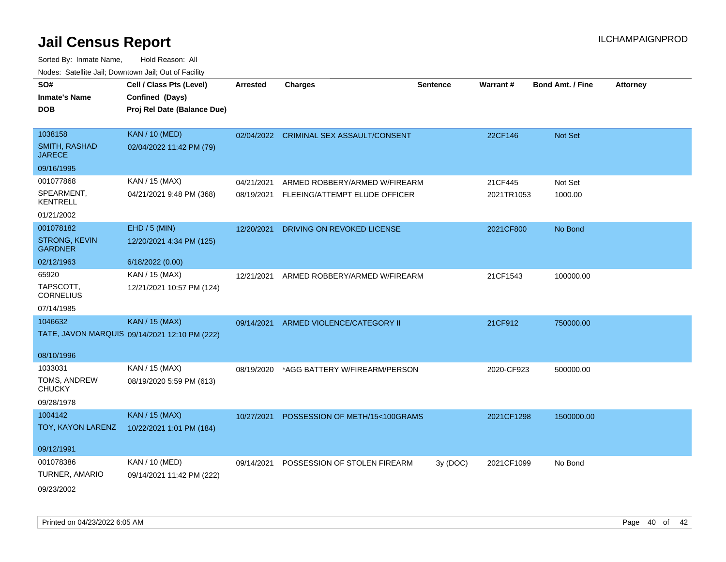| SO#<br><b>Inmate's Name</b><br><b>DOB</b> | Cell / Class Pts (Level)<br>Confined (Days)<br>Proj Rel Date (Balance Due) | <b>Arrested</b> | <b>Charges</b>                          | <b>Sentence</b> | Warrant#   | <b>Bond Amt. / Fine</b> | <b>Attorney</b> |
|-------------------------------------------|----------------------------------------------------------------------------|-----------------|-----------------------------------------|-----------------|------------|-------------------------|-----------------|
| 1038158                                   | <b>KAN / 10 (MED)</b>                                                      |                 | 02/04/2022 CRIMINAL SEX ASSAULT/CONSENT |                 | 22CF146    | Not Set                 |                 |
| <b>SMITH, RASHAD</b><br><b>JARECE</b>     | 02/04/2022 11:42 PM (79)                                                   |                 |                                         |                 |            |                         |                 |
| 09/16/1995                                |                                                                            |                 |                                         |                 |            |                         |                 |
| 001077868                                 | KAN / 15 (MAX)                                                             | 04/21/2021      | ARMED ROBBERY/ARMED W/FIREARM           |                 | 21CF445    | Not Set                 |                 |
| SPEARMENT,<br><b>KENTRELL</b>             | 04/21/2021 9:48 PM (368)                                                   | 08/19/2021      | FLEEING/ATTEMPT ELUDE OFFICER           |                 | 2021TR1053 | 1000.00                 |                 |
| 01/21/2002                                |                                                                            |                 |                                         |                 |            |                         |                 |
| 001078182                                 | $EHD / 5$ (MIN)                                                            | 12/20/2021      | DRIVING ON REVOKED LICENSE              |                 | 2021CF800  | No Bond                 |                 |
| STRONG, KEVIN<br><b>GARDNER</b>           | 12/20/2021 4:34 PM (125)                                                   |                 |                                         |                 |            |                         |                 |
| 02/12/1963                                | 6/18/2022 (0.00)                                                           |                 |                                         |                 |            |                         |                 |
| 65920                                     | KAN / 15 (MAX)                                                             | 12/21/2021      | ARMED ROBBERY/ARMED W/FIREARM           |                 | 21CF1543   | 100000.00               |                 |
| TAPSCOTT,<br><b>CORNELIUS</b>             | 12/21/2021 10:57 PM (124)                                                  |                 |                                         |                 |            |                         |                 |
| 07/14/1985                                |                                                                            |                 |                                         |                 |            |                         |                 |
| 1046632                                   | <b>KAN / 15 (MAX)</b>                                                      | 09/14/2021      | ARMED VIOLENCE/CATEGORY II              |                 | 21CF912    | 750000.00               |                 |
|                                           | TATE, JAVON MARQUIS 09/14/2021 12:10 PM (222)                              |                 |                                         |                 |            |                         |                 |
| 08/10/1996                                |                                                                            |                 |                                         |                 |            |                         |                 |
| 1033031                                   | KAN / 15 (MAX)                                                             | 08/19/2020      | *AGG BATTERY W/FIREARM/PERSON           |                 | 2020-CF923 | 500000.00               |                 |
| TOMS, ANDREW<br><b>CHUCKY</b>             | 08/19/2020 5:59 PM (613)                                                   |                 |                                         |                 |            |                         |                 |
| 09/28/1978                                |                                                                            |                 |                                         |                 |            |                         |                 |
| 1004142                                   | <b>KAN / 15 (MAX)</b>                                                      | 10/27/2021      | POSSESSION OF METH/15<100GRAMS          |                 | 2021CF1298 | 1500000.00              |                 |
| TOY, KAYON LARENZ                         | 10/22/2021 1:01 PM (184)                                                   |                 |                                         |                 |            |                         |                 |
| 09/12/1991                                |                                                                            |                 |                                         |                 |            |                         |                 |
| 001078386                                 | KAN / 10 (MED)                                                             | 09/14/2021      | POSSESSION OF STOLEN FIREARM            | 3y(DOC)         | 2021CF1099 | No Bond                 |                 |
| TURNER, AMARIO                            | 09/14/2021 11:42 PM (222)                                                  |                 |                                         |                 |            |                         |                 |
| 09/23/2002                                |                                                                            |                 |                                         |                 |            |                         |                 |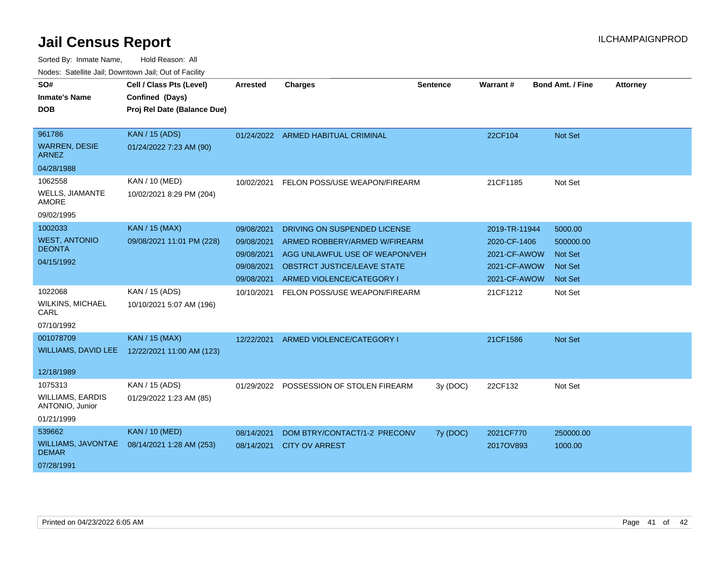| SO#                                        | Cell / Class Pts (Level)    | <b>Arrested</b> | <b>Charges</b>                          | <b>Sentence</b> | Warrant#      | <b>Bond Amt. / Fine</b> | <b>Attorney</b> |
|--------------------------------------------|-----------------------------|-----------------|-----------------------------------------|-----------------|---------------|-------------------------|-----------------|
| <b>Inmate's Name</b>                       | Confined (Days)             |                 |                                         |                 |               |                         |                 |
| <b>DOB</b>                                 | Proj Rel Date (Balance Due) |                 |                                         |                 |               |                         |                 |
|                                            |                             |                 |                                         |                 |               |                         |                 |
| 961786                                     | <b>KAN / 15 (ADS)</b>       |                 | 01/24/2022 ARMED HABITUAL CRIMINAL      |                 | 22CF104       | Not Set                 |                 |
| <b>WARREN, DESIE</b><br>ARNEZ              | 01/24/2022 7:23 AM (90)     |                 |                                         |                 |               |                         |                 |
| 04/28/1988                                 |                             |                 |                                         |                 |               |                         |                 |
| 1062558                                    | KAN / 10 (MED)              | 10/02/2021      | FELON POSS/USE WEAPON/FIREARM           |                 | 21CF1185      | Not Set                 |                 |
| <b>WELLS, JIAMANTE</b><br><b>AMORE</b>     | 10/02/2021 8:29 PM (204)    |                 |                                         |                 |               |                         |                 |
| 09/02/1995                                 |                             |                 |                                         |                 |               |                         |                 |
| 1002033                                    | KAN / 15 (MAX)              | 09/08/2021      | DRIVING ON SUSPENDED LICENSE            |                 | 2019-TR-11944 | 5000.00                 |                 |
| <b>WEST, ANTONIO</b>                       | 09/08/2021 11:01 PM (228)   | 09/08/2021      | ARMED ROBBERY/ARMED W/FIREARM           |                 | 2020-CF-1406  | 500000.00               |                 |
| <b>DEONTA</b>                              |                             | 09/08/2021      | AGG UNLAWFUL USE OF WEAPON/VEH          |                 | 2021-CF-AWOW  | <b>Not Set</b>          |                 |
| 04/15/1992                                 |                             | 09/08/2021      | OBSTRCT JUSTICE/LEAVE STATE             |                 | 2021-CF-AWOW  | <b>Not Set</b>          |                 |
|                                            |                             | 09/08/2021      | ARMED VIOLENCE/CATEGORY I               |                 | 2021-CF-AWOW  | <b>Not Set</b>          |                 |
| 1022068                                    | KAN / 15 (ADS)              | 10/10/2021      | FELON POSS/USE WEAPON/FIREARM           |                 | 21CF1212      | Not Set                 |                 |
| <b>WILKINS, MICHAEL</b><br>CARL            | 10/10/2021 5:07 AM (196)    |                 |                                         |                 |               |                         |                 |
| 07/10/1992                                 |                             |                 |                                         |                 |               |                         |                 |
| 001078709                                  | <b>KAN / 15 (MAX)</b>       | 12/22/2021      | ARMED VIOLENCE/CATEGORY I               |                 | 21CF1586      | Not Set                 |                 |
| <b>WILLIAMS, DAVID LEE</b>                 | 12/22/2021 11:00 AM (123)   |                 |                                         |                 |               |                         |                 |
| 12/18/1989                                 |                             |                 |                                         |                 |               |                         |                 |
| 1075313                                    | KAN / 15 (ADS)              |                 | 01/29/2022 POSSESSION OF STOLEN FIREARM | 3y (DOC)        | 22CF132       | Not Set                 |                 |
| <b>WILLIAMS, EARDIS</b><br>ANTONIO, Junior | 01/29/2022 1:23 AM (85)     |                 |                                         |                 |               |                         |                 |
| 01/21/1999                                 |                             |                 |                                         |                 |               |                         |                 |
| 539662                                     | <b>KAN / 10 (MED)</b>       | 08/14/2021      | DOM BTRY/CONTACT/1-2 PRECONV            | 7y (DOC)        | 2021CF770     | 250000.00               |                 |
| <b>WILLIAMS, JAVONTAE</b><br><b>DEMAR</b>  | 08/14/2021 1:28 AM (253)    | 08/14/2021      | <b>CITY OV ARREST</b>                   |                 | 2017OV893     | 1000.00                 |                 |
| 07/28/1991                                 |                             |                 |                                         |                 |               |                         |                 |